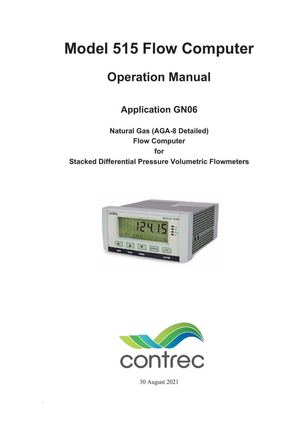# **Model 515 Flow Computer**

# **Operation Manual**

# **Application GN06**

**Natural Gas (AGA-8 Detailed) Flow Computer for Stacked Differential Pressure Volumetric Flowmeters** 





30 August 2021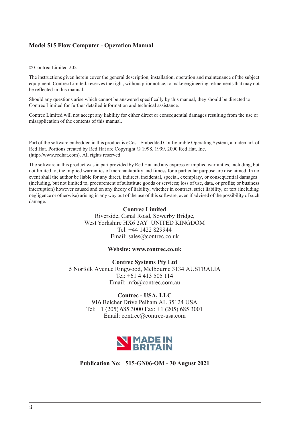### **Model 515 Flow Computer - Operation Manual**

#### © Contrec Limited 2021

The instructions given herein cover the general description, installation, operation and maintenance of the subject equipment. Contrec Limited. reserves the right, without prior notice, to make engineering refinements that may not be reflected in this manual.

Should any questions arise which cannot be answered specifically by this manual, they should be directed to Contrec Limited for further detailed information and technical assistance.

Contrec Limited will not accept any liability for either direct or consequential damages resulting from the use or misapplication of the contents of this manual.

Part of the software embedded in this product is eCos - Embedded Configurable Operating System, a trademark of Red Hat. Portions created by Red Hat are Copyright © 1998, 1999, 2000 Red Hat, Inc. (http://www.redhat.com). All rights reserved

The software in this product was in part provided by Red Hat and any express or implied warranties, including, but not limited to, the implied warranties of merchantability and fitness for a particular purpose are disclaimed. In no event shall the author be liable for any direct, indirect, incidental, special, exemplary, or consequential damages (including, but not limited to, procurement of substitute goods or services; loss of use, data, or profits; or business interruption) however caused and on any theory of liability, whether in contract, strict liability, or tort (including negligence or otherwise) arising in any way out of the use of this software, even if advised of the possibility of such damage.

#### **Contrec Limited**

Riverside, Canal Road, Sowerby Bridge, West Yorkshire HX6 2AY UNITED KINGDOM Tel: +44 1422 829944 Email: sales@contrec.co.uk

### **Website: www.contrec.co.uk**

**Contrec Systems Pty Ltd** 5 Norfolk Avenue Ringwood, Melbourne 3134 AUSTRALIA Tel: +61 4 413 505 114 Email: info@contrec.com.au

#### **Contrec - USA, LLC**

916 Belcher Drive Pelham AL 35124 USA Tel: +1 (205) 685 3000 Fax: +1 (205) 685 3001 Email: contrec@contrec-usa.com



**Publication No: 515-GN06-OM - 30 August 2021**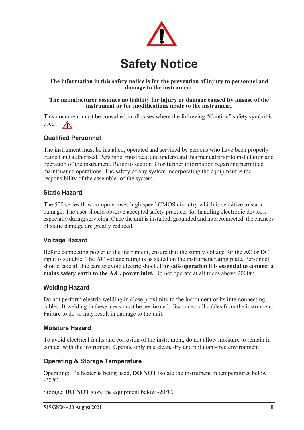

### **The information in this safety notice is for the prevention of injury to personnel and damage to the instrument.**

### **The manufacturer assumes no liability for injury or damage caused by misuse of the instrument or for modifications made to the instrument.**

This document must be consulted in all cases where the following "Caution" safety symbol is used :  $\bigwedge$ 

## **Qualified Personnel**

The instrument must be installed, operated and serviced by persons who have been properly trained and authorised. Personnel must read and understand this manual prior to installation and operation of the instrument. Refer to section 3 for further information regarding permitted maintenance operations. The safety of any system incorporating the equipment is the responsibility of the assembler of the system.

### **Static Hazard**

The 500 series flow computer uses high speed CMOS circuitry which is sensitive to static damage. The user should observe accepted safety practices for handling electronic devices, especially during servicing. Once the unit is installed, grounded and interconnected, the chances of static damage are greatly reduced.

### **Voltage Hazard**

Before connecting power to the instrument, ensure that the supply voltage for the AC or DC input is suitable. The AC voltage rating is as stated on the instrument rating plate. Personnel should take all due care to avoid electric shock. **For safe operation it is essential to connect a mains safety earth to the A.C. power inlet.** Do not operate at altitudes above 2000m.

### **Welding Hazard**

Do not perform electric welding in close proximity to the instrument or its interconnecting cables. If welding in these areas must be performed, disconnect all cables from the instrument. Failure to do so may result in damage to the unit.

### **Moisture Hazard**

To avoid electrical faults and corrosion of the instrument, do not allow moisture to remain in contact with the instrument. Operate only in a clean, dry and pollutant-free environment.

### **Operating & Storage Temperature**

Operating: If a heater is being used, **DO NOT** isolate the instrument in temperatures below  $-20^{\circ}$ C.

Storage: **DO NOT** store the equipment below -20°C.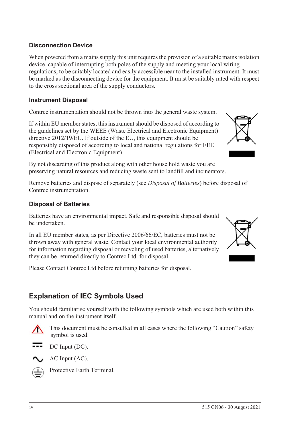### **Disconnection Device**

When powered from a mains supply this unit requires the provision of a suitable mains isolation device, capable of interrupting both poles of the supply and meeting your local wiring regulations, to be suitably located and easily accessible near to the installed instrument. It must be marked as the disconnecting device for the equipment. It must be suitably rated with respect to the cross sectional area of the supply conductors.

### **Instrument Disposal**

Contrec instrumentation should not be thrown into the general waste system.

If within EU member states, this instrument should be disposed of according to the guidelines set by the WEEE (Waste Electrical and Electronic Equipment) directive 2012/19/EU. If outside of the EU, this equipment should be responsibly disposed of according to local and national regulations for EEE (Electrical and Electronic Equipment).

By not discarding of this product along with other house hold waste you are preserving natural resources and reducing waste sent to landfill and incinerators.

Remove batteries and dispose of separately (see *Disposal of Batteries*) before disposal of Contrec instrumentation.

### **Disposal of Batteries**

Batteries have an environmental impact. Safe and responsible disposal should be undertaken.

In all EU member states, as per Directive 2006/66/EC, batteries must not be thrown away with general waste. Contact your local environmental authority for information regarding disposal or recycling of used batteries, alternatively they can be returned directly to Contrec Ltd. for disposal.

Please Contact Contrec Ltd before returning batteries for disposal.

# **Explanation of IEC Symbols Used**

You should familiarise yourself with the following symbols which are used both within this manual and on the instrument itself.



 This document must be consulted in all cases where the following "Caution" safety symbol is used.



AC Input (AC).



Protective Earth Terminal.



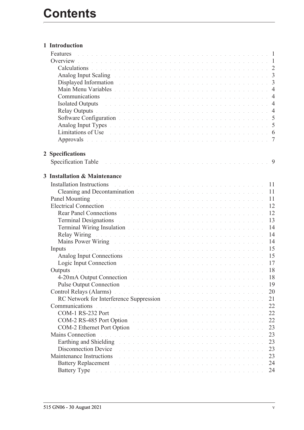| 1 Introduction                                                                                                                                                                                                                      |  |  |  |  |  |  |  |  |    |  |
|-------------------------------------------------------------------------------------------------------------------------------------------------------------------------------------------------------------------------------------|--|--|--|--|--|--|--|--|----|--|
| Features                                                                                                                                                                                                                            |  |  |  |  |  |  |  |  |    |  |
|                                                                                                                                                                                                                                     |  |  |  |  |  |  |  |  |    |  |
| Calculations de la communication de la communication de la communication de la communication de la communication                                                                                                                    |  |  |  |  |  |  |  |  |    |  |
|                                                                                                                                                                                                                                     |  |  |  |  |  |  |  |  |    |  |
| Displayed Information and a contract of the contract of the contract of the contract of the 3                                                                                                                                       |  |  |  |  |  |  |  |  |    |  |
|                                                                                                                                                                                                                                     |  |  |  |  |  |  |  |  |    |  |
| Communications experience and the contract of the contract of the contract of the contract of the contract of the contract of the contract of the contract of the contract of the contract of the contract of the contract of       |  |  |  |  |  |  |  |  |    |  |
| Isolated Outputs and a contract the contract of the contract of the contract of the contract of the 4                                                                                                                               |  |  |  |  |  |  |  |  |    |  |
|                                                                                                                                                                                                                                     |  |  |  |  |  |  |  |  |    |  |
|                                                                                                                                                                                                                                     |  |  |  |  |  |  |  |  |    |  |
| Analog Input Types and a contract the contract of the contract of the contract of the 5                                                                                                                                             |  |  |  |  |  |  |  |  |    |  |
| Limitations of Use the community of the community of the community of the community of the community of the community of the community of the community of the community of the community of the community of the community of      |  |  |  |  |  |  |  |  |    |  |
| Approvals des de la commune de la commune de la commune de la commune de la commune de la commune de la commun                                                                                                                      |  |  |  |  |  |  |  |  |    |  |
| 2 Specifications                                                                                                                                                                                                                    |  |  |  |  |  |  |  |  |    |  |
|                                                                                                                                                                                                                                     |  |  |  |  |  |  |  |  |    |  |
|                                                                                                                                                                                                                                     |  |  |  |  |  |  |  |  |    |  |
| 3 Installation & Maintenance                                                                                                                                                                                                        |  |  |  |  |  |  |  |  |    |  |
| Installation Instructions                                                                                                                                                                                                           |  |  |  |  |  |  |  |  |    |  |
| Cleaning and Decontamination and the contract of the contract of the contract of the contract of the contract of the contract of the contract of the contract of the contract of the contract of the contract of the contract       |  |  |  |  |  |  |  |  | 11 |  |
| Panel Mounting and a contract the contract of the contract of the contract of the contract of                                                                                                                                       |  |  |  |  |  |  |  |  | 11 |  |
| Electrical Connection and a construction of the contract of the contract of the contract of the contract of the                                                                                                                     |  |  |  |  |  |  |  |  | 12 |  |
| Rear Panel Connections and the contract of the contract of the contract of the contract of the contract of the contract of the contract of the contract of the contract of the contract of the contract of the contract of the      |  |  |  |  |  |  |  |  | 12 |  |
| Terminal Designations and a contract the contract of the contract of the contract of the contract of the contract of the contract of the contract of the contract of the contract of the contract of the contract of the contr      |  |  |  |  |  |  |  |  | 13 |  |
| Terminal Wiring Insulation and a contract of the contract of the contract of the contract of the contract of the contract of the contract of the contract of the contract of the contract of the contract of the contract of t      |  |  |  |  |  |  |  |  | 14 |  |
|                                                                                                                                                                                                                                     |  |  |  |  |  |  |  |  | 14 |  |
| Mains Power Wiring <b>Experience Communication</b> Contract Communication Communication Communication Communication Communication Communication Communication Communication Communication Communication Communication Communication |  |  |  |  |  |  |  |  | 14 |  |
| a constitución de la caractería de la caractería de la caractería de la caractería de la caractería de la cara<br>Inputs                                                                                                            |  |  |  |  |  |  |  |  | 15 |  |
| Analog Input Connections and a contract the contract of the contract of the contract of the contract of the contract of the contract of the contract of the contract of the contract of the contract of the contract of the co      |  |  |  |  |  |  |  |  | 15 |  |
| Logic Input Connection and a construction of the contract of the contract of the Connection of the contract of the contract of the contract of the contract of the contract of the contract of the contract of the contract of      |  |  |  |  |  |  |  |  |    |  |
|                                                                                                                                                                                                                                     |  |  |  |  |  |  |  |  |    |  |
| 4-20 mA Output Connection and a construction of the contract of the contract of the contract of the contract of the contract of the contract of the contract of the contract of the contract of the contract of the contract o      |  |  |  |  |  |  |  |  | 18 |  |
| Pulse Output Connection and and a connection of the connection of the connection of the connection of the connection                                                                                                                |  |  |  |  |  |  |  |  | 19 |  |
| Control Relays (Alarms) and a control of the control of the control of the control of the control of the control of the control of the control of the control of the control of the control of the control of the control of t      |  |  |  |  |  |  |  |  | 20 |  |
| RC Network for Interference Suppression and a contract to the contract of the contract of the contract of the contract of the contract of the contract of the contract of the contract of the contract of the contract of the       |  |  |  |  |  |  |  |  | 21 |  |
| Communications<br>.<br>The second contract of the second contract of the second contract of the second contract of the second contract                                                                                              |  |  |  |  |  |  |  |  | 22 |  |
|                                                                                                                                                                                                                                     |  |  |  |  |  |  |  |  | 22 |  |
| COM-2 RS-485 Port Option                                                                                                                                                                                                            |  |  |  |  |  |  |  |  | 22 |  |
| COM-2 Ethernet Port Option                                                                                                                                                                                                          |  |  |  |  |  |  |  |  | 23 |  |
| Mains Connection<br>.<br>In the second contract of the second contract of the second contract of the second contract of the second contr                                                                                            |  |  |  |  |  |  |  |  | 23 |  |
| Earthing and Shielding Theorem 2014 Contract the Contract of the Contract of the Contract of the Contract of the Contract of the Contract of the Contract of the Contract of the Contract of the Contract of the Contract of t      |  |  |  |  |  |  |  |  | 23 |  |
| Disconnection Device                                                                                                                                                                                                                |  |  |  |  |  |  |  |  | 23 |  |
| Maintenance Instructions<br>.<br>In the company of the company of the company of the company of the company of the company of the company of th                                                                                     |  |  |  |  |  |  |  |  | 23 |  |
| Battery Replacement and the contract of the contract of the contract of the contract of the contract of the contract of the contract of the contract of the contract of the contract of the contract of the contract of the co      |  |  |  |  |  |  |  |  | 24 |  |
| Battery Type and a substantial contract the contract of the contract of the contract of the contract of the contract of the contract of the contract of the contract of the contract of the contract of the contract of the co      |  |  |  |  |  |  |  |  | 24 |  |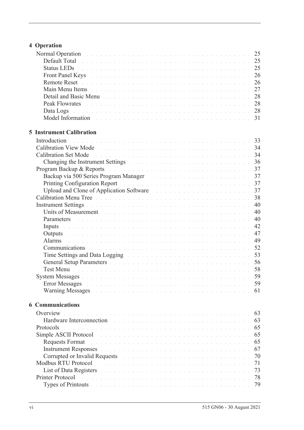# **[4 Operation](#page-34-0)**

| Normal Operation and a contract the contract of the contract of the contract of the 25                                                                                                                                         |  |  |  |  |  |  |  |  |    |
|--------------------------------------------------------------------------------------------------------------------------------------------------------------------------------------------------------------------------------|--|--|--|--|--|--|--|--|----|
| Default Total de la commune de la commune de la commune de la commune de la commune de 25                                                                                                                                      |  |  |  |  |  |  |  |  |    |
| Status LEDs <b>Election Community 25</b> Status Leader Community 25                                                                                                                                                            |  |  |  |  |  |  |  |  |    |
| Front Panel Keys and a construction of the construction of the construction of 26                                                                                                                                              |  |  |  |  |  |  |  |  |    |
|                                                                                                                                                                                                                                |  |  |  |  |  |  |  |  |    |
| Main Menu Items de la communicación de la communicación de la communicación 27                                                                                                                                                 |  |  |  |  |  |  |  |  |    |
|                                                                                                                                                                                                                                |  |  |  |  |  |  |  |  |    |
|                                                                                                                                                                                                                                |  |  |  |  |  |  |  |  |    |
|                                                                                                                                                                                                                                |  |  |  |  |  |  |  |  |    |
|                                                                                                                                                                                                                                |  |  |  |  |  |  |  |  |    |
|                                                                                                                                                                                                                                |  |  |  |  |  |  |  |  |    |
| <b>5 Instrument Calibration</b>                                                                                                                                                                                                |  |  |  |  |  |  |  |  |    |
| Introduction                                                                                                                                                                                                                   |  |  |  |  |  |  |  |  |    |
|                                                                                                                                                                                                                                |  |  |  |  |  |  |  |  |    |
|                                                                                                                                                                                                                                |  |  |  |  |  |  |  |  |    |
| Changing the Instrument Settings and a contract of the contract of the settings of the contract of the contract of the contract of the contract of the contract of the contract of the contract of the contract of the contrac |  |  |  |  |  |  |  |  |    |
| Program Backup & Reports and a contract the contract of the contract of the state of the 37                                                                                                                                    |  |  |  |  |  |  |  |  |    |
|                                                                                                                                                                                                                                |  |  |  |  |  |  |  |  |    |
| Printing Configuration Report environment and the contract of the contract of the 37                                                                                                                                           |  |  |  |  |  |  |  |  |    |
| Upload and Clone of Application Software Marian and an american contract the contract of the Upload and Clone of Application Software                                                                                          |  |  |  |  |  |  |  |  | 37 |
|                                                                                                                                                                                                                                |  |  |  |  |  |  |  |  |    |
|                                                                                                                                                                                                                                |  |  |  |  |  |  |  |  |    |
| Units of Measurement                                                                                                                                                                                                           |  |  |  |  |  |  |  |  | 40 |
| Parameters and a construction of the construction of the construction of the construction of                                                                                                                                   |  |  |  |  |  |  |  |  | 40 |
| Inputs and a construction of the construction of the construction of the construction of the construction of the construction of the construction of the construction of the construction of the construction of the construct |  |  |  |  |  |  |  |  | 42 |
| Outputs and a construction of the construction of the construction of the construction of the construction of the construction of the construction of the construction of the construction of the construction of the construc |  |  |  |  |  |  |  |  | 47 |
| Alarms<br>de la caractería de la caractería de la caractería de la caractería de la caractería de la caractería de la ca                                                                                                       |  |  |  |  |  |  |  |  | 49 |
| Communications de la communication de la communication de la communication de la communication de la communication de la communication de S2                                                                                   |  |  |  |  |  |  |  |  |    |
| Time Settings and Data Logging The Contract of the Contract of the Settings and Data Logging                                                                                                                                   |  |  |  |  |  |  |  |  | 53 |
| General Setup Parameters and a contract the contract of the contract of the state of the 56                                                                                                                                    |  |  |  |  |  |  |  |  |    |
| Test Menu de la componencia de la componencia de la componencia de la 58                                                                                                                                                       |  |  |  |  |  |  |  |  |    |
| System Messages with a community of the community of the set of the community of the community of the community of the community of the community of the community of the community of the community of the community of the c |  |  |  |  |  |  |  |  | 59 |
| <b>Error Messages</b>                                                                                                                                                                                                          |  |  |  |  |  |  |  |  | 59 |
| Warning Messages entertainment and the contract of the contract of the contract of the contract of the contract of the contract of the contract of the contract of the contract of the contract of the contract of the contrac |  |  |  |  |  |  |  |  | 61 |
| <b>6 Communications</b>                                                                                                                                                                                                        |  |  |  |  |  |  |  |  |    |
| Overview<br>.<br>In the second company of the second company of the second company of the second company of the second company o                                                                                               |  |  |  |  |  |  |  |  | 63 |
| Hardware Interconnection<br>.<br>The contract of the contract of the contract of the contract of the contract of the contract of the contract o                                                                                |  |  |  |  |  |  |  |  | 63 |
| Protocols<br>a constitución de la constitución de la constitución de la constitución de la constitución de la constitución                                                                                                     |  |  |  |  |  |  |  |  | 65 |
| Simple ASCII Protocol<br>.<br>The second complete state of the complete state of the second complete state of the complete state of the second                                                                                 |  |  |  |  |  |  |  |  | 65 |
| <b>Requests Format</b>                                                                                                                                                                                                         |  |  |  |  |  |  |  |  | 65 |
| Instrument Responses and a construction of the construction of the construction of the construction of the construction of the construction of the construction of the construction of the construction of the construction of |  |  |  |  |  |  |  |  | 67 |
| Corrupted or Invalid Requests and a contract the contract of the contract of the contract of the contract of the contract of the contract of the contract of the contract of the contract of the contract of the contract of t |  |  |  |  |  |  |  |  | 70 |
| <b>Modbus RTU Protocol</b><br>.<br>The second complete state of the second complete state of the second complete state of the second complete state of                                                                         |  |  |  |  |  |  |  |  | 71 |
| List of Data Registers and a conservation of the conservation of the conservation of the conservation of the conservation of the conservation of the conservation of the conservation of the conservation of the conservation  |  |  |  |  |  |  |  |  | 73 |
| Printer Protocol<br>.<br>In the second complete the second complete second complete the second complete second complete second complete                                                                                        |  |  |  |  |  |  |  |  | 78 |
| Types of Printouts and a contract of the contract of the contract of the contract of the contract of the contract of the contract of the contract of the contract of the contract of the contract of the contract of the contr |  |  |  |  |  |  |  |  | 79 |
|                                                                                                                                                                                                                                |  |  |  |  |  |  |  |  |    |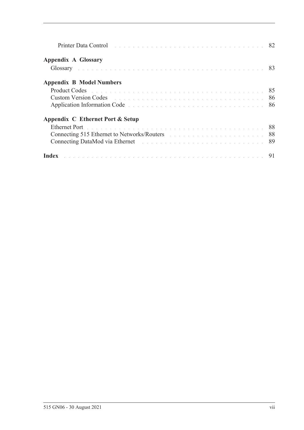| Printer Data Control entrepreneur and the control of the control of the control of the control of the control of the control of the control of the control of the control of the control of the control of the control of the  |  |
|--------------------------------------------------------------------------------------------------------------------------------------------------------------------------------------------------------------------------------|--|
| <b>Appendix A Glossary</b>                                                                                                                                                                                                     |  |
| Glossary enterpreted to the contract of the contract of the contract of the contract of the state of the state of the state of the state of the state of the state of the state of the state of the state of the state of the  |  |
| <b>Appendix B Model Numbers</b>                                                                                                                                                                                                |  |
|                                                                                                                                                                                                                                |  |
| <b>Custom Version Codes Contained According to the Containing of the Custom Version Codes</b>                                                                                                                                  |  |
| Application Information Code entrances and a series are a series and series and the series of the S6                                                                                                                           |  |
| Appendix C Ethernet Port & Setup                                                                                                                                                                                               |  |
| Ethernet Port <b>Ethernet Port 1988</b>                                                                                                                                                                                        |  |
| Connecting 515 Ethernet to Networks/Routers and the connection of the 88                                                                                                                                                       |  |
| Connecting DataMod via Ethernet (1) and the connection of the state of the state of the state of the state of the state of the state of the state of the state of the state of the state of the state of the state of the stat |  |
| Index <b>Index Experimental Construction Construction</b> of the construction of the construction of $91$                                                                                                                      |  |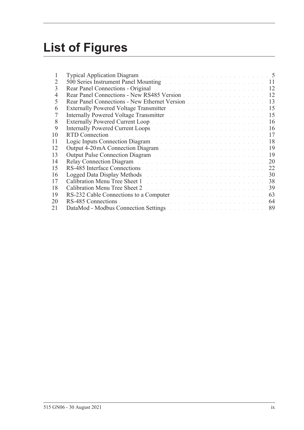# **List of Figures**

| 1  | Typical Application Diagram and a contract of the contract of the contract of the 5                                                                                                                                            |    |
|----|--------------------------------------------------------------------------------------------------------------------------------------------------------------------------------------------------------------------------------|----|
| 2  | 500 Series Instrument Panel Mounting and a contract of the series of the 11                                                                                                                                                    |    |
| 3  | Rear Panel Connections - Original entrepreneur and a series of the series of the 12                                                                                                                                            |    |
| 4  | Rear Panel Connections - New RS485 Version                                                                                                                                                                                     | 12 |
| 5  | Rear Panel Connections - New Ethernet Version                                                                                                                                                                                  | 13 |
| 6  | Externally Powered Voltage Transmitter North State Land and American State Land                                                                                                                                                | 15 |
| 7  | Internally Powered Voltage Transmitter March 2014 and State and State and State and                                                                                                                                            | 15 |
| 8  |                                                                                                                                                                                                                                | 16 |
| 9  | Internally Powered Current Loops and a contract to the contract of the contract of the contract of the contract of the contract of the contract of the contract of the contract of the contract of the contract of the contrac | 16 |
| 10 |                                                                                                                                                                                                                                | 17 |
| 11 | Logic Inputs Connection Diagram and a connection of the Connection of the Connection of the Connection of the Connection of the Connection of the Connection of the Connection of the Connection of the Connection of the Conn | 18 |
| 12 | Output 4-20mA Connection Diagram                                                                                                                                                                                               | 19 |
| 13 | Output Pulse Connection Diagram and a constant of the contract of the contract of the connection of the connection of the connection of the connection of the connection of the connection of the connection of the connection | 19 |
| 14 | Relay Connection Diagram Albert and Albert and Albert and Albert and Albert and Albert and Albert and Albert and                                                                                                               | 20 |
| 15 |                                                                                                                                                                                                                                | 22 |
| 16 | Logged Data Display Methods and a contract the contract of the contract of the contract of the contract of the                                                                                                                 | 30 |
| 17 |                                                                                                                                                                                                                                | 38 |
| 18 |                                                                                                                                                                                                                                | 39 |
| 19 | RS-232 Cable Connections to a Computer and a substitution of the set of the set of the set of the set of the set of the set of the set of the set of the set of the set of the set of the set of the set of the set of the set | 63 |
| 20 |                                                                                                                                                                                                                                | 64 |
| 21 | DataMod - Modbus Connection Settings and a substitution of the settings of the settings of the settings of the settings of the settings of the settings of the settings of the settings of the settings of the settings of the | 89 |
|    |                                                                                                                                                                                                                                |    |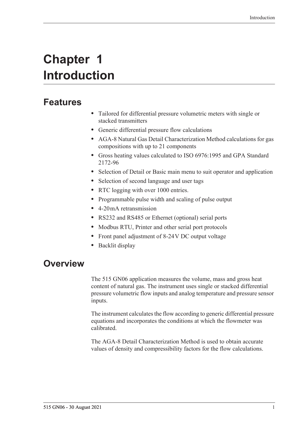# <span id="page-10-0"></span>**Chapter 1 Introduction**

# <span id="page-10-1"></span>**Features**

- **•** Tailored for differential pressure volumetric meters with single or stacked transmitters
- **•** Generic differential pressure flow calculations
- **•** AGA-8 Natural Gas Detail Characterization Method calculations for gas compositions with up to 21 components
- **•** Gross heating values calculated to ISO 6976:1995 and GPA Standard 2172-96
- **•** Selection of Detail or Basic main menu to suit operator and application
- **•** Selection of second language and user tags
- RTC logging with over 1000 entries.
- **•** Programmable pulse width and scaling of pulse output
- **•** 4-20 mA retransmission
- **•** RS232 and RS485 or Ethernet (optional) serial ports
- **•** Modbus RTU, Printer and other serial port protocols
- **•** Front panel adjustment of 8-24 V DC output voltage
- **•** Backlit display

# <span id="page-10-2"></span>**Overview**

The 515 GN06 application measures the volume, mass and gross heat content of natural gas. The instrument uses single or stacked differential pressure volumetric flow inputs and analog temperature and pressure sensor inputs.

The instrument calculates the flow according to generic differential pressure equations and incorporates the conditions at which the flowmeter was calibrated.

The AGA-8 Detail Characterization Method is used to obtain accurate values of density and compressibility factors for the flow calculations.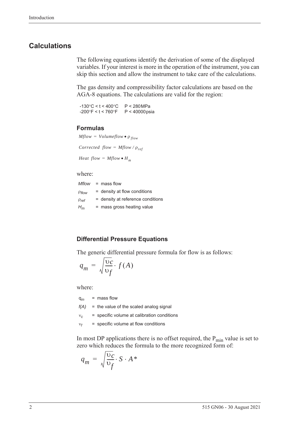### <span id="page-11-0"></span>**Calculations**

The following equations identify the derivation of some of the displayed variables. If your interest is more in the operation of the instrument, you can skip this section and allow the instrument to take care of the calculations.

The gas density and compressibility factor calculations are based on the AGA-8 equations. The calculations are valid for the region:

 $-130^{\circ}$ C < t < 400 $^{\circ}$ C -200F < t < 760F P < 280 MPa P < 40000 psia

### **Formulas**

```
Mflow = Volumeflow \bullet \rho_{flow}Corrected flow = Mflow / \rho_{ref}
```
*Heat flow =*  $Mflow \cdot H_m$ 

#### where:

|                  | $Mflow = mass flow$               |
|------------------|-----------------------------------|
| $P$ flow         | $=$ density at flow conditions    |
| Pr <sub>ef</sub> | = density at reference conditions |
| $H_m$            | $=$ mass gross heating value      |

### **Differential Pressure Equations**

The generic differential pressure formula for flow is as follows:

$$
q_m = \sqrt{\frac{\mathrm{v}_c}{\mathrm{v}_f}} \cdot f(A)
$$

where:

 $q_m$  = mass flow

*f(A)* = the value of the scaled analog signal

 $v_c$  = specific volume at calibration conditions

 $v_f$  = specific volume at flow conditions

In most DP applications there is no offset required, the  $P_{min}$  value is set to zero which reduces the formula to the more recognized form of:

$$
q_m = \sqrt{\frac{\mathrm{v}_c}{\mathrm{v}_f}} \cdot S \cdot A^*
$$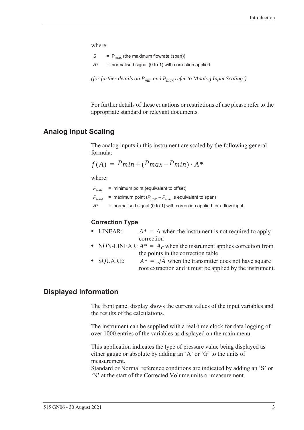where:

 $S = P_{\text{max}}$  (the maximum flowrate (span)) *A\** = normalised signal (0 to 1) with correction applied

*(for further details on Pmin and Pmax refer to 'Analog Input Scaling')*

For further details of these equations or restrictions of use please refer to the appropriate standard or relevant documents.

## <span id="page-12-0"></span>**Analog Input Scaling**

The analog inputs in this instrument are scaled by the following general formula:

$$
f(A) = P_{min} + (P_{max} - P_{min}) \cdot A^*
$$

where:

*Pmin* = minimum point (equivalent to offset)

 $P_{max}$  = maximum point ( $P_{max} - P_{min}$  is equivalent to span)

*A\** = normalised signal (0 to 1) with correction applied for a flow input

### **Correction Type**

- LINEAR:  $A^* = A$  when the instrument is not required to apply correction
- NON-LINEAR:  $A^* = A_c$  when the instrument applies correction from the points in the correction table
- SQUARE:  $A^* = \sqrt{A}$  when the transmitter does not have square root extraction and it must be applied by the instrument.

### <span id="page-12-1"></span>**Displayed Information**

The front panel display shows the current values of the input variables and the results of the calculations.

The instrument can be supplied with a real-time clock for data logging of over 1000 entries of the variables as displayed on the main menu.

This application indicates the type of pressure value being displayed as either gauge or absolute by adding an 'A' or 'G' to the units of measurement.

Standard or Normal reference conditions are indicated by adding an 'S' or 'N' at the start of the Corrected Volume units or measurement.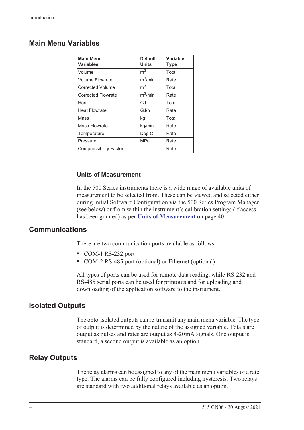# <span id="page-13-0"></span>**Main Menu Variables**

| <b>Main Menu</b><br><b>Variables</b> | <b>Default</b><br><b>Units</b> | <b>Variable</b><br><b>Type</b> |
|--------------------------------------|--------------------------------|--------------------------------|
| Volume                               | m <sup>3</sup>                 | Total                          |
| Volume Flowrate                      | $m^3/m$ in                     | Rate                           |
| Corrected Volume                     | m <sup>3</sup>                 | Total                          |
| <b>Corrected Flowrate</b>            | $m^3/m$ in                     | Rate                           |
| Heat                                 | GJ                             | Total                          |
| <b>Heat Flowrate</b>                 | GJ/h                           | Rate                           |
| Mass                                 | kg                             | Total                          |
| <b>Mass Flowrate</b>                 | kg/min                         | Rate                           |
| Temperature                          | Deg C                          | Rate                           |
| Pressure                             | MPa                            | Rate                           |
| <b>Compressibility Factor</b>        |                                | Rate                           |

### **Units of Measurement**

In the 500 Series instruments there is a wide range of available units of measurement to be selected from. These can be viewed and selected either during initial Software Configuration via the 500 Series Program Manager (see below) or from within the instrument's calibration settings (if access has been granted) as per **[Units of Measurement](#page-49-3)** on page 40.

### <span id="page-13-1"></span>**Communications**

There are two communication ports available as follows:

- **•** COM-1 RS-232 port
- **•** COM-2 RS-485 port (optional) or Ethernet (optional)

All types of ports can be used for remote data reading, while RS-232 and RS-485 serial ports can be used for printouts and for uploading and downloading of the application software to the instrument.

### <span id="page-13-2"></span>**Isolated Outputs**

The opto-isolated outputs can re-transmit any main menu variable. The type of output is determined by the nature of the assigned variable. Totals are output as pulses and rates are output as 4-20 mA signals. One output is standard, a second output is available as an option.

## <span id="page-13-3"></span>**Relay Outputs**

The relay alarms can be assigned to any of the main menu variables of a rate type. The alarms can be fully configured including hysteresis. Two relays are standard with two additional relays available as an option.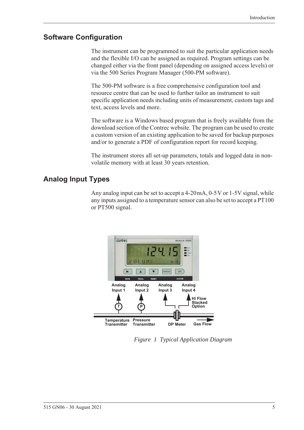### <span id="page-14-0"></span>**Software Configuration**

The instrument can be programmed to suit the particular application needs and the flexible I/O can be assigned as required. Program settings can be changed either via the front panel (depending on assigned access levels) or via the 500 Series Program Manager (500-PM software).

The 500-PM software is a free comprehensive configuration tool and resource centre that can be used to further tailor an instrument to suit specific application needs including units of measurement, custom tags and text, access levels and more.

The software is a Windows based program that is freely available from the download section of the Contrec website. The program can be used to create a custom version of an existing application to be saved for backup purposes and/or to generate a PDF of configuration report for record keeping.

The instrument stores all set-up parameters, totals and logged data in nonvolatile memory with at least 30 years retention.

# <span id="page-14-1"></span>**Analog Input Types**

Any analog input can be set to accept a 4-20 mA, 0-5 V or 1-5 V signal, while any inputs assigned to a temperature sensor can also be set to accept a PT100 or PT500 signal.

<span id="page-14-2"></span>

*Figure 1 Typical Application Diagram*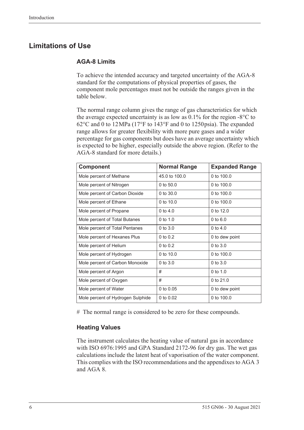# <span id="page-15-0"></span>**Limitations of Use**

### **AGA-8 Limits**

To achieve the intended accuracy and targeted uncertainty of the AGA-8 standard for the computations of physical properties of gases, the component mole percentages must not be outside the ranges given in the table below.

The normal range column gives the range of gas characteristics for which the average expected uncertainty is as low as  $0.1\%$  for the region -8 $\degree$ C to  $62^{\circ}$ C and 0 to 12 MPa (17°F to 143°F and 0 to 1250 psia). The expanded range allows for greater flexibility with more pure gases and a wider percentage for gas components but does have an average uncertainty which is expected to be higher, especially outside the above region. (Refer to the AGA-8 standard for more details.)

| <b>Component</b>                  | <b>Normal Range</b> | <b>Expanded Range</b> |
|-----------------------------------|---------------------|-----------------------|
| Mole percent of Methane           | 45.0 to 100.0       | 0 to 100.0            |
| Mole percent of Nitrogen          | 0 to $50.0$         | 0 to 100.0            |
| Mole percent of Carbon Dioxide    | 0 to 30.0           | 0 to 100.0            |
| Mole percent of Ethane            | 0 to 10.0           | 0 to 100.0            |
| Mole percent of Propane           | 0 to $4.0$          | 0 to $12.0$           |
| Mole percent of Total Butanes     | $0$ to 1.0          | $0$ to $6.0$          |
| Mole percent of Total Pentanes    | $0$ to $3.0$        | $0$ to $4.0$          |
| Mole percent of Hexanes Plus      | $0$ to $0.2$        | 0 to dew point        |
| Mole percent of Helium            | $0$ to $0.2$        | $0$ to $3.0$          |
| Mole percent of Hydrogen          | 0 to 10.0           | 0 to 100.0            |
| Mole percent of Carbon Monoxide   | $0$ to $3.0$        | $0$ to $3.0$          |
| Mole percent of Argon             | #                   | $0$ to $1.0$          |
| Mole percent of Oxygen            | #                   | 0 to 21.0             |
| Mole percent of Water             | 0 to $0.05$         | 0 to dew point        |
| Mole percent of Hydrogen Sulphide | 0 to $0.02$         | 0 to 100.0            |

# The normal range is considered to be zero for these compounds.

### **Heating Values**

The instrument calculates the heating value of natural gas in accordance with ISO 6976:1995 and GPA Standard 2172-96 for dry gas. The wet gas calculations include the latent heat of vaporisation of the water component. This complies with the ISO recommendations and the appendixes to AGA 3 and AGA 8.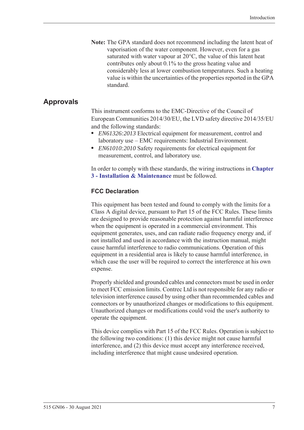**Note:** The GPA standard does not recommend including the latent heat of vaporisation of the water component. However, even for a gas saturated with water vapour at  $20^{\circ}$ C, the value of this latent heat contributes only about 0.1% to the gross heating value and considerably less at lower combustion temperatures. Such a heating value is within the uncertainties of the properties reported in the GPA standard.

### <span id="page-16-0"></span>**Approvals**

This instrument conforms to the EMC-Directive of the Council of European Communities 2014/30/EU, the LVD safety directive 2014/35/EU and the following standards:

- **•** *EN61326:2013* Electrical equipment for measurement, control and laboratory use – EMC requirements: Industrial Environment.
- **•** *EN61010:2010* Safety requirements for electrical equipment for measurement, control, and laboratory use.

In order to comply with these standards, the wiring instructions in **[Chapter](#page-20-5)  [3 - Installation & Maintenance](#page-20-5)** must be followed.

### **FCC Declaration**

This equipment has been tested and found to comply with the limits for a Class A digital device, pursuant to Part 15 of the FCC Rules. These limits are designed to provide reasonable protection against harmful interference when the equipment is operated in a commercial environment. This equipment generates, uses, and can radiate radio frequency energy and, if not installed and used in accordance with the instruction manual, might cause harmful interference to radio communications. Operation of this equipment in a residential area is likely to cause harmful interference, in which case the user will be required to correct the interference at his own expense.

Properly shielded and grounded cables and connectors must be used in order to meet FCC emission limits. Contrec Ltd is not responsible for any radio or television interference caused by using other than recommended cables and connectors or by unauthorized changes or modifications to this equipment. Unauthorized changes or modifications could void the user's authority to operate the equipment.

This device complies with Part 15 of the FCC Rules. Operation is subject to the following two conditions: (1) this device might not cause harmful interference, and (2) this device must accept any interference received, including interference that might cause undesired operation.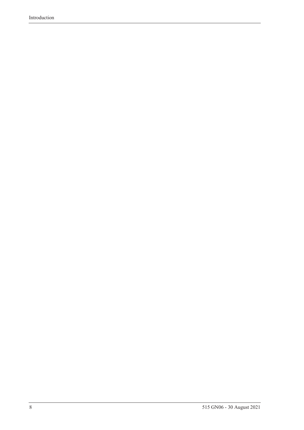Introduction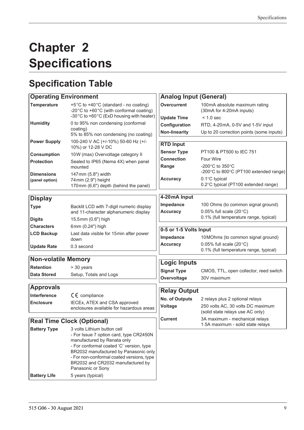# <span id="page-18-0"></span>**Chapter 2 Specifications**

# <span id="page-18-1"></span>**Specification Table**

| <b>Operating Environment</b>        |                                                                                                                                                                                                                                                                                                   | <b>Analog Input (General)</b> |                                                                               |  |  |  |  |
|-------------------------------------|---------------------------------------------------------------------------------------------------------------------------------------------------------------------------------------------------------------------------------------------------------------------------------------------------|-------------------------------|-------------------------------------------------------------------------------|--|--|--|--|
| <b>Temperature</b>                  | +5°C to +40°C (standard - no coating)<br>-20°C to +60°C (with conformal coating)                                                                                                                                                                                                                  | <b>Overcurrent</b>            | 100mA absolute maximum rating<br>(30mA for 4-20mA inputs)                     |  |  |  |  |
|                                     | -30°C to +60°C (ExD housing with heater)                                                                                                                                                                                                                                                          | <b>Update Time</b>            | $< 1.0$ sec                                                                   |  |  |  |  |
| <b>Humidity</b>                     | 0 to 95% non condensing (conformal                                                                                                                                                                                                                                                                | Configuration                 | RTD, 4-20mA, 0-5V and 1-5V input                                              |  |  |  |  |
|                                     | coating)<br>5% to 85% non condensing (no coating)                                                                                                                                                                                                                                                 | <b>Non-linearity</b>          | Up to 20 correction points (some inputs)                                      |  |  |  |  |
| <b>Power Supply</b>                 | 100-240 V AC (+/-10%) 50-60 Hz (+/-<br>10%) or 12-28 V DC                                                                                                                                                                                                                                         | <b>RTD Input</b>              |                                                                               |  |  |  |  |
| <b>Consumption</b>                  | 10W (max) Overvoltage category II                                                                                                                                                                                                                                                                 | <b>Sensor Type</b>            | PT100 & PT500 to IEC 751                                                      |  |  |  |  |
| <b>Protection</b>                   | Sealed to IP65 (Nema 4X) when panel                                                                                                                                                                                                                                                               | <b>Connection</b>             | Four Wire                                                                     |  |  |  |  |
|                                     | mounted                                                                                                                                                                                                                                                                                           | Range                         | -200 $\degree$ C to 350 $\degree$ C<br>-200°C to 800°C (PT100 extended range) |  |  |  |  |
| <b>Dimensions</b><br>(panel option) | 147mm (5.8") width<br>74mm (2.9") height<br>170mm (6.6") depth (behind the panel)                                                                                                                                                                                                                 | <b>Accuracy</b>               | 0.1°C typical<br>0.2°C typical (PT100 extended range)                         |  |  |  |  |
| <b>Display</b>                      |                                                                                                                                                                                                                                                                                                   | 4-20mA Input                  |                                                                               |  |  |  |  |
| <b>Type</b>                         | Backlit LCD with 7-digit numeric display                                                                                                                                                                                                                                                          | Impedance                     | 100 Ohms (to common signal ground)                                            |  |  |  |  |
|                                     | and 11-character alphanumeric display                                                                                                                                                                                                                                                             | <b>Accuracy</b>               | 0.05% full scale $(20^{\circ}C)$                                              |  |  |  |  |
| <b>Digits</b>                       | 15.5mm (0.6") high                                                                                                                                                                                                                                                                                |                               | 0.1% (full temperature range, typical)                                        |  |  |  |  |
| <b>Characters</b>                   | 6mm (0.24") high                                                                                                                                                                                                                                                                                  |                               |                                                                               |  |  |  |  |
| <b>LCD Backup</b>                   | Last data visible for 15 min after power                                                                                                                                                                                                                                                          | 0-5 or 1-5 Volts Input        |                                                                               |  |  |  |  |
|                                     | down                                                                                                                                                                                                                                                                                              | Impedance                     | 10MOhms (to common signal ground)                                             |  |  |  |  |
| <b>Update Rate</b>                  | 0.3 second                                                                                                                                                                                                                                                                                        | <b>Accuracy</b>               | 0.05% full scale $(20^{\circ}C)$<br>0.1% (full temperature range, typical)    |  |  |  |  |
| <b>Non-volatile Memory</b>          |                                                                                                                                                                                                                                                                                                   |                               |                                                                               |  |  |  |  |
| <b>Retention</b>                    | > 30 years                                                                                                                                                                                                                                                                                        | <b>Logic Inputs</b>           |                                                                               |  |  |  |  |
| <b>Data Stored</b>                  | Setup, Totals and Logs                                                                                                                                                                                                                                                                            | <b>Signal Type</b>            | CMOS, TTL, open collector, reed switch                                        |  |  |  |  |
|                                     |                                                                                                                                                                                                                                                                                                   | Overvoltage                   | 30V maximum                                                                   |  |  |  |  |
| <b>Approvals</b>                    |                                                                                                                                                                                                                                                                                                   | <b>Relay Output</b>           |                                                                               |  |  |  |  |
| Interference                        | $C \in \mathbb{C}$ compliance                                                                                                                                                                                                                                                                     | No. of Outputs                | 2 relays plus 2 optional relays                                               |  |  |  |  |
| <b>Enclosure</b>                    | IECEx, ATEX and CSA approved                                                                                                                                                                                                                                                                      | Voltage                       | 250 volts AC, 30 volts DC maximum                                             |  |  |  |  |
|                                     | enclosures available for hazardous areas                                                                                                                                                                                                                                                          |                               | (solid state relays use AC only)                                              |  |  |  |  |
| <b>Real Time Clock (Optional)</b>   |                                                                                                                                                                                                                                                                                                   | <b>Current</b>                | 3A maximum - mechanical relays<br>1.5A maximum - solid state relays           |  |  |  |  |
| <b>Battery Type</b>                 | 3 volts Lithium button cell<br>- For Issue 7 option card, type CR2450N<br>manufactured by Renata only<br>- For conformal coated 'C' version, type<br>BR2032 manufactured by Panasonic only<br>- For non-conformal coated versions, type<br>BR2032 and CR2032 manufactured by<br>Panasonic or Sony |                               |                                                                               |  |  |  |  |

**Battery Life** 5 years (typical)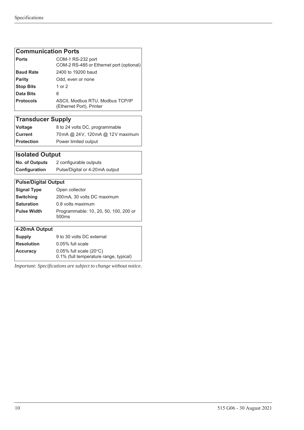### **Communication Ports**

| <b>Ports</b>     | COM-1 RS-232 port<br>COM-2 RS-485 or Ethernet port (optional) |
|------------------|---------------------------------------------------------------|
| <b>Baud Rate</b> | 2400 to 19200 baud                                            |
| <b>Parity</b>    | Odd, even or none                                             |
| <b>Stop Bits</b> | 1 or 2                                                        |
| Data Bits        | 8                                                             |
| <b>Protocols</b> | ASCII, Modbus RTU, Modbus TCP/IP<br>(Ethernet Port), Printer  |

# **Transducer Supply**

| <b>Voltage</b>    | 8 to 24 volts DC, programmable  |
|-------------------|---------------------------------|
| l Current l       | 70mA @ 24V, 120mA @ 12V maximum |
| <b>Protection</b> | Power limited output            |

# **Isolated Output**

| <b>No. of Outputs</b> | 2 configurable outputs         |
|-----------------------|--------------------------------|
| Configuration         | Pulse/Digital or 4-20mA output |

| <b>Pulse/Digital Output</b> |                                                            |  |  |  |  |
|-----------------------------|------------------------------------------------------------|--|--|--|--|
| <b>Signal Type</b>          | Open collector                                             |  |  |  |  |
| <b>Switching</b>            | 200 mA, 30 volts DC maximum                                |  |  |  |  |
| <b>Saturation</b>           | 0.8 volts maximum                                          |  |  |  |  |
| <b>Pulse Width</b>          | Programmable: 10, 20, 50, 100, 200 or<br>500 <sub>ms</sub> |  |  |  |  |
|                             |                                                            |  |  |  |  |
| 4-20mA Output               |                                                            |  |  |  |  |
| $\sim$ $\sim$               |                                                            |  |  |  |  |

| <b>Supply</b>     | 9 to 30 volts DC external              |
|-------------------|----------------------------------------|
| <b>Resolution</b> | $0.05\%$ full scale                    |
| <b>Accuracy</b>   | $0.05\%$ full scale (20 $\degree$ C)   |
|                   | 0.1% (full temperature range, typical) |

*Important: Specifications are subject to change without notice.*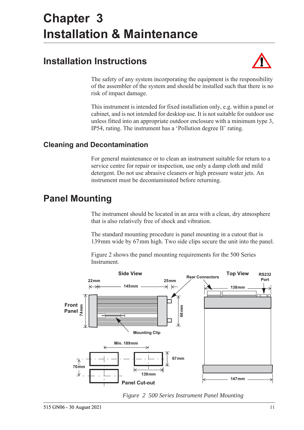# <span id="page-20-5"></span><span id="page-20-0"></span>**Chapter 3 Installation & Maintenance**

# <span id="page-20-1"></span>**Installation Instructions**



The safety of any system incorporating the equipment is the responsibility of the assembler of the system and should be installed such that there is no risk of impact damage.

This instrument is intended for fixed installation only, e.g. within a panel or cabinet, and is not intended for desktop use. It is not suitable for outdoor use unless fitted into an appropriate outdoor enclosure with a minimum type 3, IP54, rating. The instrument has a 'Pollution degree II' rating.

# <span id="page-20-2"></span>**Cleaning and Decontamination**

For general maintenance or to clean an instrument suitable for return to a service centre for repair or inspection, use only a damp cloth and mild detergent. Do not use abrasive cleaners or high pressure water jets. An instrument must be decontaminated before returning.

# <span id="page-20-3"></span>**Panel Mounting**

The instrument should be located in an area with a clean, dry atmosphere that is also relatively free of shock and vibration.

The standard mounting procedure is panel mounting in a cutout that is 139 mm wide by 67 mm high. Two side clips secure the unit into the panel.

[Figure 2](#page-20-4) shows the panel mounting requirements for the 500 Series Instrument.



<span id="page-20-4"></span>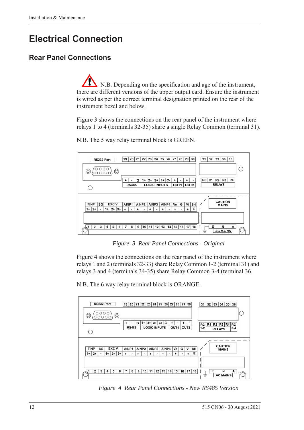# <span id="page-21-0"></span>**Electrical Connection**

# <span id="page-21-1"></span>**Rear Panel Connections**

N.B. Depending on the specification and age of the instrument, there are different versions of the upper output card. Ensure the instrument is wired as per the correct terminal designation printed on the rear of the instrument bezel and below.

[Figure 3](#page-21-2) shows the connections on the rear panel of the instrument where relays 1 to 4 (terminals 32-35) share a single Relay Common (terminal 31).



N.B. The 5 way relay terminal block is GREEN.

*Figure 3 Rear Panel Connections - Original*

<span id="page-21-2"></span>[Figure 4](#page-21-3) shows the connections on the rear panel of the instrument where relays 1 and 2 (terminals 32-33) share Relay Common 1-2 (terminal 31) and relays 3 and 4 (terminals 34-35) share Relay Common 3-4 (terminal 36.

N.B. The 6 way relay terminal block is ORANGE.



<span id="page-21-3"></span>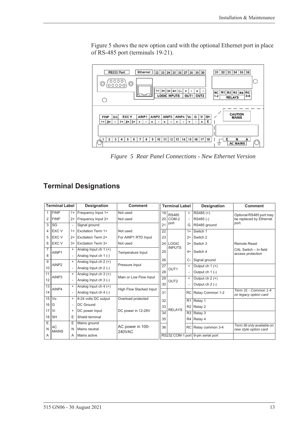[Figure 5](#page-22-1) shows the new option card with the optional Ethernet port in place of RS-485 port (terminals 19-21).



<span id="page-22-1"></span>*Figure 5 Rear Panel Connections - New Ethernet Version*

# <span id="page-22-0"></span>**Terminal Designations**

| <b>Terminal Label</b> |                    |                                              | Designation               | <b>Comment</b>           | <b>Terminal Label</b> |                  |           | Designation                        | <b>Comment</b>                                     |
|-----------------------|--------------------|----------------------------------------------|---------------------------|--------------------------|-----------------------|------------------|-----------|------------------------------------|----------------------------------------------------|
| 1                     | <b>FINP</b>        | $1+$                                         | Frequency Input 1+        | Not used                 | 19                    | <b>RS485</b>     | $\ddot{}$ | RS485 (+)                          | Optional RS485 port may                            |
| 2                     | <b>FINP</b>        | $2+$                                         | Frequency Input 2+        | Not used                 | 20                    | COM-2            |           | RS485(-)                           | be replaced by Ethernet                            |
| 3                     | SG                 | $\overline{\phantom{a}}$                     | Signal ground             |                          | 21                    | port             | G         | RS485 ground                       | port.                                              |
| 4                     | EXC V              | $1+$                                         | <b>Excitation Term 1+</b> | Not used                 | 22                    |                  | $1+$      | Switch 1                           |                                                    |
| 5                     | EXC V              | $2+$                                         | <b>Excitation Term 2+</b> | For AINP1 RTD Input      | 23                    |                  | $2+$      | Switch 2                           |                                                    |
| 6                     | <b>EXC V</b>       | $3+$                                         | <b>Excitation Term 3+</b> | Not used                 | 24                    | <b>LOGIC</b>     | $3+$      | Switch 3                           | <b>Remote Reset</b>                                |
| $\overline{7}$        | AINP1              | $\ddot{}$                                    | Analog Input ch $1 (+)$   | Temperature Input        | 25                    | <b>INPUTS</b>    | $4+$      | Switch 4                           | CAL Switch - In field                              |
| 8                     |                    |                                              | Analog Input ch 1 (-)     |                          |                       |                  |           |                                    | access protection                                  |
| 9                     |                    | $\ddot{}$                                    | Analog Input ch $2 (+)$   | Pressure Input           | 26                    |                  | $C-$      | Signal ground                      |                                                    |
| 10                    | AINP <sub>2</sub>  |                                              | Analog Input ch 2 (-)     |                          | $\overline{27}$       | OUT <sub>1</sub> | $+$       | Output ch $1 (+)$                  |                                                    |
| 11                    |                    | $\ddot{}$                                    | Analog Input ch $3 (+)$   | Main or Low Flow Input   | 28                    |                  |           | Output $ch 1$ (-)                  |                                                    |
| 12                    | AINP3              | $\overline{\phantom{a}}$                     | Analog Input ch 3 (-)     |                          | 29                    | OUT <sub>2</sub> | $\ddot{}$ | Output ch $2 (+)$                  |                                                    |
| $\overline{13}$       |                    | $\ddot{}$                                    | Analog Input ch $4 (+)$   | High Flow Stacked Input  | 30                    |                  |           | Output $ch 2$ (-)                  |                                                    |
| 14                    | AINP4              |                                              | Analog Input ch 4 (-)     |                          | 31                    |                  | <b>RC</b> | Relay Common 1-2                   | Term 31 - Common 1-4<br>on legacy option card      |
| 15                    | Vo                 | $\ddot{}$                                    | 8-24 volts DC output      | Overload protected<br>32 |                       | R <sub>1</sub>   | Relay 1   |                                    |                                                    |
| 16                    | G                  | <b>DC</b> Ground<br>$\overline{\phantom{a}}$ | 33                        |                          | R2                    | Relay 2          |           |                                    |                                                    |
| 17                    | Vi                 | $\ddot{}$                                    | DC power input            | DC power in 12-28V       | $\overline{34}$       | <b>RELAYS</b>    | R3        | Relay 3                            |                                                    |
| 18                    | <b>SH</b>          | E                                            | Shield terminal           |                          | 35                    |                  | R4        | Relay 4                            |                                                    |
| Ε                     | AC<br><b>MAINS</b> | Ε                                            | Mains ground              | AC power in 100-         |                       |                  |           |                                    |                                                    |
| N                     |                    | N                                            | Mains neutral             |                          | 36                    |                  | RC        | Relay common 3-4                   | Term 36 only available on<br>new style option card |
| A                     |                    | Α                                            | Mains active              | <b>240VAC</b>            |                       |                  |           | RS232 COM-1 port 9-pin serial port |                                                    |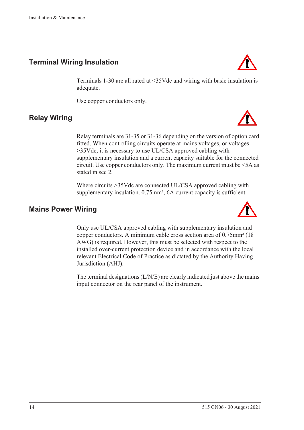# <span id="page-23-0"></span>**Terminal Wiring Insulation**

Terminals 1-30 are all rated at <35Vdc and wiring with basic insulation is adequate.

Use copper conductors only.

stated in sec 2.

# <span id="page-23-1"></span>**Relay Wiring**

Relay terminals are 31-35 or 31-36 depending on the version of option card fitted. When controlling circuits operate at mains voltages, or voltages >35Vdc, it is necessary to use UL/CSA approved cabling with supplementary insulation and a current capacity suitable for the connected circuit. Use copper conductors only. The maximum current must be <5A as

Where circuits >35Vdc are connected UL/CSA approved cabling with supplementary insulation. 0.75mm<sup>2</sup>, 6A current capacity is sufficient.

## <span id="page-23-2"></span>**Mains Power Wiring**

Only use UL/CSA approved cabling with supplementary insulation and copper conductors. A minimum cable cross section area of 0.75mm² (18 AWG) is required. However, this must be selected with respect to the installed over-current protection device and in accordance with the local relevant Electrical Code of Practice as dictated by the Authority Having Jurisdiction (AHJ).

The terminal designations (L/N/E) are clearly indicated just above the mains input connector on the rear panel of the instrument.



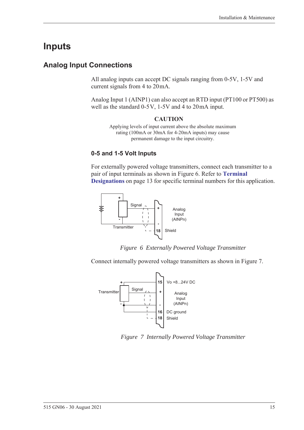# <span id="page-24-0"></span>**Inputs**

# <span id="page-24-1"></span>**Analog Input Connections**

All analog inputs can accept DC signals ranging from 0-5V, 1-5V and current signals from 4 to 20 mA.

Analog Input 1 (AINP1) can also accept an RTD input (PT100 or PT500) as well as the standard  $0-5V$ ,  $1-5V$  and  $4$  to  $20mA$  input.

#### **CAUTION**

Applying levels of input current above the absolute maximum rating (100mA or 30mA for 4-20mA inputs) may cause permanent damage to the input circuitry.

### **0-5 and 1-5 Volt Inputs**

For externally powered voltage transmitters, connect each transmitter to a pair of input terminals as shown in [Figure 6.](#page-24-2) Refer to **[Terminal](#page-22-0)  [Designations](#page-22-0)** on page 13 for specific terminal numbers for this application.



*Figure 6 Externally Powered Voltage Transmitter*

<span id="page-24-2"></span>Connect internally powered voltage transmitters as shown in [Figure 7.](#page-24-3)



<span id="page-24-3"></span>*Figure 7 Internally Powered Voltage Transmitter*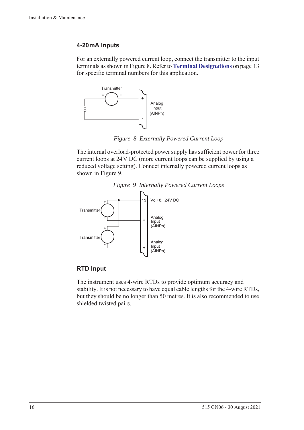### **4-20 mA Inputs**

For an externally powered current loop, connect the transmitter to the input terminals as shown in [Figure 8](#page-25-0). Refer to **[Terminal Designations](#page-22-0)** on page 13 for specific terminal numbers for this application.



*Figure 8 Externally Powered Current Loop*

<span id="page-25-0"></span>The internal overload-protected power supply has sufficient power for three current loops at 24 V DC (more current loops can be supplied by using a reduced voltage setting). Connect internally powered current loops as shown in [Figure 9](#page-25-1).



<span id="page-25-1"></span>

### **RTD Input**

The instrument uses 4-wire RTDs to provide optimum accuracy and stability. It is not necessary to have equal cable lengths for the 4-wire RTDs, but they should be no longer than 50 metres. It is also recommended to use shielded twisted pairs.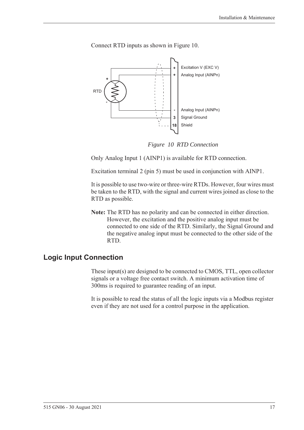

Connect RTD inputs as shown in [Figure 10.](#page-26-1)

*Figure 10 RTD Connection*

<span id="page-26-1"></span>Only Analog Input 1 (AINP1) is available for RTD connection.

Excitation terminal 2 (pin 5) must be used in conjunction with AINP1.

It is possible to use two-wire or three-wire RTDs. However, four wires must be taken to the RTD, with the signal and current wires joined as close to the RTD as possible.

**Note:** The RTD has no polarity and can be connected in either direction. However, the excitation and the positive analog input must be connected to one side of the RTD. Similarly, the Signal Ground and the negative analog input must be connected to the other side of the RTD.

### <span id="page-26-0"></span>**Logic Input Connection**

These input(s) are designed to be connected to CMOS, TTL, open collector signals or a voltage free contact switch. A minimum activation time of 300ms is required to guarantee reading of an input.

It is possible to read the status of all the logic inputs via a Modbus register even if they are not used for a control purpose in the application.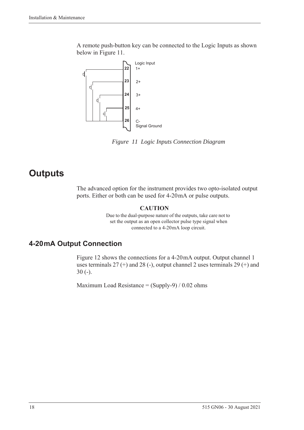A remote push-button key can be connected to the Logic Inputs as shown below in [Figure 11](#page-27-2).



<span id="page-27-2"></span>*Figure 11 Logic Inputs Connection Diagram*

# <span id="page-27-0"></span>**Outputs**

The advanced option for the instrument provides two opto-isolated output ports. Either or both can be used for 4-20 mA or pulse outputs.

### **CAUTION**

Due to the dual-purpose nature of the outputs, take care not to set the output as an open collector pulse type signal when connected to a 4-20 mA loop circuit.

# <span id="page-27-1"></span>**4-20 mA Output Connection**

[Figure 12](#page-28-1) shows the connections for a 4-20 mA output. Output channel 1 uses terminals  $27 (+)$  and  $28 (-)$ , output channel 2 uses terminals  $29 (+)$  and 30 (-).

Maximum Load Resistance =  $(Supply-9) / 0.02$  ohms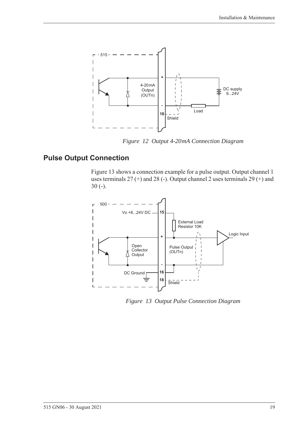

*Figure 12 Output 4-20 mA Connection Diagram*

# <span id="page-28-0"></span>**Pulse Output Connection**

<span id="page-28-1"></span>[Figure 13](#page-28-2) shows a connection example for a pulse output. Output channel 1 uses terminals 27 (+) and 28 (-). Output channel 2 uses terminals 29 (+) and 30 (-).



<span id="page-28-2"></span>*Figure 13 Output Pulse Connection Diagram*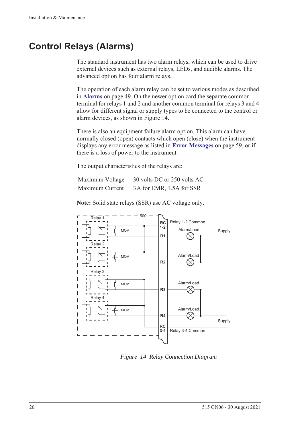# <span id="page-29-0"></span>**Control Relays (Alarms)**

The standard instrument has two alarm relays, which can be used to drive external devices such as external relays, LEDs, and audible alarms. The advanced option has four alarm relays.

The operation of each alarm relay can be set to various modes as described in **Alarms** [on page 49](#page-58-1). On the newer option card the separate common terminal for relays 1 and 2 and another common terminal for relays 3 and 4 allow for different signal or supply types to be connected to the control or alarm devices, as shown in [Figure 14.](#page-29-1)

There is also an equipment failure alarm option. This alarm can have normally closed (open) contacts which open (close) when the instrument displays any error message as listed in **[Error Messages](#page-68-2)** on page 59, or if there is a loss of power to the instrument.

The output characteristics of the relays are:

| Maximum Voltage | 30 volts DC or 250 volts AC |
|-----------------|-----------------------------|
| Maximum Current | 3A for EMR, 1.5A for SSR    |

**Note:** Solid state relays (SSR) use AC voltage only.



<span id="page-29-1"></span>*Figure 14 Relay Connection Diagram*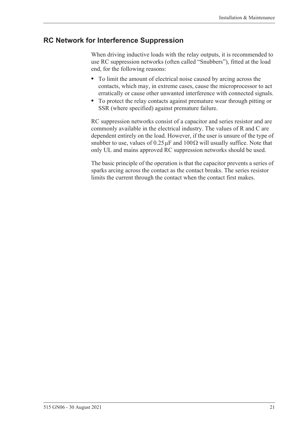## <span id="page-30-0"></span>**RC Network for Interference Suppression**

When driving inductive loads with the relay outputs, it is recommended to use RC suppression networks (often called "Snubbers"), fitted at the load end, for the following reasons:

- **•** To limit the amount of electrical noise caused by arcing across the contacts, which may, in extreme cases, cause the microprocessor to act erratically or cause other unwanted interference with connected signals.
- **•** To protect the relay contacts against premature wear through pitting or SSR (where specified) against premature failure.

RC suppression networks consist of a capacitor and series resistor and are commonly available in the electrical industry. The values of R and C are dependent entirely on the load. However, if the user is unsure of the type of snubber to use, values of  $0.25 \mu$ F and  $100 \Omega$  will usually suffice. Note that only UL and mains approved RC suppression networks should be used.

The basic principle of the operation is that the capacitor prevents a series of sparks arcing across the contact as the contact breaks. The series resistor limits the current through the contact when the contact first makes.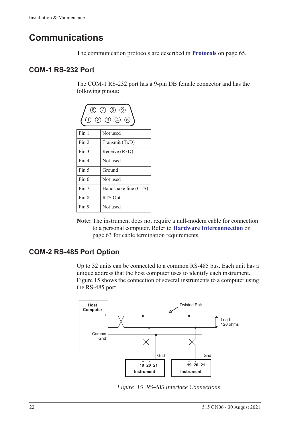# <span id="page-31-0"></span>**Communications**

The communication protocols are described in **Protocols** [on page 65.](#page-74-3)

## <span id="page-31-1"></span>**COM-1 RS-232 Port**

The COM-1 RS-232 port has a 9-pin DB female connector and has the following pinout:



**Note:** The instrument does not require a null-modem cable for connection to a personal computer. Refer to **[Hardware Interconnection](#page-72-4)** on [page 63](#page-72-4) for cable termination requirements.

# <span id="page-31-2"></span>**COM-2 RS-485 Port Option**

Up to 32 units can be connected to a common RS-485 bus. Each unit has a unique address that the host computer uses to identify each instrument. [Figure 15](#page-31-3) shows the connection of several instruments to a computer using the RS-485 port.



<span id="page-31-3"></span>*Figure 15 RS-485 Interface Connections*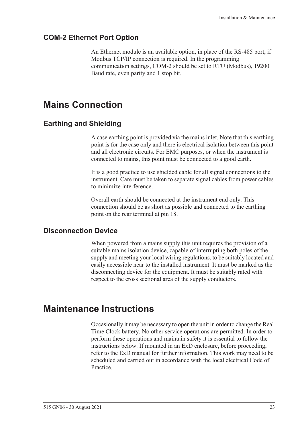## <span id="page-32-0"></span>**COM-2 Ethernet Port Option**

An Ethernet module is an available option, in place of the RS-485 port, if Modbus TCP/IP connection is required. In the programming communication settings, COM-2 should be set to RTU (Modbus), 19200 Baud rate, even parity and 1 stop bit.

# <span id="page-32-1"></span>**Mains Connection**

## <span id="page-32-2"></span>**Earthing and Shielding**

A case earthing point is provided via the mains inlet. Note that this earthing point is for the case only and there is electrical isolation between this point and all electronic circuits. For EMC purposes, or when the instrument is connected to mains, this point must be connected to a good earth.

It is a good practice to use shielded cable for all signal connections to the instrument. Care must be taken to separate signal cables from power cables to minimize interference.

Overall earth should be connected at the instrument end only. This connection should be as short as possible and connected to the earthing point on the rear terminal at pin 18.

## <span id="page-32-3"></span>**Disconnection Device**

When powered from a mains supply this unit requires the provision of a suitable mains isolation device, capable of interrupting both poles of the supply and meeting your local wiring regulations, to be suitably located and easily accessible near to the installed instrument. It must be marked as the disconnecting device for the equipment. It must be suitably rated with respect to the cross sectional area of the supply conductors.

# <span id="page-32-4"></span>**Maintenance Instructions**

Occasionally it may be necessary to open the unit in order to change the Real Time Clock battery. No other service operations are permitted. In order to perform these operations and maintain safety it is essential to follow the instructions below. If mounted in an ExD enclosure, before proceeding, refer to the ExD manual for further information. This work may need to be scheduled and carried out in accordance with the local electrical Code of Practice.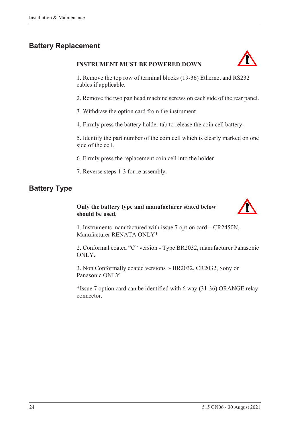# <span id="page-33-0"></span>**Battery Replacement**

### **INSTRUMENT MUST BE POWERED DOWN**



1. Remove the top row of terminal blocks (19-36) Ethernet and RS232 cables if applicable.

2. Remove the two pan head machine screws on each side of the rear panel.

3. Withdraw the option card from the instrument.

4. Firmly press the battery holder tab to release the coin cell battery.

5. Identify the part number of the coin cell which is clearly marked on one side of the cell.

6. Firmly press the replacement coin cell into the holder

7. Reverse steps 1-3 for re assembly.

# <span id="page-33-1"></span>**Battery Type**

### **Only the battery type and manufacturer stated below should be used.**



1. Instruments manufactured with issue 7 option card – CR2450N, Manufacturer RENATA ONLY\*

2. Conformal coated "C" version - Type BR2032, manufacturer Panasonic ONLY.

3. Non Conformally coated versions :- BR2032, CR2032, Sony or Panasonic ONLY.

\*Issue 7 option card can be identified with 6 way (31-36) ORANGE relay connector.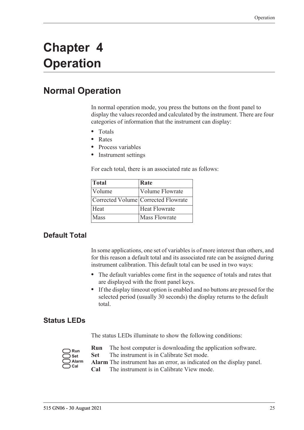# <span id="page-34-0"></span>**Chapter 4 Operation**

# <span id="page-34-1"></span>**Normal Operation**

In normal operation mode, you press the buttons on the front panel to display the values recorded and calculated by the instrument. There are four categories of information that the instrument can display:

- **•** Totals
- **•** Rates
- **•** Process variables
- **•** Instrument settings

For each total, there is an associated rate as follows:

| Total                       | Rate                                |
|-----------------------------|-------------------------------------|
| <i><u><b>Nolume</b></u></i> | <b>Volume Flowrate</b>              |
|                             | Corrected Volume Corrected Flowrate |
| Heat                        | <b>Heat Flowrate</b>                |
| Mass                        | <b>Mass Flowrate</b>                |

# <span id="page-34-2"></span>**Default Total**

In some applications, one set of variables is of more interest than others, and for this reason a default total and its associated rate can be assigned during instrument calibration. This default total can be used in two ways:

- **•** The default variables come first in the sequence of totals and rates that are displayed with the front panel keys.
- **•** If the display timeout option is enabled and no buttons are pressed for the selected period (usually 30 seconds) the display returns to the default total.

## <span id="page-34-3"></span>**Status LEDs**

The status LEDs illuminate to show the following conditions:

| Run   |
|-------|
| Set   |
| Alarm |
| Cal   |

- **Run** The host computer is downloading the application software.
- **Set** The instrument is in Calibrate Set mode.
- **Alarm** The instrument has an error, as indicated on the display panel.
	- **Cal** The instrument is in Calibrate View mode.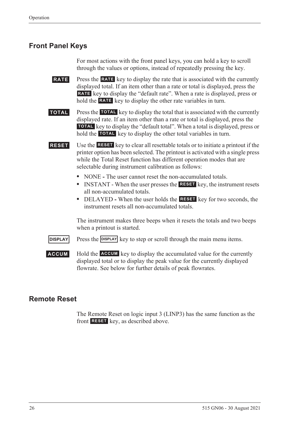# <span id="page-35-0"></span>**Front Panel Keys**

For most actions with the front panel keys, you can hold a key to scroll through the values or options, instead of repeatedly pressing the key.

**RATE** Press the **RATE** key to display the rate that is associated with the currently displayed total. If an item other than a rate or total is displayed, press the RATE key to display the "default rate". When a rate is displayed, press or hold the **RATE** key to display the other rate variables in turn.

**TOTAL** Press the TOTAL key to display the total that is associated with the currently displayed rate. If an item other than a rate or total is displayed, press the **TOTAL** key to display the "default total". When a total is displayed, press or hold the **TOTAL** key to display the other total variables in turn.

**RESET** Use the **RESET** key to clear all resettable totals or to initiate a printout if the printer option has been selected. The printout is activated with a single press while the Total Reset function has different operation modes that are selectable during instrument calibration as follows:

- NONE The user cannot reset the non-accumulated totals.
- INSTANT When the user presses the **RESET** key, the instrument resets all non-accumulated totals.
- DELAYED When the user holds the **RESET** key for two seconds, the instrument resets all non-accumulated totals.

The instrument makes three beeps when it resets the totals and two beeps when a printout is started.

**DISPLAY** Press the **DISPLAY** key to step or scroll through the main menu items.

**ACCUM** Hold the **ACCUM** key to display the accumulated value for the currently displayed total or to display the peak value for the currently displayed flowrate. See below for further details of peak flowrates.

## <span id="page-35-1"></span>**Remote Reset**

The Remote Reset on logic input 3 (LINP3) has the same function as the front **RESET** key, as described above.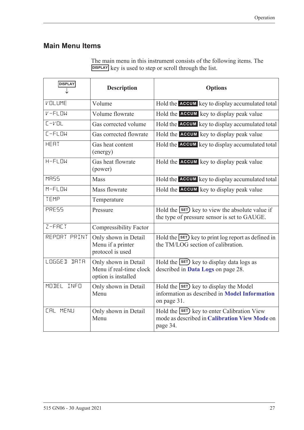# **Main Menu Items**

| The main menu in this instrument consists of the following items. The |
|-----------------------------------------------------------------------|
| DISPLAY key is used to step or scroll through the list.               |

| <b>DISPLAY</b>  | <b>Description</b>                                                     | <b>Options</b>                                                                                                     |
|-----------------|------------------------------------------------------------------------|--------------------------------------------------------------------------------------------------------------------|
| VOLUME          | Volume                                                                 | Hold the ACCUM key to display accumulated total                                                                    |
| $V$ -FLOW       | Volume flowrate                                                        | Hold the <b>ACCUM</b> key to display peak value                                                                    |
| $L - VDL$       | Gas corrected volume                                                   | Hold the ACCUM key to display accumulated total                                                                    |
| $L-FLOW$        | Gas corrected flowrate                                                 | Hold the <b>ACCUM</b> key to display peak value                                                                    |
| HERT            | Gas heat content<br>(energy)                                           | Hold the ACCUM key to display accumulated total                                                                    |
| $H-FLDW$        | Gas heat flowrate<br>(power)                                           | Hold the <b>ACCUM</b> key to display peak value                                                                    |
| <b>MR55</b>     | Mass                                                                   | Hold the ACCUM key to display accumulated total                                                                    |
| $M-FLDW$        | Mass flowrate                                                          | Hold the ACCUM key to display peak value                                                                           |
| TEMP            | Temperature                                                            |                                                                                                                    |
| PRESS           | Pressure                                                               | Hold the $\overline{\text{SET}}$ key to view the absolute value if<br>the type of pressure sensor is set to GAUGE. |
| $Z-FHLT$        | <b>Compressibility Factor</b>                                          |                                                                                                                    |
| REPORT PRINT    | Only shown in Detail<br>Menu if a printer<br>protocol is used          | Hold the SET key to print log report as defined in<br>the TM/LOG section of calibration.                           |
| LOGGED DATA     | Only shown in Detail<br>Menu if real-time clock<br>option is installed | Hold the SET) key to display data logs as<br>described in Data Logs on page 28.                                    |
| MODEL INFO      | Only shown in Detail<br>Menu                                           | Hold the <b>SET</b> key to display the Model<br>information as described in Model Information<br>on page 31.       |
| <b>CAL MENU</b> | Only shown in Detail<br>Menu                                           | Hold the SET) key to enter Calibration View<br>mode as described in Calibration View Mode on<br>page 34.           |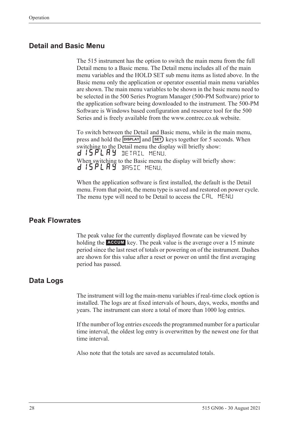### **Detail and Basic Menu**

The 515 instrument has the option to switch the main menu from the full Detail menu to a Basic menu. The Detail menu includes all of the main menu variables and the HOLD SET sub menu items as listed above. In the Basic menu only the application or operator essential main menu variables are shown. The main menu variables to be shown in the basic menu need to be selected in the 500 Series Program Manager (500-PM Software) prior to the application software being downloaded to the instrument. The 500-PM Software is Windows based configuration and resource tool for the 500 Series and is freely available from the www.contrec.co.uk website.

To switch between the Detail and Basic menu, while in the main menu, press and hold the **DISPLAY** and **SET**) keys together for 5 seconds. When switching to the Detail menu the display will briefly show: d 15 PL A Y DETAIL MENU. When switching to the Basic menu the display will briefly show: d 15PLAY BASIC MENU.

When the application software is first installed, the default is the Detail menu. From that point, the menu type is saved and restored on power cycle. The menu type will need to be Detail to access the CAL MENU

### **Peak Flowrates**

The peak value for the currently displayed flowrate can be viewed by holding the **ACCUM** key. The peak value is the average over a 15 minute period since the last reset of totals or powering on of the instrument. Dashes are shown for this value after a reset or power on until the first averaging period has passed.

#### <span id="page-37-0"></span>**Data Logs**

The instrument will log the main-menu variables if real-time clock option is installed. The logs are at fixed intervals of hours, days, weeks, months and years. The instrument can store a total of more than 1000 log entries.

If the number of log entries exceeds the programmed number for a particular time interval, the oldest log entry is overwritten by the newest one for that time interval.

Also note that the totals are saved as accumulated totals.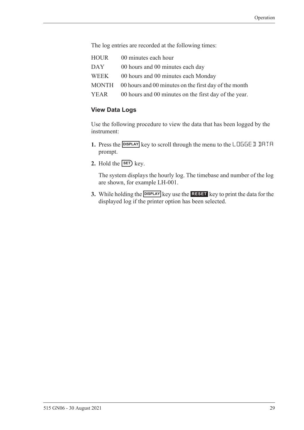The log entries are recorded at the following times:

HOUR 00 minutes each hour DAY 00 hours and 00 minutes each day WEEK 00 hours and 00 minutes each Monday MONTH 00 hours and 00 minutes on the first day of the month YEAR 00 hours and 00 minutes on the first day of the year.

#### **View Data Logs**

Use the following procedure to view the data that has been logged by the instrument:

- **1.** Press the **DISPLAY** key to scroll through the menu to the LOGGE D DATA prompt.
- **2.** Hold the  $\overline{\text{SET}}$  key.

The system displays the hourly log. The timebase and number of the log are shown, for example LH-001.

**3.** While holding the **DISPLAY** key use the **RESET** key to print the data for the displayed log if the printer option has been selected.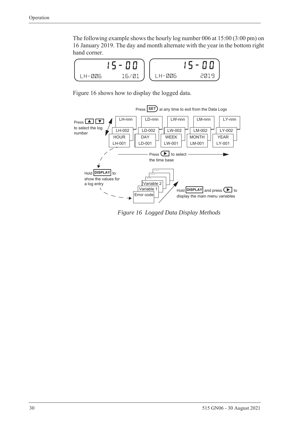The following example shows the hourly log number 006 at 15:00 (3:00 pm) on 16 January 2019. The day and month alternate with the year in the bottom right hand corner.



[Figure 16](#page-39-0) shows how to display the logged data.



<span id="page-39-0"></span>*Figure 16 Logged Data Display Methods*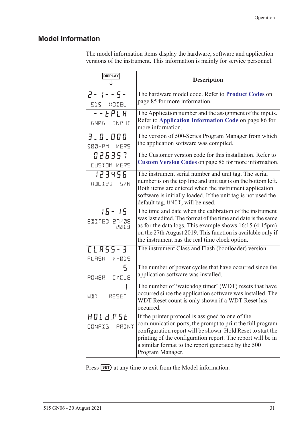# <span id="page-40-1"></span><span id="page-40-0"></span>**Model Information**

The model information items display the hardware, software and application versions of the instrument. This information is mainly for service personnel.

| <b>DISPLAY</b>                     | <b>Description</b>                                                                                                                                                                                                                                                                                                      |
|------------------------------------|-------------------------------------------------------------------------------------------------------------------------------------------------------------------------------------------------------------------------------------------------------------------------------------------------------------------------|
| $2 - 1 - 5 -$<br>SIS MODEL         | The hardware model code. Refer to Product Codes on<br>page 85 for more information.                                                                                                                                                                                                                                     |
| $- - F L H$<br>GN06 INPUT          | The Application number and the assignment of the inputs.<br>Refer to Application Information Code on page 86 for<br>more information.                                                                                                                                                                                   |
| 3.0.000<br>SØØ-PM VERS             | The version of 500-Series Program Manager from which<br>the application software was compiled.                                                                                                                                                                                                                          |
| 026357<br>CUSTOM VERS              | The Customer version code for this installation. Refer to<br>Custom Version Codes on page 86 for more information.                                                                                                                                                                                                      |
| 123456<br>RBE123 5/N               | The instrument serial number and unit tag. The serial<br>number is on the top line and unit tag is on the bottom left.<br>Both items are entered when the instrument application<br>software is initially loaded. If the unit tag is not used the<br>default tag, UNIT, will be used.                                   |
| $15 - 15$<br>EDITED 27/08<br>2019  | The time and date when the calibration of the instrument<br>was last edited. The format of the time and date is the same<br>as for the data logs. This example shows $16:15(4:15pm)$<br>on the 27th August 2019. This function is available only if<br>the instrument has the real time clock option.                   |
| [LA55-3<br>FLASH<br>$V - 219$      | The instrument Class and Flash (bootloader) version.                                                                                                                                                                                                                                                                    |
| 5<br>POWER EYELE                   | The number of power cycles that have occurred since the<br>application software was installed.                                                                                                                                                                                                                          |
| WIT<br>RESET                       | The number of 'watchdog timer' (WDT) resets that have<br>occurred since the application software was installed. The<br>WDT Reset count is only shown if a WDT Reset has<br>occurred.                                                                                                                                    |
| HOLd.PSE<br><b>CONFIG</b><br>PRINT | If the printer protocol is assigned to one of the<br>communication ports, the prompt to print the full program<br>configuration report will be shown. Hold Reset to start the<br>printing of the configuration report. The report will be in<br>a similar format to the report generated by the 500<br>Program Manager. |

Press **SET**) at any time to exit from the Model information.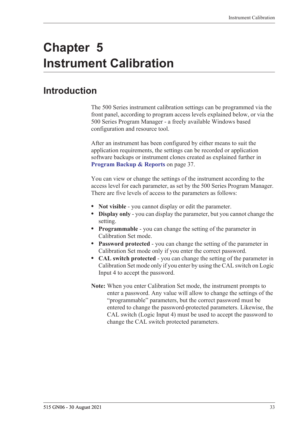# **Chapter 5 Instrument Calibration**

# **Introduction**

The 500 Series instrument calibration settings can be programmed via the front panel, according to program access levels explained below, or via the 500 Series Program Manager - a freely available Windows based configuration and resource tool.

After an instrument has been configured by either means to suit the application requirements, the settings can be recorded or application software backups or instrument clones created as explained further in **[Program Backup & Reports](#page-46-0)** on page 37.

You can view or change the settings of the instrument according to the access level for each parameter, as set by the 500 Series Program Manager. There are five levels of access to the parameters as follows:

- **• Not visible** you cannot display or edit the parameter.
- **• Display only** you can display the parameter, but you cannot change the setting.
- **• Programmable** you can change the setting of the parameter in Calibration Set mode.
- **• Password protected** you can change the setting of the parameter in Calibration Set mode only if you enter the correct password.
- **• CAL switch protected**  you can change the setting of the parameter in Calibration Set mode only if you enter by using the CAL switch on Logic Input 4 to accept the password.
- **Note:** When you enter Calibration Set mode, the instrument prompts to enter a password. Any value will allow to change the settings of the "programmable" parameters, but the correct password must be entered to change the password-protected parameters. Likewise, the CAL switch (Logic Input 4) must be used to accept the password to change the CAL switch protected parameters.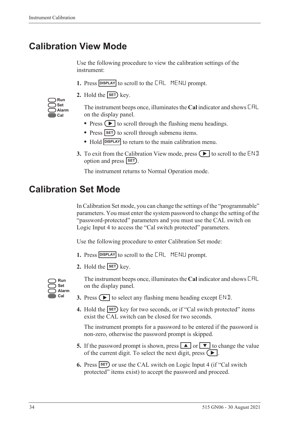# **Calibration View Mode**

Use the following procedure to view the calibration settings of the instrument:

- 1. Press **DISPLAY** to scroll to the **CAL** MENLI prompt.
- **2.** Hold the  $\overline{\text{SET}}$  key.

| Run   |
|-------|
| Set   |
| Alarm |
| Cal   |

The instrument beeps once, illuminates the **Cal** indicator and shows CAL on the display panel.

- Press  $\left( \blacktriangleright \right)$  to scroll through the flashing menu headings.
- Press **SET** to scroll through submenu items.
- Hold **DISPLAY** to return to the main calibration menu.
- **3.** To exit from the Calibration View mode, press  $\Box$  to scroll to the END option and press **SET**).

The instrument returns to Normal Operation mode.

# **Calibration Set Mode**

In Calibration Set mode, you can change the settings of the "programmable" parameters. You must enter the system password to change the setting of the "password-protected" parameters and you must use the CAL switch on Logic Input 4 to access the "Cal switch protected" parameters.

Use the following procedure to enter Calibration Set mode:

- **1.** Press **DISPLAY** to scroll to the **CAL** MENLI prompt.
- **2.** Hold the  $\overline{\text{SET}}$  key.



The instrument beeps once, illuminates the **Cal** indicator and shows CAL on the display panel.

- **3.** Press  $\left( \blacktriangleright \right)$  to select any flashing menu heading except END.
- **4.** Hold the **SET** key for two seconds, or if "Cal switch protected" items exist the CAL switch can be closed for two seconds.

The instrument prompts for a password to be entered if the password is non-zero, otherwise the password prompt is skipped.

- **5.** If the password prompt is shown, press  $\boxed{\blacktriangle}$  or  $\boxed{\blacktriangledown}$  to change the value of the current digit. To select the next digit, press  $\left( \blacktriangleright \right)$ .
- **6.** Press **SET** or use the CAL switch on Logic Input 4 (if "Cal switch protected" items exist) to accept the password and proceed.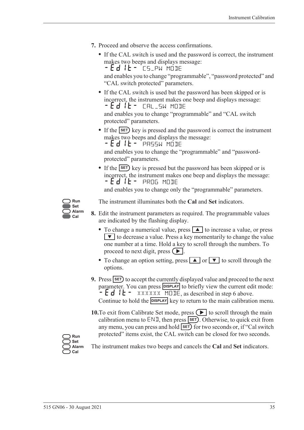- **7.** Proceed and observe the access confirmations.
	- **•** If the CAL switch is used and the password is correct, the instrument makes two beeps and displays message: - Ed IL - CS\_PW MODE

and enables you to change "programmable", "password protected" and "CAL switch protected" parameters.

**•** If the CAL switch is used but the password has been skipped or is incorrect, the instrument makes one beep and displays message: -EDIT- CAL\_SW MODE

and enables you to change "programmable" and "CAL switch protected" parameters.

• If the **SET**) key is pressed and the password is correct the instrument makes two beeps and displays the message:

 $-Ed$  it - PASSW MODE

and enables you to change the "programmable" and "passwordprotected" parameters.

• If the **SET**) key is pressed but the password has been skipped or is incorrect, the instrument makes one beep and displays the message: -EDIT- PROG MODE

and enables you to change only the "programmable" parameters.



The instrument illuminates both the **Cal** and **Set** indicators.

- **8.** Edit the instrument parameters as required. The programmable values are indicated by the flashing display.
	- To change a numerical value, press **A** to increase a value, or press  $\blacktriangledown$  to decrease a value. Press a key momentarily to change the value one number at a time. Hold a key to scroll through the numbers. To proceed to next digit, press  $( \blacktriangleright ).$
	- To change an option setting, press **A** or  $\bullet$  to scroll through the options.
- **9.** Press **SET** to accept the currently displayed value and proceed to the next parameter. You can press **DISPLAY** to briefly view the current edit mode:  $-Ed$   $E - \frac{2}{x}$  XXXXXX MODE, as described in step 6 above. Continue to hold the **DISPLAY** key to return to the main calibration menu.
- **10.**To exit from Calibrate Set mode, press  $\left( \blacktriangleright \right)$  to scroll through the main calibration menu to  $ENI$ , then press  $SET$ . Otherwise, to quick exit from any menu, you can press and hold **SET** for two seconds or, if "Cal switch protected" items exist, the CAL switch can be closed for two seconds.

**Run Set Alarm Cal**

The instrument makes two beeps and cancels the **Cal** and **Set** indicators.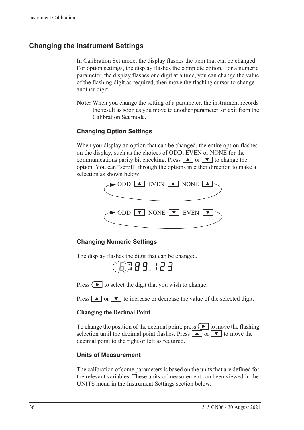# **Changing the Instrument Settings**

In Calibration Set mode, the display flashes the item that can be changed. For option settings, the display flashes the complete option. For a numeric parameter, the display flashes one digit at a time, you can change the value of the flashing digit as required, then move the flashing cursor to change another digit.

**Note:** When you change the setting of a parameter, the instrument records the result as soon as you move to another parameter, or exit from the Calibration Set mode.

### **Changing Option Settings**

When you display an option that can be changed, the entire option flashes on the display, such as the choices of ODD, EVEN or NONE for the communications parity bit checking. Press  $\boxed{\blacktriangle}$  or  $\boxed{\blacktriangledown}$  to change the option. You can "scroll" through the options in either direction to make a selection as shown below.



#### **Changing Numeric Settings**

The display flashes the digit that can be changed.

第第89.123

Press  $\left( \blacktriangleright \right)$  to select the digit that you wish to change.

Press  $\boxed{\blacktriangle}$  or  $\boxed{\blacktriangledown}$  to increase or decrease the value of the selected digit.

#### **Changing the Decimal Point**

To change the position of the decimal point, press  $\Box$  to move the flashing selection until the decimal point flashes. Press  $\boxed{\blacktriangle}$  or  $\boxed{\blacktriangledown}$  to move the decimal point to the right or left as required.

#### **Units of Measurement**

The calibration of some parameters is based on the units that are defined for the relevant variables. These units of measurement can been viewed in the UNITS menu in the Instrument Settings section below.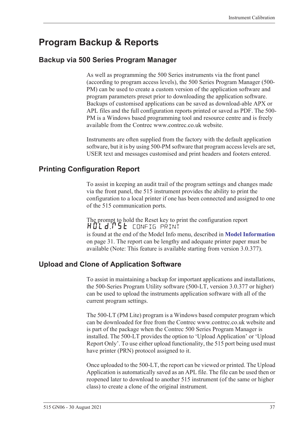# <span id="page-46-0"></span>**Program Backup & Reports**

### **Backup via 500 Series Program Manager**

As well as programming the 500 Series instruments via the front panel (according to program access levels), the 500 Series Program Manager (500- PM) can be used to create a custom version of the application software and program parameters preset prior to downloading the application software. Backups of customised applications can be saved as download-able APX or APL files and the full configuration reports printed or saved as PDF. The 500- PM is a Windows based programming tool and resource centre and is freely available from the Contrec www.contrec.co.uk website.

Instruments are often supplied from the factory with the default application software, but it is by using 500-PM software that program access levels are set, USER text and messages customised and print headers and footers entered.

### **Printing Configuration Report**

To assist in keeping an audit trail of the program settings and changes made via the front panel, the 515 instrument provides the ability to print the configuration to a local printer if one has been connected and assigned to one of the 515 communication ports.

The prompt to hold the Reset key to print the configuration report HOLd:P5E config print is found at the end of the Model Info menu, described in **[Model Information](#page-40-1)** [on page 31](#page-40-1). The report can be lengthy and adequate printer paper must be available (Note: This feature is available starting from version 3.0.377).

### **Upload and Clone of Application Software**

To assist in maintaining a backup for important applications and installations, the 500-Series Program Utility software (500-LT, version 3.0.377 or higher) can be used to upload the instruments application software with all of the current program settings.

The 500-LT (PM Lite) program is a Windows based computer program which can be downloaded for free from the Contrec www.contrec.co.uk website and is part of the package when the Contrec 500 Series Program Manager is installed. The 500-LT provides the option to 'Upload Application' or 'Upload Report Only'. To use either upload functionality, the 515 port being used must have printer (PRN) protocol assigned to it.

Once uploaded to the 500-LT, the report can be viewed or printed. The Upload Application is automatically saved as an APL file. The file can be used then or reopened later to download to another 515 instrument (of the same or higher class) to create a clone of the original instrument.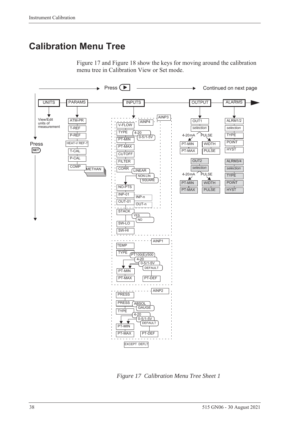# **Calibration Menu Tree**





<span id="page-47-0"></span>*Figure 17 Calibration Menu Tree Sheet 1*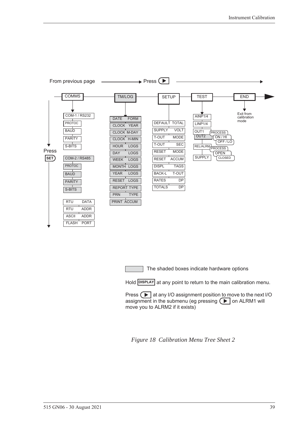

The shaded boxes indicate hardware options

Hold **DISPLAY** at any point to return to the main calibration menu.

Press  $\Box$  at any I/O assignment position to move to the next I/O assignment in the submenu (eg pressing  $\left( \blacktriangleright \right)$  on ALRM1 will move you to ALRM2 if it exists)

<span id="page-48-0"></span>*Figure 18 Calibration Menu Tree Sheet 2*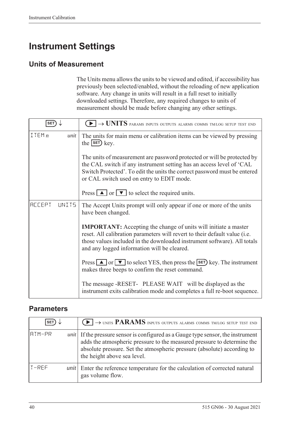# **Instrument Settings**

# **Units of Measurement**

The Units menu allows the units to be viewed and edited, if accessibility has previously been selected/enabled, without the reloading of new application software. Any change in units will result in a full reset to initially downloaded settings. Therefore, any required changes to units of measurement should be made before changing any other settings.

| <b>SET</b>             | $\blacktriangleright$ $\rightarrow$ UNITS params inputs outputs alarms comms tm/log setup test end                                                                                                                                                                              |  |
|------------------------|---------------------------------------------------------------------------------------------------------------------------------------------------------------------------------------------------------------------------------------------------------------------------------|--|
| ITEMn<br>unit          | The units for main menu or calibration items can be viewed by pressing<br>the $\left  \text{set} \right $ key.                                                                                                                                                                  |  |
|                        | The units of measurement are password protected or will be protected by<br>the CAL switch if any instrument setting has an access level of 'CAL<br>Switch Protected'. To edit the units the correct password must be entered<br>or CAL switch used on entry to EDIT mode.       |  |
|                        | Press $\boxed{\blacktriangle}$ or $\boxed{\blacktriangledown}$ to select the required units.                                                                                                                                                                                    |  |
| <b>ACCEPT</b><br>UNIT5 | The Accept Units prompt will only appear if one or more of the units<br>have been changed.                                                                                                                                                                                      |  |
|                        | <b>IMPORTANT:</b> Accepting the change of units will initiate a master<br>reset. All calibration parameters will revert to their default value (i.e.<br>those values included in the downloaded instrument software). All totals<br>and any logged information will be cleared. |  |
|                        | Press $\Box$ or $\nabla$ to select YES, then press the <b>SET</b> ) key. The instrument<br>makes three beeps to confirm the reset command.                                                                                                                                      |  |
|                        | The message -RESET- PLEASE WAIT will be displayed as the<br>instrument exits calibration mode and completes a full re-boot sequence.                                                                                                                                            |  |

### **Parameters**

| <b>SET</b> |      | $\left(\blacktriangleright\right)\rightarrow$ units PARAMS inputs outputs alarms comms tm/log setup test end                                                                                                                                                                 |
|------------|------|------------------------------------------------------------------------------------------------------------------------------------------------------------------------------------------------------------------------------------------------------------------------------|
| IATM-PR    |      | <i>unit</i> If the pressure sensor is configured as a Gauge type sensor, the instrument<br>adds the atmospheric pressure to the measured pressure to determine the<br>absolute pressure. Set the atmospheric pressure (absolute) according to<br>the height above sea level. |
| $T-RFF$    | unit | Enter the reference temperature for the calculation of corrected natural<br>gas volume flow.                                                                                                                                                                                 |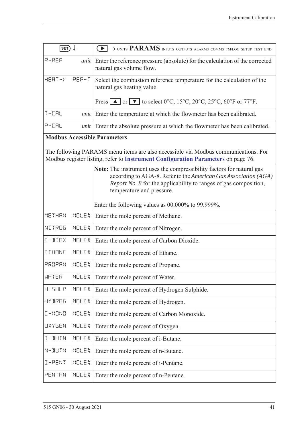| <b>SET</b> |      | $\textcolor{blue}{\blacktriangledown} \rightarrow$ units PARAMS inputs outputs alarms comms tm/log setup test end |  |
|------------|------|-------------------------------------------------------------------------------------------------------------------|--|
| P-REF      | unit | Enter the reference pressure (absolute) for the calculation of the corrected<br>natural gas volume flow.          |  |
| HEAT-V     |      | $REF-T$ Select the combustion reference temperature for the calculation of the<br>natural gas heating value.      |  |
|            |      | Press $\Box$ or $\nabla$ to select 0°C, 15°C, 20°C, 25°C, 60°F or 77°F.                                           |  |
| $T - LHL$  |      | <i>unit</i> Enter the temperature at which the flowmeter has been calibrated.                                     |  |
| $P-CHL$    | unit | Enter the absolute pressure at which the flowmeter has been calibrated.                                           |  |

#### **Modbus Accessible Parameters**

The following PARAMS menu items are also accessible via Modbus communications. For Modbus register listing, refer to **[Instrument Configuration Parameters](#page-85-0)** on page 76.

|                       |              | Note: The instrument uses the compressibility factors for natural gas<br>according to AGA-8. Refer to the American Gas Association (AGA)<br>Report No. 8 for the applicability to ranges of gas composition,<br>temperature and pressure. |
|-----------------------|--------------|-------------------------------------------------------------------------------------------------------------------------------------------------------------------------------------------------------------------------------------------|
|                       |              | Enter the following values as $00.000\%$ to 99.999%.                                                                                                                                                                                      |
| <b>METHAN</b>         | MOLEX        | Enter the mole percent of Methane.                                                                                                                                                                                                        |
| NITROG                | MOLEX        | Enter the mole percent of Nitrogen.                                                                                                                                                                                                       |
| $[-\text{IIO} \times$ | MOLEX        | Enter the mole percent of Carbon Dioxide.                                                                                                                                                                                                 |
| ETHANE                | <b>MOLEX</b> | Enter the mole percent of Ethane.                                                                                                                                                                                                         |
| PROPAN                | MOLEX        | Enter the mole percent of Propane.                                                                                                                                                                                                        |
| WRTER                 | MOLEX        | Enter the mole percent of Water.                                                                                                                                                                                                          |
| H-SULP                | MOLEX        | Enter the mole percent of Hydrogen Sulphide.                                                                                                                                                                                              |
| <b>HY JROG</b>        | MOLEX        | Enter the mole percent of Hydrogen.                                                                                                                                                                                                       |
| $L-MING$              | MOLEX        | Enter the mole percent of Carbon Monoxide.                                                                                                                                                                                                |
| OXYGEN                | MOLEX        | Enter the mole percent of Oxygen.                                                                                                                                                                                                         |
| $I - B$ $JTN$         | MOLEX        | Enter the mole percent of <i>i</i> -Butane.                                                                                                                                                                                               |
| N-BUIN                | MOLEX        | Enter the mole percent of n-Butane.                                                                                                                                                                                                       |
| I-PENT                | MOLEX        | Enter the mole percent of i-Pentane.                                                                                                                                                                                                      |
| PENTAN                | MOLEX        | Enter the mole percent of n-Pentane.                                                                                                                                                                                                      |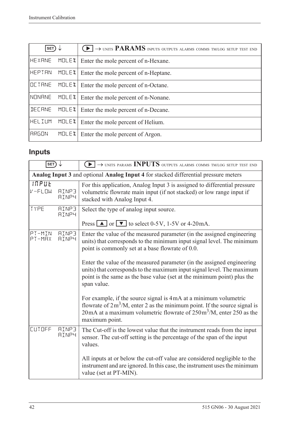| SET)          |                    | $(\blacktriangleright)$ $\rightarrow$ units PARAMS inputs outputs alarms comms tm/log setup test end |
|---------------|--------------------|------------------------------------------------------------------------------------------------------|
| HEXANE        | MOLEX <sup>1</sup> | Enter the mole percent of n-Hexane.                                                                  |
| HEPTAN        | MOLEX <sup>1</sup> | Enter the mole percent of n-Heptane.                                                                 |
| OCTANE        | MOLE%              | Enter the mole percent of n-Octane.                                                                  |
| <b>NONANE</b> |                    | MOLE $X$   Enter the mole percent of n-Nonane.                                                       |
| <b>JECANE</b> | MOLE%              | Enter the mole percent of n-Decane.                                                                  |
| <b>HELIUM</b> | MOLE%              | Enter the mole percent of Helium.                                                                    |
| <b>ARGON</b>  | MOLEX <sub>1</sub> | Enter the mole percent of Argon.                                                                     |

# **Inputs**

| SET)                       |                                                                                     | $\blacktriangleright$ $\rightarrow$ units params <b>INPUTS</b> outputs alarms comms tmlog setup test end                                                                                                                                                    |  |
|----------------------------|-------------------------------------------------------------------------------------|-------------------------------------------------------------------------------------------------------------------------------------------------------------------------------------------------------------------------------------------------------------|--|
|                            | Analog Input 3 and optional Analog Input 4 for stacked differential pressure meters |                                                                                                                                                                                                                                                             |  |
| <b>INPUL</b><br>$V - FLOW$ | <b>AINP3</b><br><b>AINP4</b>                                                        | For this application, Analog Input 3 is assigned to differential pressure<br>volumetric flowrate main input (if not stacked) or low range input if<br>stacked with Analog Input 4.                                                                          |  |
| TYPE                       | <b>RINP3</b><br><b>AINP4</b>                                                        | Select the type of analog input source.                                                                                                                                                                                                                     |  |
|                            |                                                                                     | Press $\boxed{\triangle}$ or $\boxed{\triangledown}$ to select 0-5V, 1-5V or 4-20 mA.                                                                                                                                                                       |  |
| PT-MIN<br>PT-MAX           | <b>AINP3</b><br><b>AINP4</b>                                                        | Enter the value of the measured parameter (in the assigned engineering<br>units) that corresponds to the minimum input signal level. The minimum<br>point is commonly set at a base flowrate of 0.0.                                                        |  |
|                            |                                                                                     | Enter the value of the measured parameter (in the assigned engineering<br>units) that corresponds to the maximum input signal level. The maximum<br>point is the same as the base value (set at the minimum point) plus the<br>span value.                  |  |
|                            |                                                                                     | For example, if the source signal is 4mA at a minimum volumetric<br>flowrate of $2m3/M$ , enter 2 as the minimum point. If the source signal is<br>20mA at a maximum volumetric flowrate of $250 \text{ m}^3/\text{M}$ , enter 250 as the<br>maximum point. |  |
| CUTOFF                     | <b>AINP3</b><br><b>AINP4</b>                                                        | The Cut-off is the lowest value that the instrument reads from the input<br>sensor. The cut-off setting is the percentage of the span of the input<br>values.                                                                                               |  |
|                            |                                                                                     | All inputs at or below the cut-off value are considered negligible to the<br>instrument and are ignored. In this case, the instrument uses the minimum<br>value (set at PT-MIN).                                                                            |  |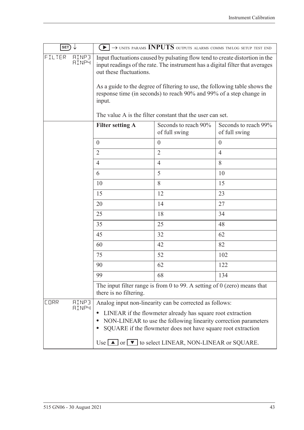| SET)                                        |                                   | $\blacktriangleright$ $\rightarrow$ units params INPUTS outputs alarms comms tm/log setup test end                                                                                                                                                                                                                       |                                       |
|---------------------------------------------|-----------------------------------|--------------------------------------------------------------------------------------------------------------------------------------------------------------------------------------------------------------------------------------------------------------------------------------------------------------------------|---------------------------------------|
| FILTER<br>RINP3<br><b>AINP4</b>             | out these fluctuations.<br>input. | Input fluctuations caused by pulsating flow tend to create distortion in the<br>input readings of the rate. The instrument has a digital filter that averages<br>As a guide to the degree of filtering to use, the following table shows the<br>response time (in seconds) to reach 90% and 99% of a step change in      |                                       |
|                                             |                                   |                                                                                                                                                                                                                                                                                                                          |                                       |
|                                             |                                   | The value A is the filter constant that the user can set.                                                                                                                                                                                                                                                                |                                       |
|                                             | <b>Filter setting A</b>           | Seconds to reach 90%<br>of full swing                                                                                                                                                                                                                                                                                    | Seconds to reach 99%<br>of full swing |
|                                             | $\overline{0}$                    | $\overline{0}$                                                                                                                                                                                                                                                                                                           | $\theta$                              |
|                                             | $\overline{2}$                    | $\overline{2}$                                                                                                                                                                                                                                                                                                           | $\overline{4}$                        |
|                                             | $\overline{4}$                    | $\overline{4}$                                                                                                                                                                                                                                                                                                           | 8                                     |
|                                             | 6                                 | 5                                                                                                                                                                                                                                                                                                                        | 10                                    |
|                                             | 10                                | 8                                                                                                                                                                                                                                                                                                                        | 15                                    |
|                                             | 15                                | 12                                                                                                                                                                                                                                                                                                                       | 23                                    |
|                                             | 20                                | 14                                                                                                                                                                                                                                                                                                                       | 27                                    |
|                                             | 25                                | 18                                                                                                                                                                                                                                                                                                                       | 34                                    |
|                                             | 35                                | 25                                                                                                                                                                                                                                                                                                                       | 48                                    |
|                                             | 45                                | 32                                                                                                                                                                                                                                                                                                                       | 62                                    |
|                                             | 60                                | 42                                                                                                                                                                                                                                                                                                                       | 82                                    |
|                                             | 75                                | 52                                                                                                                                                                                                                                                                                                                       | 102                                   |
|                                             | 90                                | 62                                                                                                                                                                                                                                                                                                                       | 122                                   |
|                                             | 99                                | 68                                                                                                                                                                                                                                                                                                                       | 134                                   |
|                                             | there is no filtering.            | The input filter range is from 0 to 99. A setting of 0 (zero) means that                                                                                                                                                                                                                                                 |                                       |
| <b>CORR</b><br><b>AINP3</b><br><b>AINP4</b> |                                   | Analog input non-linearity can be corrected as follows:<br>LINEAR if the flowmeter already has square root extraction<br>NON-LINEAR to use the following linearity correction parameters<br>SQUARE if the flowmeter does not have square root extraction<br>Use $\Box$ or $\neg$ to select LINEAR, NON-LINEAR or SQUARE. |                                       |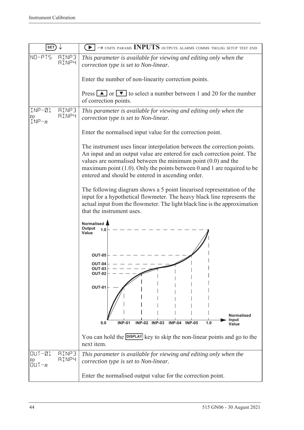| <b>SET</b>                          |                              | $\rightarrow$ UNITS PARAMS INPUTS OUTPUTS ALARMS COMMS TM/LOG SETUP TEST END                                                                                                                                                                                                                                                                             |  |
|-------------------------------------|------------------------------|----------------------------------------------------------------------------------------------------------------------------------------------------------------------------------------------------------------------------------------------------------------------------------------------------------------------------------------------------------|--|
| NO-PIS                              | RINP3<br><b>AINP4</b>        | This parameter is available for viewing and editing only when the<br>correction type is set to Non-linear.                                                                                                                                                                                                                                               |  |
|                                     |                              | Enter the number of non-linearity correction points.                                                                                                                                                                                                                                                                                                     |  |
|                                     |                              | Press $\Box$ or $\nabla$ to select a number between 1 and 20 for the number<br>of correction points.                                                                                                                                                                                                                                                     |  |
| $INP - Q1$<br>to<br>$INP - n$       | <b>AINP3</b><br><b>AINP4</b> | This parameter is available for viewing and editing only when the<br>correction type is set to Non-linear.                                                                                                                                                                                                                                               |  |
|                                     |                              | Enter the normalised input value for the correction point.                                                                                                                                                                                                                                                                                               |  |
|                                     |                              | The instrument uses linear interpolation between the correction points.<br>An input and an output value are entered for each correction point. The<br>values are normalised between the minimum point $(0.0)$ and the<br>maximum point $(1.0)$ . Only the points between 0 and 1 are required to be<br>entered and should be entered in ascending order. |  |
|                                     |                              | The following diagram shows a 5 point linearised representation of the<br>input for a hypothetical flowmeter. The heavy black line represents the<br>actual input from the flowmeter. The light black line is the approximation<br>that the instrument uses.                                                                                             |  |
|                                     |                              | Normalised<br>Output<br>1.0<br>Value                                                                                                                                                                                                                                                                                                                     |  |
|                                     |                              | <b>OUT-05</b><br>OUT-04<br>OUT-03<br><b>OUT-02</b><br><b>OUT-01</b>                                                                                                                                                                                                                                                                                      |  |
|                                     |                              | <b>Normalised</b><br>Input<br><b>INP-01</b><br>INP-02 INP-03<br>0.0<br><b>INP-04</b><br><b>INP-05</b><br>1.0<br>Value                                                                                                                                                                                                                                    |  |
|                                     |                              | You can hold the DISPLAY key to skip the non-linear points and go to the<br>next item.                                                                                                                                                                                                                                                                   |  |
| $UUT - 21$<br>to<br>$[[] \cup [-n]$ | <b>AINP3</b><br><b>AINP4</b> | This parameter is available for viewing and editing only when the<br>correction type is set to Non-linear.                                                                                                                                                                                                                                               |  |
|                                     |                              | Enter the normalised output value for the correction point.                                                                                                                                                                                                                                                                                              |  |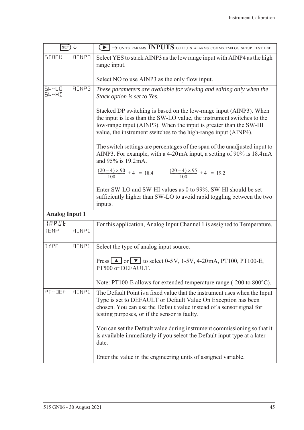| SET)                                 | $\textcolor{blue}{\blacktriangleright} \rightarrow$ units params INPUTS outputs alarms comms tm/log setup test end                                                                                                                                                                   |
|--------------------------------------|--------------------------------------------------------------------------------------------------------------------------------------------------------------------------------------------------------------------------------------------------------------------------------------|
| <b>STACK</b><br>RINP3                | Select YES to stack AINP3 as the low range input with AINP4 as the high<br>range input.                                                                                                                                                                                              |
|                                      | Select NO to use AINP3 as the only flow input.                                                                                                                                                                                                                                       |
| $5W-L0$<br><b>AINP3</b><br>5W-HI     | These parameters are available for viewing and editing only when the<br>Stack option is set to Yes.                                                                                                                                                                                  |
|                                      | Stacked DP switching is based on the low-range input (AINP3). When<br>the input is less than the SW-LO value, the instrument switches to the<br>low-range input (AINP3). When the input is greater than the SW-HI<br>value, the instrument switches to the high-range input (AINP4). |
|                                      | The switch settings are percentages of the span of the unadjusted input to<br>AINP3. For example, with a 4-20mA input, a setting of 90% is 18.4mA<br>and 95% is 19.2 mA.                                                                                                             |
|                                      | $\frac{(20-4)\times 90}{100} + 4 = 18.4$ $\frac{(20-4)\times 95}{100} + 4 = 19.2$                                                                                                                                                                                                    |
|                                      | Enter SW-LO and SW-HI values as 0 to 99%. SW-HI should be set<br>sufficiently higher than SW-LO to avoid rapid toggling between the two<br>inputs.                                                                                                                                   |
| <b>Analog Input 1</b>                |                                                                                                                                                                                                                                                                                      |
| <b>INPUE</b><br>TEMP<br><b>AINP1</b> | For this application, Analog Input Channel 1 is assigned to Temperature.                                                                                                                                                                                                             |
| TYPE<br><b>AINP1</b>                 | Select the type of analog input source.                                                                                                                                                                                                                                              |
|                                      | Press $\Box$ or $\nabla$ to select 0-5V, 1-5V, 4-20mA, PT100, PT100-E,<br>PT500 or DEFAULT.                                                                                                                                                                                          |
|                                      | Note: PT100-E allows for extended temperature range (-200 to 800 °C).                                                                                                                                                                                                                |
| PT-DEF<br><b>AINP1</b>               | The Default Point is a fixed value that the instrument uses when the Input<br>Type is set to DEFAULT or Default Value On Exception has been<br>chosen. You can use the Default value instead of a sensor signal for<br>testing purposes, or if the sensor is faulty.                 |
|                                      | You can set the Default value during instrument commissioning so that it<br>is available immediately if you select the Default input type at a later<br>date.                                                                                                                        |
|                                      | Enter the value in the engineering units of assigned variable.                                                                                                                                                                                                                       |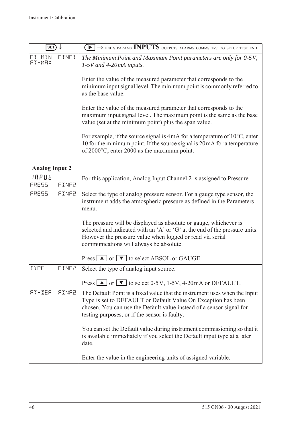| SET                   |              | $\blacktriangleright$ $\rightarrow$ units params INPUTS outputs alarms comms tmlog setup test end                                                                                                                                                                    |
|-----------------------|--------------|----------------------------------------------------------------------------------------------------------------------------------------------------------------------------------------------------------------------------------------------------------------------|
| PT-MIN<br>PT-MRX      | AINP1        | The Minimum Point and Maximum Point parameters are only for 0-5V,<br>$1-5V$ and 4-20mA inputs.                                                                                                                                                                       |
|                       |              | Enter the value of the measured parameter that corresponds to the<br>minimum input signal level. The minimum point is commonly referred to<br>as the base value.                                                                                                     |
|                       |              | Enter the value of the measured parameter that corresponds to the<br>maximum input signal level. The maximum point is the same as the base<br>value (set at the minimum point) plus the span value.                                                                  |
|                       |              | For example, if the source signal is $4mA$ for a temperature of $10^{\circ}$ C, enter<br>10 for the minimum point. If the source signal is 20 mA for a temperature<br>of 2000°C, enter 2000 as the maximum point.                                                    |
| <b>Analog Input 2</b> |              |                                                                                                                                                                                                                                                                      |
| <b>INPUE</b><br>PRESS | <b>AINP2</b> | For this application, Analog Input Channel 2 is assigned to Pressure.                                                                                                                                                                                                |
| PRESS                 | <b>AINP2</b> | Select the type of analog pressure sensor. For a gauge type sensor, the<br>instrument adds the atmospheric pressure as defined in the Parameters<br>menu.                                                                                                            |
|                       |              | The pressure will be displayed as absolute or gauge, whichever is<br>selected and indicated with an 'A' or 'G' at the end of the pressure units.<br>However the pressure value when logged or read via serial<br>communications will always be absolute.             |
|                       |              | Press $\boxed{\blacktriangle}$ or $\boxed{\blacktriangledown}$ to select ABSOL or GAUGE.                                                                                                                                                                             |
| TYPE                  | SANTR        | Select the type of analog input source.                                                                                                                                                                                                                              |
|                       |              | Press $\Box$ or $\nabla$ to select 0-5V, 1-5V, 4-20mA or DEFAULT.                                                                                                                                                                                                    |
| PT-DEF                | <b>AINP2</b> | The Default Point is a fixed value that the instrument uses when the Input<br>Type is set to DEFAULT or Default Value On Exception has been<br>chosen. You can use the Default value instead of a sensor signal for<br>testing purposes, or if the sensor is faulty. |
|                       |              | You can set the Default value during instrument commissioning so that it<br>is available immediately if you select the Default input type at a later<br>date.                                                                                                        |
|                       |              | Enter the value in the engineering units of assigned variable.                                                                                                                                                                                                       |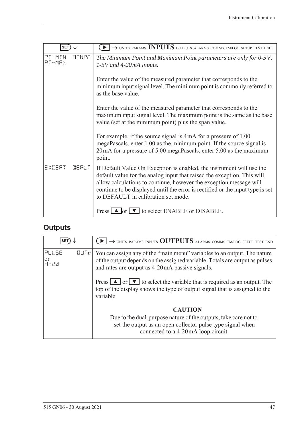| <b>SET</b>                       | $\rightarrow$ UNITS PARAMS INPUTS OUTPUTS ALARMS COMMS TM/LOG SETUP TEST END                                                                                                                                                                                                                                                                    |
|----------------------------------|-------------------------------------------------------------------------------------------------------------------------------------------------------------------------------------------------------------------------------------------------------------------------------------------------------------------------------------------------|
| PT-MIN<br><b>AINP2</b><br>PT-MAX | The Minimum Point and Maximum Point parameters are only for 0-5V,<br>$1-5V$ and 4-20mA inputs.                                                                                                                                                                                                                                                  |
|                                  | Enter the value of the measured parameter that corresponds to the<br>minimum input signal level. The minimum point is commonly referred to<br>as the base value.                                                                                                                                                                                |
|                                  | Enter the value of the measured parameter that corresponds to the<br>maximum input signal level. The maximum point is the same as the base<br>value (set at the minimum point) plus the span value.                                                                                                                                             |
|                                  | For example, if the source signal is 4mA for a pressure of 1.00<br>megaPascals, enter 1.00 as the minimum point. If the source signal is<br>20 mA for a pressure of 5.00 megaPascals, enter 5.00 as the maximum<br>point.                                                                                                                       |
| EXCEPT<br><b>JEFLT</b>           | If Default Value On Exception is enabled, the instrument will use the<br>default value for the analog input that raised the exception. This will<br>allow calculations to continue, however the exception message will<br>continue to be displayed until the error is rectified or the input type is set<br>to DEFAULT in calibration set mode. |
|                                  | Press $\Box$ or $\nabla$ to select ENABLE or DISABLE.                                                                                                                                                                                                                                                                                           |

# **Outputs**

| <b>SET</b>            |      | $\rightarrow$ UNITS PARAMS INPUTS OUTPUTS ALARMS COMMS TM/LOG SETUP TEST END                                                                                                                               |
|-----------------------|------|------------------------------------------------------------------------------------------------------------------------------------------------------------------------------------------------------------|
| PULSE<br> or<br> 닉-근Q | [[]] | You can assign any of the "main menu" variables to an output. The nature<br>of the output depends on the assigned variable. Totals are output as pulses<br>and rates are output as 4-20mA passive signals. |
|                       |      | Press $\Box$ or $\nabla$ to select the variable that is required as an output. The<br>top of the display shows the type of output signal that is assigned to the<br>variable.                              |
|                       |      | <b>CAUTION</b><br>Due to the dual-purpose nature of the outputs, take care not to<br>set the output as an open collector pulse type signal when<br>connected to a 4-20mA loop circuit.                     |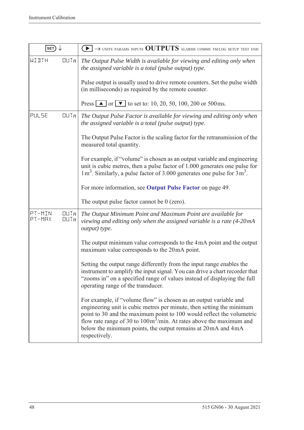| SET)             |                                           | $\rightarrow$ units params inputs OUTPUTS alarms comms tm/log setup test end<br>$\blacktriangleright$ 1                                                                                                                                                                                                                                                                                         |
|------------------|-------------------------------------------|-------------------------------------------------------------------------------------------------------------------------------------------------------------------------------------------------------------------------------------------------------------------------------------------------------------------------------------------------------------------------------------------------|
| WIJTH            | QUTn                                      | The Output Pulse Width is available for viewing and editing only when<br>the assigned variable is a total (pulse output) type.                                                                                                                                                                                                                                                                  |
|                  |                                           | Pulse output is usually used to drive remote counters. Set the pulse width<br>(in milliseconds) as required by the remote counter.                                                                                                                                                                                                                                                              |
|                  |                                           | Press $\triangle$ or $\triangledown$ to set to: 10, 20, 50, 100, 200 or 500 ms.                                                                                                                                                                                                                                                                                                                 |
| PULSE            | QUTn                                      | The Output Pulse Factor is available for viewing and editing only when<br>the assigned variable is a total (pulse output) type.                                                                                                                                                                                                                                                                 |
|                  |                                           | The Output Pulse Factor is the scaling factor for the retransmission of the<br>measured total quantity.                                                                                                                                                                                                                                                                                         |
|                  |                                           | For example, if "volume" is chosen as an output variable and engineering<br>unit is cubic metres, then a pulse factor of 1.000 generates one pulse for<br>$1 \text{ m}^3$ . Similarly, a pulse factor of 3.000 generates one pulse for $3 \text{ m}^3$ .                                                                                                                                        |
|                  |                                           | For more information, see Output Pulse Factor on page 49.                                                                                                                                                                                                                                                                                                                                       |
|                  |                                           | The output pulse factor cannot be $0$ (zero).                                                                                                                                                                                                                                                                                                                                                   |
| PT-MIN<br>PT-MRX | $\Box$ l $Tn$<br>$\Box$ $\Box$ $\Box$ $n$ | The Output Minimum Point and Maximum Point are available for<br>viewing and editing only when the assigned variable is a rate (4-20mA<br>output) type.                                                                                                                                                                                                                                          |
|                  |                                           | The output minimum value corresponds to the 4mA point and the output<br>maximum value corresponds to the 20mA point.                                                                                                                                                                                                                                                                            |
|                  |                                           | Setting the output range differently from the input range enables the<br>instrument to amplify the input signal. You can drive a chart recorder that<br>"zooms in" on a specified range of values instead of displaying the full<br>operating range of the transducer.                                                                                                                          |
|                  |                                           | For example, if "volume flow" is chosen as an output variable and<br>engineering unit is cubic metres per minute, then setting the minimum<br>point to 30 and the maximum point to 100 would reflect the volumetric<br>flow rate range of 30 to $100 \text{m}^3/\text{min}$ . At rates above the maximum and<br>below the minimum points, the output remains at 20 mA and 4 mA<br>respectively. |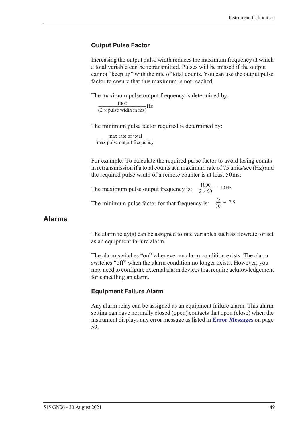#### <span id="page-58-0"></span>**Output Pulse Factor**

Increasing the output pulse width reduces the maximum frequency at which a total variable can be retransmitted. Pulses will be missed if the output cannot "keep up" with the rate of total counts. You can use the output pulse factor to ensure that this maximum is not reached.

The maximum pulse output frequency is determined by:

 $\frac{1000}{(2 \times \text{pulse width in ms)}}$ Hz

The minimum pulse factor required is determined by:

max rate of total max pulse output frequency ------------------------------------------------------------------

For example: To calculate the required pulse factor to avoid losing counts in retransmission if a total counts at a maximum rate of 75 units/sec (Hz) and the required pulse width of a remote counter is at least 50 ms:

The maximum pulse output frequency is:  $\frac{1000}{2 \times 50}$  = 10Hz The minimum pulse factor for that frequency is:  $\frac{75}{10}$  $\frac{73}{10}$  = 7.5

#### **Alarms**

The alarm relay(s) can be assigned to rate variables such as flowrate, or set as an equipment failure alarm.

The alarm switches "on" whenever an alarm condition exists. The alarm switches "off" when the alarm condition no longer exists. However, you may need to configure external alarm devices that require acknowledgement for cancelling an alarm.

#### **Equipment Failure Alarm**

Any alarm relay can be assigned as an equipment failure alarm. This alarm setting can have normally closed (open) contacts that open (close) when the instrument displays any error message as listed in **[Error Messages](#page-68-0)** on page [59.](#page-68-0)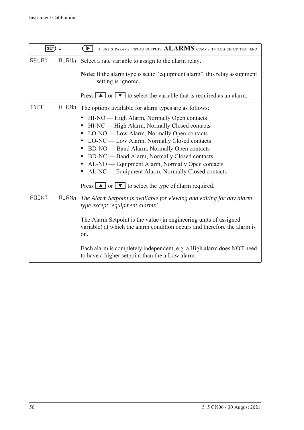| SET)  |       | $\rightarrow$ units params inputs outputs $ALARMS$ comms tm/log setup test end                                                                                                                                                                                                                                                                                                                                                                                                                                                                                                              |
|-------|-------|---------------------------------------------------------------------------------------------------------------------------------------------------------------------------------------------------------------------------------------------------------------------------------------------------------------------------------------------------------------------------------------------------------------------------------------------------------------------------------------------------------------------------------------------------------------------------------------------|
| RELAY | HLRMn | Select a rate variable to assign to the alarm relay.<br><b>Note:</b> If the alarm type is set to "equipment alarm", this relay assignment<br>setting is ignored.<br>Press $\boxed{\blacktriangle}$ or $\boxed{\blacktriangledown}$ to select the variable that is required as an alarm.                                                                                                                                                                                                                                                                                                     |
| TYPE  | HLRMn | The options available for alarm types are as follows:<br>HI-NO — High Alarm, Normally Open contacts<br>HI-NC — High Alarm, Normally Closed contacts<br>$\bullet$<br>LO-NO — Low Alarm, Normally Open contacts<br>$\bullet$<br>LO-NC — Low Alarm, Normally Closed contacts<br>BD-NO — Band Alarm, Normally Open contacts<br>$\bullet$<br>BD-NC — Band Alarm, Normally Closed contacts<br>٠<br>AL-NO — Equipment Alarm, Normally Open contacts<br>$\bullet$<br>AL-NC — Equipment Alarm, Normally Closed contacts<br>$\bullet$<br>Press $\Box$ or $\Box$ to select the type of alarm required. |
| POINT | HLRMn | The Alarm Setpoint is available for viewing and editing for any alarm<br>type except 'equipment alarms'.<br>The Alarm Setpoint is the value (in engineering units of assigned<br>variable) at which the alarm condition occurs and therefore the alarm is<br>on.<br>Each alarm is completely independent, e.g. a High alarm does NOT need<br>to have a higher setpoint than the a Low alarm.                                                                                                                                                                                                |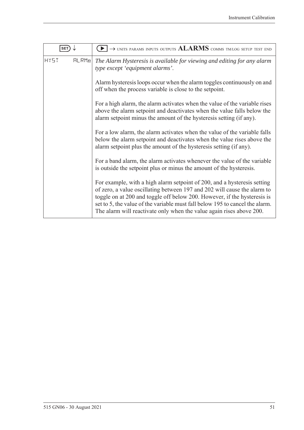| <b>SET</b>           | $\blacktriangleright$ $\rightarrow$ units params inputs outputs $ALARMS$ comms tm/log setup test end                                                                                                                                                                                                                                                                                     |
|----------------------|------------------------------------------------------------------------------------------------------------------------------------------------------------------------------------------------------------------------------------------------------------------------------------------------------------------------------------------------------------------------------------------|
| <b>HY5T</b><br>FLRMn | The Alarm Hysteresis is available for viewing and editing for any alarm<br>type except 'equipment alarms'.                                                                                                                                                                                                                                                                               |
|                      | Alarm hysteresis loops occur when the alarm toggles continuously on and<br>off when the process variable is close to the setpoint.                                                                                                                                                                                                                                                       |
|                      | For a high alarm, the alarm activates when the value of the variable rises<br>above the alarm setpoint and deactivates when the value falls below the<br>alarm setpoint minus the amount of the hysteresis setting (if any).                                                                                                                                                             |
|                      | For a low alarm, the alarm activates when the value of the variable falls<br>below the alarm setpoint and deactivates when the value rises above the<br>alarm setpoint plus the amount of the hysteresis setting (if any).                                                                                                                                                               |
|                      | For a band alarm, the alarm activates whenever the value of the variable<br>is outside the setpoint plus or minus the amount of the hysteresis.                                                                                                                                                                                                                                          |
|                      | For example, with a high alarm setpoint of 200, and a hysteresis setting<br>of zero, a value oscillating between 197 and 202 will cause the alarm to<br>toggle on at 200 and toggle off below 200. However, if the hysteresis is<br>set to 5, the value of the variable must fall below 195 to cancel the alarm.<br>The alarm will reactivate only when the value again rises above 200. |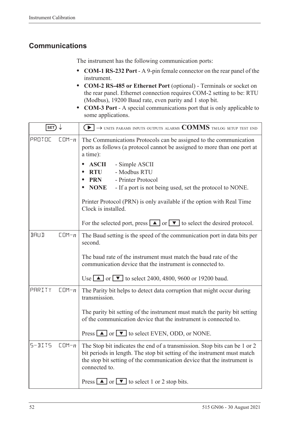# **Communications**

The instrument has the following communication ports:

- **• COM-1 RS-232 Port** A 9-pin female connector on the rear panel of the instrument.
- **• COM-2 RS-485 or Ethernet Port** (optional) Terminals or socket on the rear panel. Ethernet connection requires COM-2 setting to be: RTU (Modbus), 19200 Baud rate, even parity and 1 stop bit.
- **• COM-3 Port** A special communications port that is only applicable to some applications.

| SET)                               | $\left(\blacktriangleright\right)\rightarrow$ units params inputs outputs alarms $\text{COMMS}$ tm/log setup test end                                                                                                                             |
|------------------------------------|---------------------------------------------------------------------------------------------------------------------------------------------------------------------------------------------------------------------------------------------------|
| PROTOC<br>$CDM - n$                | The Communications Protocols can be assigned to the communication<br>ports as follows (a protocol cannot be assigned to more than one port at<br>a time):                                                                                         |
|                                    | <b>ASCII</b><br>- Simple ASCII<br>- Modbus RTU<br><b>RTU</b><br>- Printer Protocol<br><b>PRN</b><br><b>NONE</b><br>- If a port is not being used, set the protocol to NONE.                                                                       |
|                                    | Printer Protocol (PRN) is only available if the option with Real Time<br>Clock is installed.                                                                                                                                                      |
|                                    | For the selected port, press $\Box$ or $\Box$ to select the desired protocol.                                                                                                                                                                     |
| $CDM - n$<br><b>BAUD</b>           | The Baud setting is the speed of the communication port in data bits per<br>second.                                                                                                                                                               |
|                                    | The baud rate of the instrument must match the baud rate of the<br>communication device that the instrument is connected to.                                                                                                                      |
|                                    | Use 1 or $\bullet$ or $\bullet$ to select 2400, 4800, 9600 or 19200 baud.                                                                                                                                                                         |
| PARITY<br>$CDM - n$                | The Parity bit helps to detect data corruption that might occur during<br>transmission.                                                                                                                                                           |
|                                    | The parity bit setting of the instrument must match the parity bit setting<br>of the communication device that the instrument is connected to.                                                                                                    |
|                                    | Press $\Box$ or $\nabla$ to select EVEN, ODD, or NONE.                                                                                                                                                                                            |
| $5 - B1$ <sup>T</sup><br>$CDM - n$ | The Stop bit indicates the end of a transmission. Stop bits can be 1 or 2<br>bit periods in length. The stop bit setting of the instrument must match<br>the stop bit setting of the communication device that the instrument is<br>connected to. |
|                                    | Press $\boxed{\blacktriangle}$ or $\boxed{\blacktriangledown}$ to select 1 or 2 stop bits.                                                                                                                                                        |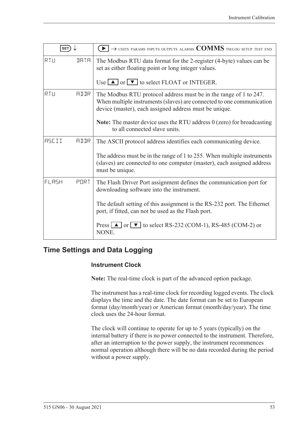| <b>SET</b>   |             | $\rightarrow$ units params inputs outputs alarms $\text{COMMS}$ tm/log setup test end                                                                                                                |
|--------------|-------------|------------------------------------------------------------------------------------------------------------------------------------------------------------------------------------------------------|
| RTU          | <b>JATA</b> | The Modbus RTU data format for the 2-register (4-byte) values can be<br>set as either floating point or long integer values.                                                                         |
|              |             | Use $\Box$ or $\nabla$ to select FLOAT or INTEGER.                                                                                                                                                   |
| RTU          | <b>ALLR</b> | The Modbus RTU protocol address must be in the range of 1 to 247.<br>When multiple instruments (slaves) are connected to one communication<br>device (master), each assigned address must be unique. |
|              |             | <b>Note:</b> The master device uses the RTU address 0 (zero) for broadcasting<br>to all connected slave units.                                                                                       |
| <b>ASCII</b> | AIIR        | The ASCII protocol address identifies each communicating device.                                                                                                                                     |
|              |             | The address must be in the range of 1 to 255. When multiple instruments<br>(slaves) are connected to one computer (master), each assigned address<br>must be unique.                                 |
| FLASH        | PORT        | The Flash Driver Port assignment defines the communication port for<br>downloading software into the instrument.                                                                                     |
|              |             | The default setting of this assignment is the RS-232 port. The Ethernet<br>port, if fitted, can not be used as the Flash port.                                                                       |
|              |             | Press $\Box$ or $\nabla$ to select RS-232 (COM-1), RS-485 (COM-2) or<br>NONE.                                                                                                                        |

### **Time Settings and Data Logging**

#### **Instrument Clock**

**Note:** The real-time clock is part of the advanced option package.

The instrument has a real-time clock for recording logged events. The clock displays the time and the date. The date format can be set to European format (day/month/year) or American format (month/day/year). The time clock uses the 24-hour format.

The clock will continue to operate for up to 5 years (typically) on the internal battery if there is no power connected to the instrument. Therefore, after an interruption to the power supply, the instrument recommences normal operation although there will be no data recorded during the period without a power supply.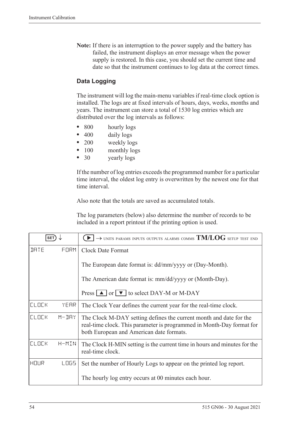**Note:** If there is an interruption to the power supply and the battery has failed, the instrument displays an error message when the power supply is restored. In this case, you should set the current time and date so that the instrument continues to log data at the correct times.

### **Data Logging**

The instrument will log the main-menu variables if real-time clock option is installed. The logs are at fixed intervals of hours, days, weeks, months and years. The instrument can store a total of 1530 log entries which are distributed over the log intervals as follows:

- 800 hourly logs
- 400 daily logs
- 200 weekly logs
- 100 monthly logs
- 30 yearly logs

If the number of log entries exceeds the programmed number for a particular time interval, the oldest log entry is overwritten by the newest one for that time interval.

Also note that the totals are saved as accumulated totals.

The log parameters (below) also determine the number of records to be included in a report printout if the printing option is used.

| <b>SET</b>   |           | $\rightarrow$ units params inputs outputs alarms comms $TM/LOG$ setup test end                                                                                                          |
|--------------|-----------|-----------------------------------------------------------------------------------------------------------------------------------------------------------------------------------------|
| <b>JATE</b>  | FORM      | <b>Clock Date Format</b>                                                                                                                                                                |
|              |           | The European date format is: dd/mm/yyyy or (Day-Month).                                                                                                                                 |
|              |           | The American date format is: mm/dd/yyyy or (Month-Day).                                                                                                                                 |
|              |           | Press $\Delta$ or $\nabla$ to select DAY-M or M-DAY                                                                                                                                     |
| <b>ELDEK</b> | YEAR      | The Clock Year defines the current year for the real-time clock.                                                                                                                        |
| <b>CLOCK</b> | $M - JHY$ | The Clock M-DAY setting defines the current month and date for the<br>real-time clock. This parameter is programmed in Month-Day format for<br>both European and American date formats. |
| <b>ELDEK</b> | H-MIN     | The Clock H-MIN setting is the current time in hours and minutes for the<br>real-time clock.                                                                                            |
| HOUR         | LOG5      | Set the number of Hourly Logs to appear on the printed log report.                                                                                                                      |
|              |           | The hourly log entry occurs at 00 minutes each hour.                                                                                                                                    |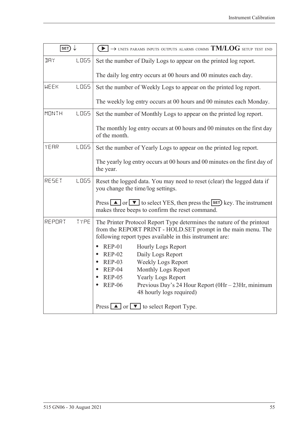| SET)         |             | $\blacktriangleright$ $\rightarrow$ units params inputs outputs alarms comms TM/LOG setup test end                                                                                                                                                                                                                    |
|--------------|-------------|-----------------------------------------------------------------------------------------------------------------------------------------------------------------------------------------------------------------------------------------------------------------------------------------------------------------------|
| IJΑY         | <b>LOGS</b> | Set the number of Daily Logs to appear on the printed log report.                                                                                                                                                                                                                                                     |
|              |             | The daily log entry occurs at 00 hours and 00 minutes each day.                                                                                                                                                                                                                                                       |
| <b>WEEK</b>  | <b>LOGS</b> | Set the number of Weekly Logs to appear on the printed log report.                                                                                                                                                                                                                                                    |
|              |             | The weekly log entry occurs at 00 hours and 00 minutes each Monday.                                                                                                                                                                                                                                                   |
| <b>MONTH</b> | LO65        | Set the number of Monthly Logs to appear on the printed log report.                                                                                                                                                                                                                                                   |
|              |             | The monthly log entry occurs at 00 hours and 00 minutes on the first day<br>of the month.                                                                                                                                                                                                                             |
| YEAR         | LO65        | Set the number of Yearly Logs to appear on the printed log report.                                                                                                                                                                                                                                                    |
|              |             | The yearly log entry occurs at 00 hours and 00 minutes on the first day of<br>the year.                                                                                                                                                                                                                               |
| RESET        | LOG5        | Reset the logged data. You may need to reset (clear) the logged data if<br>you change the time/log settings.                                                                                                                                                                                                          |
|              |             | Press $\Box$ or $\nabla$ to select YES, then press the <b>SET</b> ) key. The instrument<br>makes three beeps to confirm the reset command.                                                                                                                                                                            |
| REPORT       | TYPE        | The Printer Protocol Report Type determines the nature of the printout<br>from the REPORT PRINT - HOLD.SET prompt in the main menu. The<br>following report types available in this instrument are:                                                                                                                   |
|              |             | $REP-01$<br><b>Hourly Logs Report</b><br>$\bullet$<br>Daily Logs Report<br><b>REP-02</b><br><b>Weekly Logs Report</b><br>$REP-03$<br>Monthly Logs Report<br>$REP-04$<br><b>REP-05</b><br><b>Yearly Logs Report</b><br><b>REP-06</b><br>Previous Day's 24 Hour Report (0Hr - 23Hr, minimum<br>48 hourly logs required) |
|              |             | Press $\boxed{\blacktriangle}$ or $\boxed{\blacktriangledown}$ to select Report Type.                                                                                                                                                                                                                                 |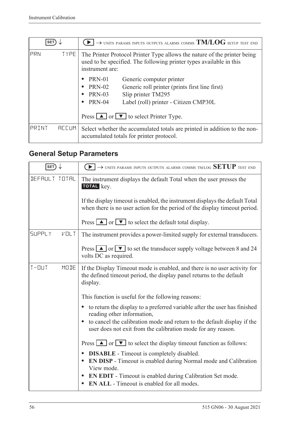|       | <b>SET</b>   | $\rightarrow$ units params inputs outputs alarms comms $\mathrm{TM}/\mathrm{LOG}$ setup test end                                                                   |
|-------|--------------|--------------------------------------------------------------------------------------------------------------------------------------------------------------------|
| PRN   | <b>TYPE</b>  | The Printer Protocol Printer Type allows the nature of the printer being<br>used to be specified. The following printer types available in this<br>instrument are: |
|       |              | <b>PRN-01</b><br>Generic computer printer<br>$\bullet$                                                                                                             |
|       |              | <b>PRN-02</b><br>Generic roll printer (prints first line first)<br>$\bullet$                                                                                       |
|       |              | Slip printer TM295<br><b>PRN-03</b><br>٠                                                                                                                           |
|       |              | <b>PRN-04</b><br>Label (roll) printer - Citizen CMP30L<br>$\bullet$                                                                                                |
|       |              | Press $\boxed{\blacktriangle}$ or $\boxed{\blacktriangledown}$ to select Printer Type.                                                                             |
| PRINT | <b>ACCUM</b> | Select whether the accumulated totals are printed in addition to the non-<br>accumulated totals for printer protocol.                                              |

# <span id="page-65-0"></span>**General Setup Parameters**

| SET)                             | $\rightarrow$ units params inputs outputs alarms comms tm/log $\operatorname{SETUP}$ test end                                                                      |
|----------------------------------|--------------------------------------------------------------------------------------------------------------------------------------------------------------------|
| DEFAULT TOTAL                    | The instrument displays the default Total when the user presses the<br>TOTAL key.                                                                                  |
|                                  | If the display timeout is enabled, the instrument displays the default Total<br>when there is no user action for the period of the display timeout period.         |
|                                  | Press $\boxed{\blacktriangle}$ or $\boxed{\blacktriangledown}$ to select the default total display.                                                                |
| <b>SUPPLY</b><br>$V \square L$ T | The instrument provides a power-limited supply for external transducers.                                                                                           |
|                                  | Press $\Box$ or $\nabla$ to set the transducer supply voltage between 8 and 24<br>volts DC as required.                                                            |
| $T - 11T$<br>MODE                | If the Display Timeout mode is enabled, and there is no user activity for<br>the defined timeout period, the display panel returns to the default<br>display.      |
|                                  | This function is useful for the following reasons:                                                                                                                 |
|                                  | to return the display to a preferred variable after the user has finished<br>$\bullet$<br>reading other information,                                               |
|                                  | to cancel the calibration mode and return to the default display if the<br>user does not exit from the calibration mode for any reason.                            |
|                                  | Press $\boxed{\blacktriangle}$ or $\boxed{\blacktriangledown}$ to select the display timeout function as follows:                                                  |
|                                  | <b>DISABLE</b> - Timeout is completely disabled.<br>$\bullet$<br><b>EN DISP</b> - Timeout is enabled during Normal mode and Calibration<br>$\bullet$<br>View mode. |
|                                  | <b>EN EDIT</b> - Timeout is enabled during Calibration Set mode.<br><b>EN ALL</b> - Timeout is enabled for all modes.                                              |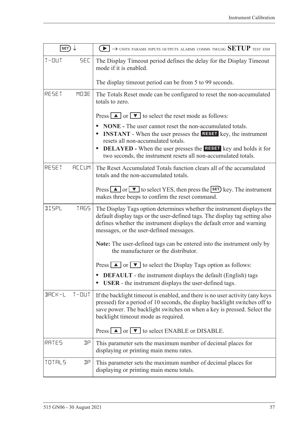| SET)          |              |                                                                                                                                                                                                                                                                                                                                                     |
|---------------|--------------|-----------------------------------------------------------------------------------------------------------------------------------------------------------------------------------------------------------------------------------------------------------------------------------------------------------------------------------------------------|
| $T - 111T$    | <b>SEC</b>   | The Display Timeout period defines the delay for the Display Timeout<br>mode if it is enabled.                                                                                                                                                                                                                                                      |
|               |              | The display timeout period can be from 5 to 99 seconds.                                                                                                                                                                                                                                                                                             |
| RESET         | MODE         | The Totals Reset mode can be configured to reset the non-accumulated<br>totals to zero.                                                                                                                                                                                                                                                             |
|               |              | Press $\Box$ or $\nabla$ to select the reset mode as follows:                                                                                                                                                                                                                                                                                       |
|               |              | <b>NONE</b> - The user cannot reset the non-accumulated totals.<br><b>INSTANT</b> - When the user presses the <b>RESET</b> key, the instrument<br>resets all non-accumulated totals.<br><b>DELAYED</b> - When the user presses the <b>RESET</b> key and holds it for<br>$\bullet$<br>two seconds, the instrument resets all non-accumulated totals. |
| RESET         | <b>REEUM</b> | The Reset Accumulated Totals function clears all of the accumulated<br>totals and the non-accumulated totals.                                                                                                                                                                                                                                       |
|               |              | Press $\Box$ or $\nabla$ to select YES, then press the <b>SET</b> ) key. The instrument<br>makes three beeps to confirm the reset command.                                                                                                                                                                                                          |
| <b>IISPL</b>  | <b>TRGS</b>  | The Display Tags option determines whether the instrument displays the<br>default display tags or the user-defined tags. The display tag setting also<br>defines whether the instrument displays the default error and warning<br>messages, or the user-defined messages.                                                                           |
|               |              | Note: The user-defined tags can be entered into the instrument only by<br>the manufacturer or the distributor.                                                                                                                                                                                                                                      |
|               |              | Press $\Box$ or $\Box$ to select the Display Tags option as follows:                                                                                                                                                                                                                                                                                |
|               |              | <b>DEFAULT</b> - the instrument displays the default (English) tags<br><b>USER</b> - the instrument displays the user-defined tags.                                                                                                                                                                                                                 |
| $B H E K - L$ | $T - 11T$    | If the backlight timeout is enabled, and there is no user activity (any keys<br>pressed) for a period of 10 seconds, the display backlight switches off to<br>save power. The backlight switches on when a key is pressed. Select the<br>backlight timeout mode as required.                                                                        |
|               |              | Press $\Box$ or $\Box$ to select ENABLE or DISABLE.                                                                                                                                                                                                                                                                                                 |
| RATES         | IJΡ          | This parameter sets the maximum number of decimal places for<br>displaying or printing main menu rates.                                                                                                                                                                                                                                             |
| TOTALS        | IJΡ          | This parameter sets the maximum number of decimal places for<br>displaying or printing main menu totals.                                                                                                                                                                                                                                            |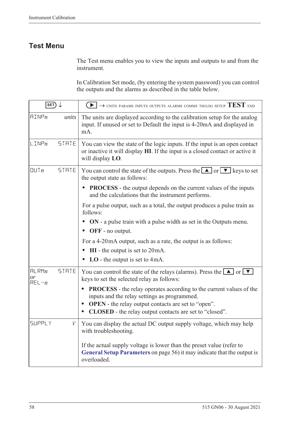# **Test Menu**

The Test menu enables you to view the inputs and outputs to and from the instrument.

In Calibration Set mode, (by entering the system password) you can control the outputs and the alarms as described in the table below.

| $\overline{\text{SET}}$  |              | $\blacktriangleright$ $\blacktriangleright$ UNITS PARAMS INPUTS OUTPUTS ALARMS COMMS TM/LOG SETUP $\text{TEST}$ end                                                                                                                                              |
|--------------------------|--------------|------------------------------------------------------------------------------------------------------------------------------------------------------------------------------------------------------------------------------------------------------------------|
| $\text{HIMP}_n$          | units        | The units are displayed according to the calibration setup for the analog<br>input. If unused or set to Default the input is 4-20mA and displayed in<br>mA.                                                                                                      |
| $L$ INP $n$              | <b>STRTE</b> | You can view the state of the logic inputs. If the input is an open contact<br>or inactive it will display HI. If the input is a closed contact or active it<br>will display LO.                                                                                 |
| UUTn                     | <b>STRTE</b> | You can control the state of the outputs. Press the $\Box$ or $\nabla$ keys to set<br>the output state as follows:                                                                                                                                               |
|                          |              | <b>PROCESS</b> - the output depends on the current values of the inputs<br>and the calculations that the instrument performs.                                                                                                                                    |
|                          |              | For a pulse output, such as a total, the output produces a pulse train as<br>follows:                                                                                                                                                                            |
|                          |              | ON - a pulse train with a pulse width as set in the Outputs menu.<br>OFF - no output.                                                                                                                                                                            |
|                          |              | For a 4-20mA output, such as a rate, the output is as follows:                                                                                                                                                                                                   |
|                          |              | $HI$ - the output is set to $20mA$ .                                                                                                                                                                                                                             |
|                          |              | $LO$ - the output is set to 4mA.                                                                                                                                                                                                                                 |
| HLRMn<br>or<br>$REL - n$ | <b>STRTE</b> | You can control the state of the relays (alarms). Press the $\boxed{\blacktriangle}$ or $\boxed{\blacktriangledown}$<br>keys to set the selected relay as follows:                                                                                               |
|                          |              | <b>PROCESS</b> - the relay operates according to the current values of the<br>inputs and the relay settings as programmed.<br><b>OPEN</b> - the relay output contacts are set to "open".<br>$\bullet$<br>CLOSED - the relay output contacts are set to "closed". |
| <b>SUPPLY</b>            | V            | You can display the actual DC output supply voltage, which may help<br>with troubleshooting.                                                                                                                                                                     |
|                          |              | If the actual supply voltage is lower than the preset value (refer to<br>General Setup Parameters on page 56) it may indicate that the output is<br>overloaded.                                                                                                  |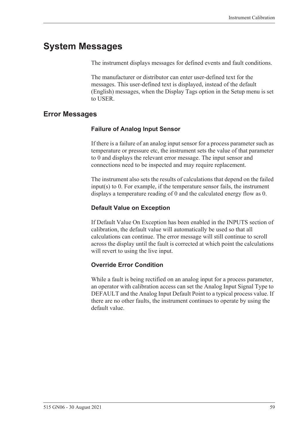# **System Messages**

The instrument displays messages for defined events and fault conditions.

The manufacturer or distributor can enter user-defined text for the messages. This user-defined text is displayed, instead of the default (English) messages, when the Display Tags option in the Setup menu is set to USER.

### <span id="page-68-0"></span>**Error Messages**

#### **Failure of Analog Input Sensor**

If there is a failure of an analog input sensor for a process parameter such as temperature or pressure etc, the instrument sets the value of that parameter to 0 and displays the relevant error message. The input sensor and connections need to be inspected and may require replacement.

The instrument also sets the results of calculations that depend on the failed input(s) to 0. For example, if the temperature sensor fails, the instrument displays a temperature reading of 0 and the calculated energy flow as 0.

### **Default Value on Exception**

If Default Value On Exception has been enabled in the INPUTS section of calibration, the default value will automatically be used so that all calculations can continue. The error message will still continue to scroll across the display until the fault is corrected at which point the calculations will revert to using the live input.

#### **Override Error Condition**

While a fault is being rectified on an analog input for a process parameter, an operator with calibration access can set the Analog Input Signal Type to DEFAULT and the Analog Input Default Point to a typical process value. If there are no other faults, the instrument continues to operate by using the default value.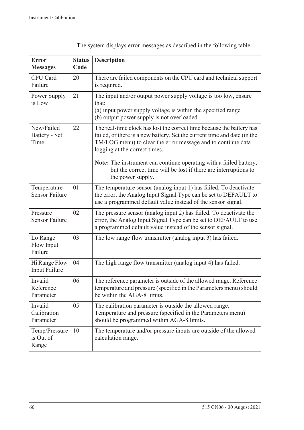| <b>Error</b><br><b>Messages</b>       | <b>Status</b><br>Code | <b>Description</b>                                                                                                                                                                                                                                                                                                                                                                          |
|---------------------------------------|-----------------------|---------------------------------------------------------------------------------------------------------------------------------------------------------------------------------------------------------------------------------------------------------------------------------------------------------------------------------------------------------------------------------------------|
| CPU Card<br>Failure                   | 20                    | There are failed components on the CPU card and technical support<br>is required.                                                                                                                                                                                                                                                                                                           |
| Power Supply<br>is Low                | 21                    | The input and/or output power supply voltage is too low, ensure<br>that:<br>(a) input power supply voltage is within the specified range<br>(b) output power supply is not overloaded.                                                                                                                                                                                                      |
| New/Failed<br>Battery - Set<br>Time   | 22                    | The real-time clock has lost the correct time because the battery has<br>failed, or there is a new battery. Set the current time and date (in the<br>TM/LOG menu) to clear the error message and to continue data<br>logging at the correct times.<br>Note: The instrument can continue operating with a failed battery,<br>but the correct time will be lost if there are interruptions to |
| Temperature<br><b>Sensor Failure</b>  | 01                    | the power supply.<br>The temperature sensor (analog input 1) has failed. To deactivate<br>the error, the Analog Input Signal Type can be set to DEFAULT to<br>use a programmed default value instead of the sensor signal.                                                                                                                                                                  |
| Pressure<br><b>Sensor Failure</b>     | 02                    | The pressure sensor (analog input 2) has failed. To deactivate the<br>error, the Analog Input Signal Type can be set to DEFAULT to use<br>a programmed default value instead of the sensor signal.                                                                                                                                                                                          |
| Lo Range<br>Flow Input<br>Failure     | 03                    | The low range flow transmitter (analog input 3) has failed.                                                                                                                                                                                                                                                                                                                                 |
| Hi Range Flow<br><b>Input Failure</b> | 04                    | The high range flow transmitter (analog input 4) has failed.                                                                                                                                                                                                                                                                                                                                |
| Invalid<br>Reference<br>Parameter     | 06                    | The reference parameter is outside of the allowed range. Reference<br>temperature and pressure (specified in the Parameters menu) should<br>be within the AGA-8 limits.                                                                                                                                                                                                                     |
| Invalid<br>Calibration<br>Parameter   | 05                    | The calibration parameter is outside the allowed range.<br>Temperature and pressure (specified in the Parameters menu)<br>should be programmed within AGA-8 limits.                                                                                                                                                                                                                         |
| Temp/Pressure<br>is Out of<br>Range   | 10                    | The temperature and/or pressure inputs are outside of the allowed<br>calculation range.                                                                                                                                                                                                                                                                                                     |

The system displays error messages as described in the following table: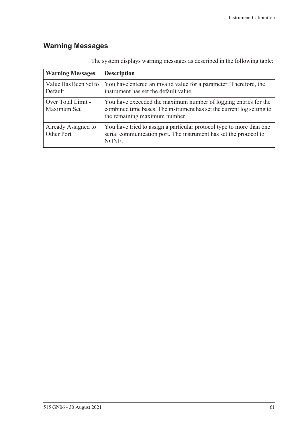# **Warning Messages**

| <b>Warning Messages</b>           | <b>Description</b>                                                                                                                                                         |
|-----------------------------------|----------------------------------------------------------------------------------------------------------------------------------------------------------------------------|
| Value Has Been Set to<br>Default  | You have entered an invalid value for a parameter. Therefore, the<br>instrument has set the default value.                                                                 |
| Over Total Limit -<br>Maximum Set | You have exceeded the maximum number of logging entries for the<br>combined time bases. The instrument has set the current log setting to<br>the remaining maximum number. |
| Already Assigned to<br>Other Port | You have tried to assign a particular protocol type to more than one<br>serial communication port. The instrument has set the protocol to<br>NONE.                         |

The system displays warning messages as described in the following table: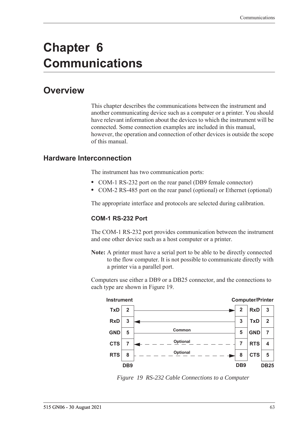# **Chapter 6 Communications**

# **Overview**

<span id="page-72-2"></span>This chapter describes the communications between the instrument and another communicating device such as a computer or a printer. You should have relevant information about the devices to which the instrument will be connected. Some connection examples are included in this manual, however, the operation and connection of other devices is outside the scope of this manual.

# **Hardware Interconnection**

<span id="page-72-3"></span>The instrument has two communication ports:

- **•** COM-1 RS-232 port on the rear panel (DB9 female connector)
- **•** COM-2 RS-485 port on the rear panel (optional) or Ethernet (optional)

The appropriate interface and protocols are selected during calibration.

#### <span id="page-72-1"></span>**COM-1 RS-232 Port**

The COM-1 RS-232 port provides communication between the instrument and one other device such as a host computer or a printer.

**Note:** A printer must have a serial port to be able to be directly connected to the flow computer. It is not possible to communicate directly with a printer via a parallel port.

Computers use either a DB9 or a DB25 connector, and the connections to each type are shown in [Figure 19.](#page-72-0)



<span id="page-72-0"></span>*Figure 19 RS-232 Cable Connections to a Computer*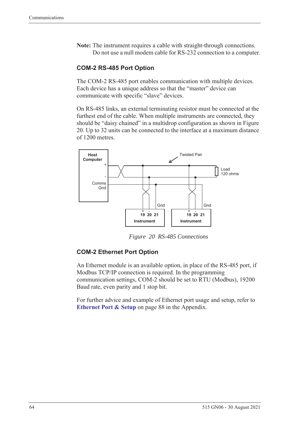**Note:** The instrument requires a cable with straight-through connections. Do not use a null modem cable for RS-232 connection to a computer.

#### <span id="page-73-1"></span>**COM-2 RS-485 Port Option**

The COM-2 RS-485 port enables communication with multiple devices. Each device has a unique address so that the "master" device can communicate with specific "slave" devices.

On RS-485 links, an external terminating resistor must be connected at the furthest end of the cable. When multiple instruments are connected, they should be "daisy chained" in a multidrop configuration as shown in Figure [20](#page-73-0). Up to 32 units can be connected to the interface at a maximum distance of 1200 metres.



<span id="page-73-2"></span>*Figure 20 RS-485 Connections*

#### <span id="page-73-0"></span>**COM-2 Ethernet Port Option**

An Ethernet module is an available option, in place of the RS-485 port, if Modbus TCP/IP connection is required. In the programming communication settings, COM-2 should be set to RTU (Modbus), 19200 Baud rate, even parity and 1 stop bit.

For further advice and example of Ethernet port usage and setup, refer to **[Ethernet Port & Setup](#page-97-0)** on page 88 in the Appendix.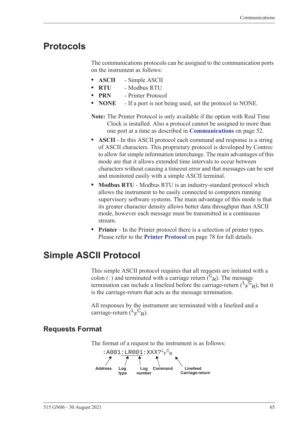# **Protocols**

<span id="page-74-1"></span>The communications protocols can be assigned to the communication ports on the instrument as follows:

- **• ASCII** Simple ASCII
- **• RTU** Modbus RTU
- **• PRN** Printer Protocol
- **• NONE** If a port is not being used, set the protocol to NONE.
- **Note:** The Printer Protocol is only available if the option with Real Time Clock is installed. Also a protocol cannot be assigned to more than one port at a time as described in **[Communications](#page-61-0)** on page 52.
- **• ASCII** In this ASCII protocol each command and response is a string of ASCII characters. This proprietary protocol is developed by Contrec to allow for simple information interchange. The main advantages of this mode are that it allows extended time intervals to occur between characters without causing a timeout error and that messages can be sent and monitored easily with a simple ASCII terminal.
- **• Modbus RTU** Modbus RTU is an industry-standard protocol which allows the instrument to be easily connected to computers running supervisory software systems. The main advantage of this mode is that its greater character density allows better data throughput than ASCII mode, however each message must be transmitted in a continuous stream.
- <span id="page-74-0"></span>**• Printer** - In the Printer protocol there is a selection of printer types. Please refer to the **[Printer Protocol](#page-87-0)** on page 78 for full details.

# **Simple ASCII Protocol**

This simple ASCII protocol requires that all requests are initiated with a colon (:) and terminated with a carriage return  $\binom{C_R}{R}$ . The message termination can include a linefeed before the carriage-return  $(\mathsf{L}_\mathsf{F}^\mathsf{C}_{\mathsf{R}})$ , but it is the carriage-return that acts as the message termination.

<span id="page-74-2"></span>All responses by the instrument are terminated with a linefeed and a carriage-return  $(L_F^C_R)$ .

# **Requests Format**

The format of a request to the instrument is as follows:

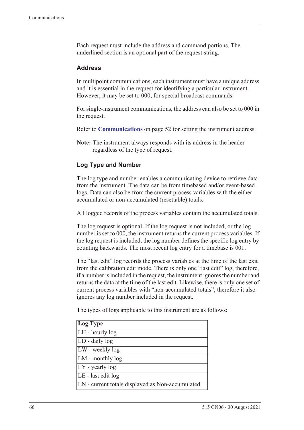Each request must include the address and command portions. The underlined section is an optional part of the request string.

#### <span id="page-75-0"></span>**Address**

In multipoint communications, each instrument must have a unique address and it is essential in the request for identifying a particular instrument. However, it may be set to 000, for special broadcast commands.

For single-instrument communications, the address can also be set to 000 in the request.

Refer to **[Communications](#page-61-0)** on page 52 for setting the instrument address.

**Note:** The instrument always responds with its address in the header regardless of the type of request.

#### **Log Type and Number**

The log type and number enables a communicating device to retrieve data from the instrument. The data can be from timebased and/or event-based logs. Data can also be from the current process variables with the either accumulated or non-accumulated (resettable) totals.

All logged records of the process variables contain the accumulated totals.

The log request is optional. If the log request is not included, or the log number is set to 000, the instrument returns the current process variables. If the log request is included, the log number defines the specific log entry by counting backwards. The most recent log entry for a timebase is 001.

The "last edit" log records the process variables at the time of the last exit from the calibration edit mode. There is only one "last edit" log, therefore, if a number is included in the request, the instrument ignores the number and returns the data at the time of the last edit. Likewise, there is only one set of current process variables with "non-accumulated totals", therefore it also ignores any log number included in the request.

The types of logs applicable to this instrument are as follows:

| Log Type                                         |
|--------------------------------------------------|
| LH - hourly log                                  |
| LD - daily log                                   |
| LW - weekly log                                  |
| LM - monthly log                                 |
| $LY$ - yearly log                                |
| LE - last edit log                               |
| LN - current totals displayed as Non-accumulated |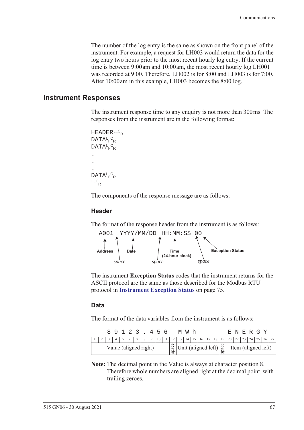The number of the log entry is the same as shown on the front panel of the instrument. For example, a request for LH003 would return the data for the log entry two hours prior to the most recent hourly log entry. If the current time is between 9:00 am and 10:00 am, the most recent hourly log LH001 was recorded at 9:00. Therefore, LH002 is for 8:00 and LH003 is for 7:00. After 10:00 am in this example, LH003 becomes the 8:00 log.

#### **Instrument Responses**

<span id="page-76-1"></span>The instrument response time to any enquiry is not more than 300 ms. The responses from the instrument are in the following format:

```
HEADER<sup>L</sup>F<sup>C</sup>R
DATA<sup>L</sup>F<sup>C</sup>R
DATA<sup>L</sup>F<sup>C</sup>R
.
.
.
DATA<sup>L</sup>F<sup>C</sup>R
L_F^C<sub>R</sub>
```
The components of the response message are as follows:

#### **Header**

The format of the response header from the instrument is as follows:



<span id="page-76-0"></span>The instrument **Exception Status** codes that the instrument returns for the ASCII protocol are the same as those described for the Modbus RTU protocol in **[Instrument Exception Status](#page-84-0)** on page 75.

#### **Data**

The format of the data variables from the instrument is as follows:

|                       |  |  |  |  | 89123.456 |  |                                                                                                                                                               |  |  | MW h |  |  |  |  | E N E R G Y |  |  |
|-----------------------|--|--|--|--|-----------|--|---------------------------------------------------------------------------------------------------------------------------------------------------------------|--|--|------|--|--|--|--|-------------|--|--|
|                       |  |  |  |  |           |  |                                                                                                                                                               |  |  |      |  |  |  |  |             |  |  |
| Value (aligned right) |  |  |  |  |           |  | $\begin{bmatrix} \frac{8}{9} \\ \frac{8}{9} \end{bmatrix}$ Unit (aligned left) $\begin{bmatrix} \frac{8}{9} \\ \frac{8}{9} \end{bmatrix}$ Item (aligned left) |  |  |      |  |  |  |  |             |  |  |

**Note:** The decimal point in the Value is always at character position 8. Therefore whole numbers are aligned right at the decimal point, with trailing zeroes.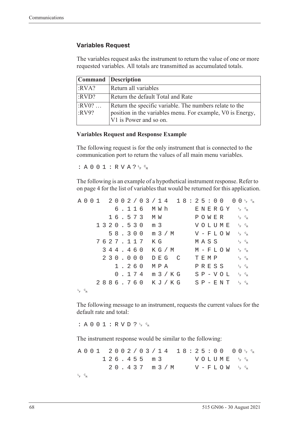#### **Variables Request**

The variables request asks the instrument to return the value of one or more requested variables. All totals are transmitted as accumulated totals.

|                  | Command Description                                                                                                                             |
|------------------|-------------------------------------------------------------------------------------------------------------------------------------------------|
| :RVA?            | Return all variables                                                                                                                            |
| :RVD?            | Return the default Total and Rate                                                                                                               |
| $:RV0?$<br>:RV9? | Return the specific variable. The numbers relate to the<br>position in the variables menu. For example, V0 is Energy,<br>V1 is Power and so on. |

#### **Variables Request and Response Example**

The following request is for the only instrument that is connected to the communication port to return the values of all main menu variables.

: A 0 0 1 : R V A ?  $L_F$   $C_R$ 

The following is an example of a hypothetical instrument response. Refer to [on page 4](#page-13-0) for the list of variables that would be returned for this application.

|             |  |  |  |  |         |  |                  |  |       | $A\ 0\ 0\ 1\ 2\ 0\ 0\ 2\ / \ 0\ 3\ / \ 1\ 4\ 1\ 8\ :\ 2\ 5\ : \ 0\ 0\ 0\ 0\ _\mathsf{F}\ ^\mathrm{c}_\mathsf{R}$ |                                                                                                     |         |  |                                                 |  |                                   |  |
|-------------|--|--|--|--|---------|--|------------------|--|-------|------------------------------------------------------------------------------------------------------------------|-----------------------------------------------------------------------------------------------------|---------|--|-------------------------------------------------|--|-----------------------------------|--|
|             |  |  |  |  |         |  | 6.116 MWh        |  |       |                                                                                                                  | $E \setminus E \setminus E \setminus E \setminus G \setminus Y \subseteq \subseteq \subseteq_{R} C$ |         |  |                                                 |  |                                   |  |
|             |  |  |  |  |         |  | 16.573 MW        |  |       |                                                                                                                  |                                                                                                     |         |  | POWER                                           |  | $L_F$ $C_R$                       |  |
|             |  |  |  |  |         |  | 1320.530 m 3     |  |       |                                                                                                                  |                                                                                                     |         |  | VOLUME <sup>L</sup> <sub>R</sub> <sup>C</sup> R |  |                                   |  |
|             |  |  |  |  |         |  |                  |  |       | 58.300 m 3/M                                                                                                     |                                                                                                     |         |  | $V - F L O W$ $F c_R$                           |  |                                   |  |
|             |  |  |  |  |         |  | 7627.117 KG      |  |       |                                                                                                                  |                                                                                                     |         |  | MASS                                            |  | $L_{F}$ $C_{R}$                   |  |
|             |  |  |  |  | 344.460 |  |                  |  |       | K G / M                                                                                                          |                                                                                                     |         |  | M – F L O W                                     |  | $L$ <sub>F</sub> $C$ <sub>R</sub> |  |
|             |  |  |  |  | 230.000 |  |                  |  | DEG C |                                                                                                                  |                                                                                                     | T E M P |  |                                                 |  | $L_F$ $C_R$                       |  |
|             |  |  |  |  | 1.260   |  | МРА              |  |       |                                                                                                                  |                                                                                                     |         |  | PRESS                                           |  | $L_{\rm F}$ $C_{\rm R}$           |  |
|             |  |  |  |  |         |  | $0.174$ m $3/KG$ |  |       |                                                                                                                  |                                                                                                     |         |  | $S P - V O L$                                   |  | $L_{F}$ $C_{R}$                   |  |
|             |  |  |  |  |         |  |                  |  |       | 2886.760 KJ/KG SP-ENT FR                                                                                         |                                                                                                     |         |  |                                                 |  |                                   |  |
| $L_F$ $C_R$ |  |  |  |  |         |  |                  |  |       |                                                                                                                  |                                                                                                     |         |  |                                                 |  |                                   |  |

The following message to an instrument, requests the current values for the default rate and total:

: A 0 0 1 : R V D ?  $L_F$   $C_R$ 

The instrument response would be similar to the following:

A001 2002/03/14 18:25:00  $F$   $\circ$ <sub>R</sub>  $126.455 m3$ <sup>F</sup> <sup>C</sup> R  $20.437$  m  $3/M$  $F$   $\circ$ <sub>R</sub> L <sup>F</sup> <sup>C</sup> R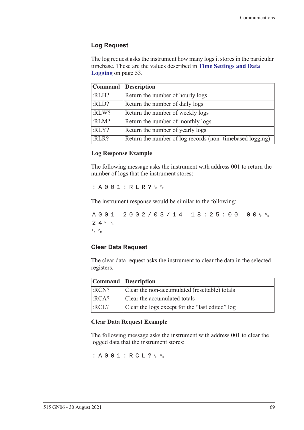#### **Log Request**

The log request asks the instrument how many logs it stores in the particular timebase. These are the values described in **[Time Settings and Data](#page-62-0)  Logging** [on page 53](#page-62-0).

|       | Command Description                                      |
|-------|----------------------------------------------------------|
| :RLH? | Return the number of hourly logs                         |
| :RLD? | Return the number of daily logs                          |
| :RLW? | Return the number of weekly logs                         |
| :RLM? | Return the number of monthly logs                        |
| :RLY? | Return the number of yearly logs                         |
| :RLR? | Return the number of log records (non-timebased logging) |

#### **Log Response Example**

The following message asks the instrument with address 001 to return the number of logs that the instrument stores:

 $: A 0 0 1 : R L R ? \nmid R$ 

The instrument response would be similar to the following:

A001 2002/03/14 18:25:00  $F$   $\circ$ R  $24r$ <sub>F</sub>  $c_R$ L <sup>F</sup> <sup>C</sup> R

#### **Clear Data Request**

The clear data request asks the instrument to clear the data in the selected registers.

| Command Description |                                                 |
|---------------------|-------------------------------------------------|
| :RCN?               | Clear the non-accumulated (resettable) totals   |
| :RCA?               | Clear the accumulated totals                    |
| :RCL?               | Clear the logs except for the "last edited" log |

#### **Clear Data Request Example**

The following message asks the instrument with address 001 to clear the logged data that the instrument stores:

: A 0 0 1 : R C L ?  $L_F$   $c_R$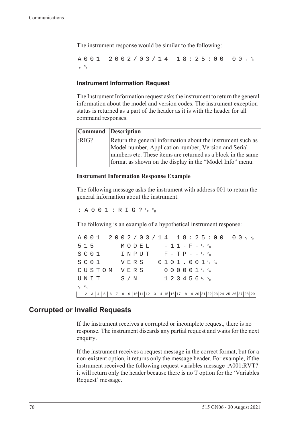The instrument response would be similar to the following:

A001 2002/03/14 18:25:00  $F$   $\circ$ <sub>R</sub> L <sup>F</sup> <sup>C</sup> R

#### **Instrument Information Request**

The Instrument Information request asks the instrument to return the general information about the model and version codes. The instrument exception status is returned as a part of the header as it is with the header for all command responses.

|      | Command Description                                                                                                      |
|------|--------------------------------------------------------------------------------------------------------------------------|
| RIG? | Return the general information about the instrument such as                                                              |
|      | Model number, Application number, Version and Serial                                                                     |
|      | numbers etc. These items are returned as a block in the same<br>format as shown on the display in the "Model Info" menu. |

#### **Instrument Information Response Example**

The following message asks the instrument with address 001 to return the general information about the instrument:

: A 0 0 1 : R I G ?  $L_F$   $C_R$ 

The following is an example of a hypothetical instrument response:

A001 2002/03/14 18:25:00 <sup>F</sup> <sup>C</sup> R  $515$   $MODEL$   $-11-F-F_{R}^{c}$  $S$  C O  $1$  I N P U T F - T P - - <sup>L</sup><sub>F</sub> <sup>C</sup>R  $S$  C O  $1$  V E R S O  $1$  O  $1$  J  $1$  , O  $0$   $1$   $1$   $1$   $6$   $8$ CUSTOM VERS 000001<sup>t</sup>F<sup>c</sup>r  $\texttt{UNIT}$  S/N 123456<sup>L</sup>F <sup>C</sup>R L <sup>F</sup> <sup>C</sup> R 1 2 3 4 5 6 7 8 9 10 11 12 13 14 15 16 17 18 19 20 21 22 23 24 25 26 27 28 29

### **Corrupted or Invalid Requests**

If the instrument receives a corrupted or incomplete request, there is no response. The instrument discards any partial request and waits for the next enquiry.

If the instrument receives a request message in the correct format, but for a non-existent option, it returns only the message header. For example, if the instrument received the following request variables message :A001:RVT? it will return only the header because there is no T option for the 'Variables Request' message.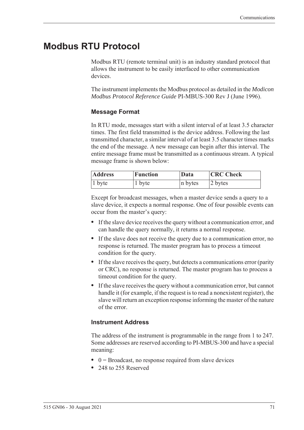# **Modbus RTU Protocol**

<span id="page-80-0"></span>Modbus RTU (remote terminal unit) is an industry standard protocol that allows the instrument to be easily interfaced to other communication devices.

The instrument implements the Modbus protocol as detailed in the *Modicon Modbus Protocol Reference Guide* PI-MBUS-300 Rev J (June 1996).

#### **Message Format**

In RTU mode, messages start with a silent interval of at least 3.5 character times. The first field transmitted is the device address. Following the last transmitted character, a similar interval of at least 3.5 character times marks the end of the message. A new message can begin after this interval. The entire message frame must be transmitted as a continuous stream. A typical message frame is shown below:

| <b>Address</b> | <b>Function</b> | Data    | <b>CRC</b> Check |  |  |  |  |
|----------------|-----------------|---------|------------------|--|--|--|--|
| $ 1$ byte      | 1 byte          | n bytes | 2 bytes          |  |  |  |  |

Except for broadcast messages, when a master device sends a query to a slave device, it expects a normal response. One of four possible events can occur from the master's query:

- **•** If the slave device receives the query without a communication error, and can handle the query normally, it returns a normal response.
- **•** If the slave does not receive the query due to a communication error, no response is returned. The master program has to process a timeout condition for the query.
- **•** If the slave receives the query, but detects a communications error (parity or CRC), no response is returned. The master program has to process a timeout condition for the query.
- **•** If the slave receives the query without a communication error, but cannot handle it (for example, if the request is to read a nonexistent register), the slave will return an exception response informing the master of the nature of the error.

#### **Instrument Address**

The address of the instrument is programmable in the range from 1 to 247. Some addresses are reserved according to PI-MBUS-300 and have a special meaning:

- 0 = Broadcast, no response required from slave devices
- **•** 248 to 255 Reserved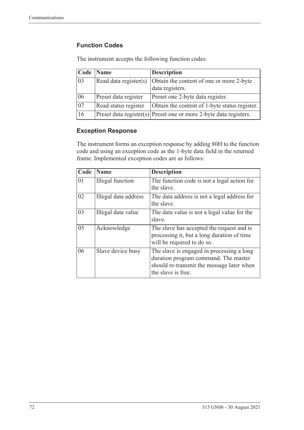# **Function Codes**

| Code            | <b>Name</b>           | <b>Description</b>                                                    |
|-----------------|-----------------------|-----------------------------------------------------------------------|
| 03              | Read data register(s) | Obtain the content of one or more 2-byte<br>data registers.           |
| 06              | Preset data register  | Preset one 2-byte data register.                                      |
| $\overline{07}$ | Read status register  | Obtain the content of 1-byte status register.                         |
| 16              |                       | $ $ Preset data register(s) Preset one or more 2-byte data registers. |

The instrument accepts the following function codes:

#### **Exception Response**

The instrument forms an exception response by adding 80H to the function code and using an exception code as the 1-byte data field in the returned frame. Implemented exception codes are as follows:

| Code | <b>Name</b>             | <b>Description</b>                                                                                                                                   |
|------|-------------------------|------------------------------------------------------------------------------------------------------------------------------------------------------|
| 01   | <b>Illegal</b> function | The function code is not a legal action for<br>the slave.                                                                                            |
| 02   | Illegal data address    | The data address is not a legal address for<br>the slave.                                                                                            |
| 03   | Illegal data value      | The data value is not a legal value for the<br>slave.                                                                                                |
| 05   | Acknowledge             | The slave has accepted the request and is<br>processing it, but a long duration of time<br>will be required to do so.                                |
| 06   | Slave device busy       | The slave is engaged in processing a long<br>duration program command. The master<br>should re-transmit the message later when<br>the slave is free. |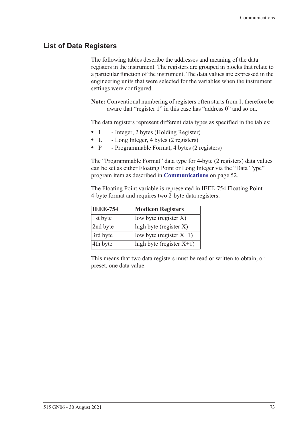# **List of Data Registers**

The following tables describe the addresses and meaning of the data registers in the instrument. The registers are grouped in blocks that relate to a particular function of the instrument. The data values are expressed in the engineering units that were selected for the variables when the instrument settings were configured.

**Note:** Conventional numbering of registers often starts from 1, therefore be aware that "register 1" in this case has "address 0" and so on.

The data registers represent different data types as specified in the tables:

- I Integer, 2 bytes (Holding Register)
- L Long Integer, 4 bytes (2 registers)
- P Programmable Format, 4 bytes (2 registers)

The "Programmable Format" data type for 4-byte (2 registers) data values can be set as either Floating Point or Long Integer via the "Data Type" program item as described in **[Communications](#page-61-0)** on page 52.

The Floating Point variable is represented in IEEE-754 Floating Point 4-byte format and requires two 2-byte data registers:

| <b>IEEE-754</b> | <b>Modicon Registers</b>    |
|-----------------|-----------------------------|
| 1st byte        | low byte (register $X$ )    |
| 2nd byte        | high byte (register X)      |
| 3rd byte        | $ low byte (register X+1) $ |
| 4th byte        | high byte (register $X+1$ ) |

This means that two data registers must be read or written to obtain, or preset, one data value.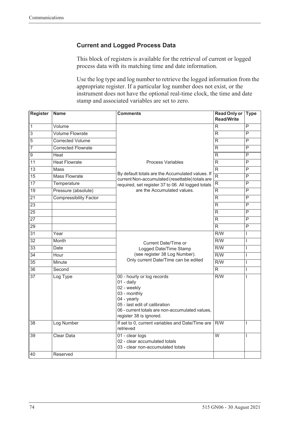## **Current and Logged Process Data**

This block of registers is available for the retrieval of current or logged process data with its matching time and date information.

Use the log type and log number to retrieve the logged information from the appropriate register. If a particular log number does not exist, or the instrument does not have the optional real-time clock, the time and date stamp and associated variables are set to zero.

| Register         | <b>Name</b>                   | <b>Comments</b>                                                                                                                                                                                       | <b>Read Only or</b><br><b>Read/Write</b> | <b>Type</b>             |
|------------------|-------------------------------|-------------------------------------------------------------------------------------------------------------------------------------------------------------------------------------------------------|------------------------------------------|-------------------------|
| $\overline{1}$   | Volume                        |                                                                                                                                                                                                       | R                                        | $\overline{P}$          |
| $\overline{3}$   | <b>Volume Flowrate</b>        |                                                                                                                                                                                                       | R                                        | P                       |
| $\overline{5}$   | <b>Corrected Volume</b>       |                                                                                                                                                                                                       | R                                        | P                       |
| $\overline{7}$   | <b>Corrected Flowrate</b>     |                                                                                                                                                                                                       | R                                        | P                       |
| $\boldsymbol{9}$ | Heat                          |                                                                                                                                                                                                       | R                                        | P                       |
| $\overline{11}$  | <b>Heat Flowrate</b>          | <b>Process Variables</b>                                                                                                                                                                              | $\mathsf{R}$                             | $\overline{P}$          |
| $\overline{13}$  | Mass                          |                                                                                                                                                                                                       | R                                        | $\overline{\mathsf{P}}$ |
| 15               | <b>Mass Flowrate</b>          | By default totals are the Accumulated values. If<br>current Non-accumulated (resettable) totals are                                                                                                   | $\overline{R}$                           | P                       |
| $\overline{17}$  | Temperature                   | required, set register 37 to 06. All logged totals                                                                                                                                                    | $\overline{\mathsf{R}}$                  | $\overline{\mathsf{P}}$ |
| 19               | Pressure (absolute)           | are the Accumulated values.                                                                                                                                                                           | R                                        | P                       |
| 21               | <b>Compressibility Factor</b> |                                                                                                                                                                                                       | $\overline{R}$                           | P                       |
| 23               |                               |                                                                                                                                                                                                       | $\overline{\mathsf{R}}$                  | $\overline{\mathsf{P}}$ |
| $\overline{25}$  |                               |                                                                                                                                                                                                       | R                                        | $\overline{\mathsf{P}}$ |
| $\overline{27}$  |                               |                                                                                                                                                                                                       | $\overline{R}$                           | $\overline{\mathsf{P}}$ |
| $\overline{29}$  |                               |                                                                                                                                                                                                       | R.                                       | P                       |
| $\overline{31}$  | Year                          |                                                                                                                                                                                                       | R/W                                      | T                       |
| $\overline{32}$  | Month                         | Current Date/Time or                                                                                                                                                                                  | $\overline{R/W}$                         | $\mathbf{I}$            |
| $\overline{33}$  | Date                          | Logged Date/Time Stamp                                                                                                                                                                                | $\overline{R/W}$                         | T                       |
| $\overline{34}$  | Hour                          | (see register 38 Log Number).                                                                                                                                                                         | R/W                                      | $\overline{1}$          |
| $\overline{35}$  | Minute                        | Only current Date/Time can be edited                                                                                                                                                                  | $\overline{R/W}$                         | $\mathsf{I}$            |
| $\overline{36}$  | Second                        |                                                                                                                                                                                                       | $\overline{\mathsf{R}}$                  | $\mathsf{I}$            |
| $\overline{37}$  | Log Type                      | 00 - hourly or log records<br>01 - daily<br>02 - weekly<br>03 - monthly<br>04 - yearly<br>05 - last edit of calibration<br>06 - current totals are non-accumulated values,<br>register 38 is ignored. | R/W                                      | T                       |
| 38               | Log Number                    | If set to 0, current variables and Date/Time are<br>retrieved                                                                                                                                         | R/W                                      | $\overline{1}$          |
| 39               | <b>Clear Data</b>             | 01 - clear logs<br>02 - clear accumulated totals<br>03 - clear non-accumulated totals                                                                                                                 | $\overline{W}$                           | I                       |
| $\sqrt{40}$      | Reserved                      |                                                                                                                                                                                                       |                                          |                         |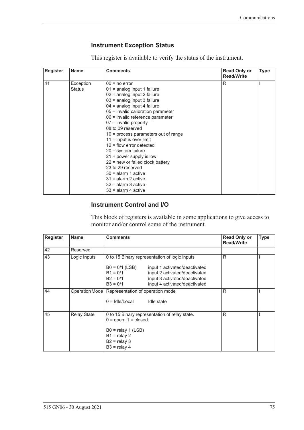# <span id="page-84-1"></span><span id="page-84-0"></span>**Instrument Exception Status**

This register is available to verify the status of the instrument.

| <b>Register</b> | <b>Name</b> | <b>Comments</b>                    | <b>Read Only or</b><br><b>Read/Write</b> | <b>Type</b> |
|-----------------|-------------|------------------------------------|------------------------------------------|-------------|
| 41              | Exception   | $00 = no error$                    | R                                        |             |
|                 | Status      | $01$ = analog input 1 failure      |                                          |             |
|                 |             | 02 = analog input 2 failure        |                                          |             |
|                 |             | 03 = analog input 3 failure        |                                          |             |
|                 |             | $04$ = analog input 4 failure      |                                          |             |
|                 |             | 05 = invalid calibration parameter |                                          |             |
|                 |             | 06 = invalid reference parameter   |                                          |             |
|                 |             | $07$ = invalid property            |                                          |             |
|                 |             | 08 to 09 reserved                  |                                          |             |
|                 |             |                                    |                                          |             |
|                 |             | $11 =$ input is over limit         |                                          |             |
|                 |             | $12$ = flow error detected         |                                          |             |
|                 |             | $20 =$ system failure              |                                          |             |
|                 |             | $21$ = power supply is low         |                                          |             |
|                 |             | $22$ = new or failed clock battery |                                          |             |
|                 |             | 23 to 29 reserved                  |                                          |             |
|                 |             | $30 =$ alarm 1 active              |                                          |             |
|                 |             | $31$ = alarm 2 active              |                                          |             |
|                 |             | $32$ = alarm 3 active              |                                          |             |
|                 |             | $33$ = alarm 4 active              |                                          |             |

#### **Instrument Control and I/O**

This block of registers is available in some applications to give access to monitor and/or control some of the instrument.

| <b>Register</b> | <b>Name</b>        | <b>Comments</b>                                                                                                                                          | <b>Read Only or</b><br><b>Read/Write</b> | <b>Type</b> |
|-----------------|--------------------|----------------------------------------------------------------------------------------------------------------------------------------------------------|------------------------------------------|-------------|
| 42              | Reserved           |                                                                                                                                                          |                                          |             |
| 43              | Logic Inputs       | 0 to 15 Binary representation of logic inputs                                                                                                            | R                                        |             |
|                 |                    | $B0 = 0/1$ (LSB)<br>input 1 activated/deactivated<br>$B1 = 0/1$<br>input 2 activated/deactivated<br>$B2 = 0/1$<br>input 3 activated/deactivated          |                                          |             |
|                 |                    | $B3 = 0/1$<br>input 4 activated/deactivated                                                                                                              |                                          |             |
| 44              |                    | Operation Mode   Representation of operation mode<br>$0 =$ Idle/Local<br>Idle state                                                                      | R                                        |             |
| 45              | <b>Relay State</b> | 0 to 15 Binary representation of relay state.<br>$0 =$ open; $1 =$ closed.<br>$B0 =$ relay 1 (LSB)<br>$B1 =$ relay 2<br>$B2 =$ relay 3<br>$B3 =$ relay 4 | R                                        |             |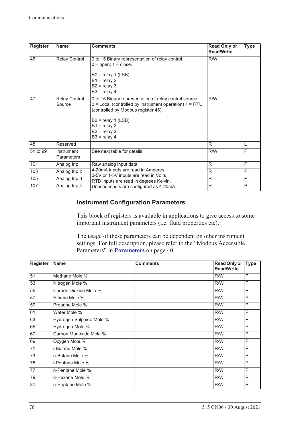| <b>Register</b> | <b>Name</b>              | <b>Comments</b>                                                                                                                                                                                                                           | <b>Read Only or</b><br><b>Read/Write</b> | <b>Type</b> |
|-----------------|--------------------------|-------------------------------------------------------------------------------------------------------------------------------------------------------------------------------------------------------------------------------------------|------------------------------------------|-------------|
| 46              | Relay Control            | 0 to 15 Binary representation of relay control.<br>$0 =$ open; $1 =$ close.<br>$B0 =$ relay 1 (LSB)<br>$B1 =$ relay 2<br>$B2 =$ relay 3<br>$B3 =$ relay 4                                                                                 | R/W                                      |             |
| 47              | Relay Control<br>Source  | 0 to 15 Binary representation of relay control source.<br>$0 =$ Local (controlled by instrument operation) $1 = RTU$<br>(controlled by Modbus register 46).<br>$B0 =$ relay 1 (LSB)<br>$B1$ = relay 2<br>$B2 =$ relay 3<br>$B3 =$ relay 4 | R/W                                      |             |
| 48              | Reserved                 |                                                                                                                                                                                                                                           | R                                        | L           |
| 51 to 99        | Instrument<br>Parameters | See next table for details.                                                                                                                                                                                                               | R/W                                      | P           |
| 101             | Analog Inp.1             | Raw analog input data.                                                                                                                                                                                                                    | R                                        | P           |
| 103             | Analog Inp.2             | 4-20mA inputs are read in Amperes.                                                                                                                                                                                                        | $\mathsf{R}$                             | P           |
| 105             | Analog Inp.3             | 0-5V or 1-5V inputs are read in Volts<br>RTD inputs are read in degrees Kelvin.                                                                                                                                                           | R                                        | P           |
| 107             | Analog Inp.4             | Unused inputs are configured as 4-20mA.                                                                                                                                                                                                   | R                                        | P           |

## **Instrument Configuration Parameters**

This block of registers is available in applications to give access to some important instrument parameters (i.e. fluid properties etc).

The usage of these parameters can be dependent on other instrument settings. For full description, please refer to the "Modbus Accessible Parameters" in **[Parameters](#page-49-0)** on page 40.

| <b>Register</b> | <b>Name</b>              | <b>Comments</b> | Read Only or Type<br><b>Read/Write</b> |   |
|-----------------|--------------------------|-----------------|----------------------------------------|---|
| 51              | Methane Mole %           |                 | R/W                                    | P |
| 53              | Nitrogen Mole %          |                 | R/W                                    | P |
| 55              | Carbon Dioxide Mole %    |                 | R/W                                    | P |
| 57              | Ethane Mole %            |                 | R/W                                    | P |
| 59              | Propane Mole %           |                 | R/W                                    | P |
| 61              | Water Mole %             |                 | R/W                                    | P |
| 63              | Hydrogen Sulphide Mole % |                 | R/W                                    | P |
| 65              | Hydrogen Mole %          |                 | R/W                                    | P |
| 67              | Carbon Monoxide Mole %   |                 | R/W                                    | P |
| 69              | Oxygen Mole %            |                 | R/W                                    | P |
| $\overline{71}$ | i-Butane Mole %          |                 | R/W                                    | P |
| 73              | n-Butane Mole %          |                 | R/W                                    | P |
| 75              | i-Pentane Mole %         |                 | R/W                                    | P |
| 77              | n-Pentane Mole %         |                 | R/W                                    | P |
| 79              | n-Hexane Mole %          |                 | R/W                                    | P |
| 81              | n-Heptane Mole %         |                 | R/W                                    | P |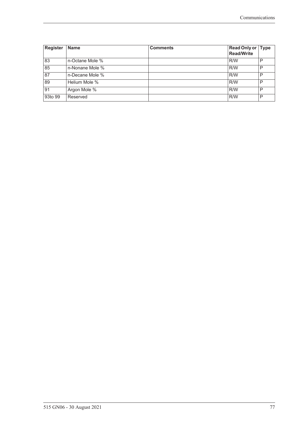| <b>Register</b> | <b>Name</b>     | <b>Comments</b> | Read Only or Type<br><b>Read/Write</b> |   |
|-----------------|-----------------|-----------------|----------------------------------------|---|
| 83              | n-Octane Mole % |                 | R/W                                    | P |
| 85              | n-Nonane Mole % |                 | R/W                                    | P |
| $\overline{8}$  | n-Decane Mole % |                 | R/W                                    | P |
| 89              | Helium Mole %   |                 | R/W                                    | P |
| 91              | Argon Mole %    |                 | R/W                                    | P |
| 93to 99         | Reserved        |                 | R/W                                    | P |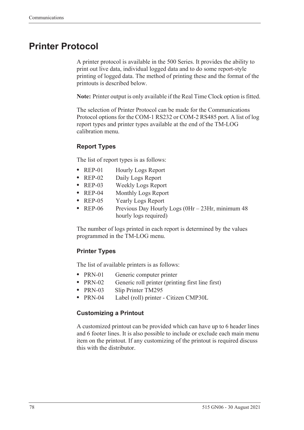# <span id="page-87-0"></span>**Printer Protocol**

<span id="page-87-2"></span>A printer protocol is available in the 500 Series. It provides the ability to print out live data, individual logged data and to do some report-style printing of logged data. The method of printing these and the format of the printouts is described below.

**Note:** Printer output is only available if the Real Time Clock option is fitted.

The selection of Printer Protocol can be made for the Communications Protocol options for the COM-1 RS232 or COM-2 RS485 port. A list of log report types and printer types available at the end of the TM-LOG calibration menu.

### <span id="page-87-3"></span>**Report Types**

The list of report types is as follows:

- REP-01 Hourly Logs Report
- **•** REP-02 Daily Logs Report
- **•** REP-03 Weekly Logs Report
- **•** REP-04 Monthly Logs Report
- **•** REP-05 Yearly Logs Report
- REP-06 Previous Day Hourly Logs (0Hr 23Hr, minimum 48 hourly logs required)

The number of logs printed in each report is determined by the values programmed in the TM-LOG menu.

#### <span id="page-87-4"></span>**Printer Types**

The list of available printers is as follows:

- PRN-01 Generic computer printer
- PRN-02 Generic roll printer (printing first line first)
- **•** PRN-03 Slip Printer TM295
- **•** PRN-04 Label (roll) printer Citizen CMP30L

#### <span id="page-87-1"></span>**Customizing a Printout**

A customized printout can be provided which can have up to 6 header lines and 6 footer lines. It is also possible to include or exclude each main menu item on the printout. If any customizing of the printout is required discuss this with the distributor.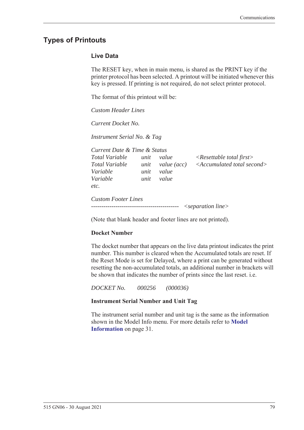# <span id="page-88-1"></span>**Types of Printouts**

#### <span id="page-88-0"></span>**Live Data**

The RESET key, when in main menu, is shared as the PRINT key if the printer protocol has been selected. A printout will be initiated whenever this key is pressed. If printing is not required, do not select printer protocol.

The format of this printout will be:

*Custom Header Lines*

*Current Docket No.* 

*Instrument Serial No. & Tag*

| unit | value | $\langle$ Resettable total first $\rangle$        |
|------|-------|---------------------------------------------------|
|      |       | $\leq$ Accumulated total second $>$               |
| unit | value |                                                   |
| unit | value |                                                   |
|      |       |                                                   |
|      |       | Current Date & Time & Status<br>unit value $(ac)$ |

*Custom Footer Lines ------------------------------------------- <separation line>*

(Note that blank header and footer lines are not printed).

#### **Docket Number**

The docket number that appears on the live data printout indicates the print number. This number is cleared when the Accumulated totals are reset. If the Reset Mode is set for Delayed, where a print can be generated without resetting the non-accumulated totals, an additional number in brackets will be shown that indicates the number of prints since the last reset. i.e.

*DOCKET No. 000256 (000036)*

#### **Instrument Serial Number and Unit Tag**

The instrument serial number and unit tag is the same as the information shown in the Model Info menu. For more details refer to **[Model](#page-40-0)  [Information](#page-40-0)** on page 31.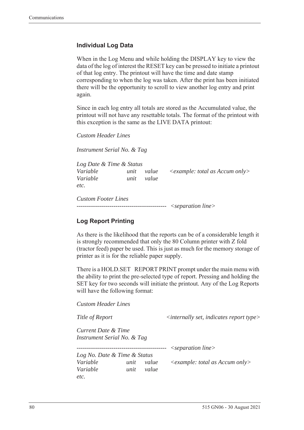#### <span id="page-89-0"></span>**Individual Log Data**

When in the Log Menu and while holding the DISPLAY key to view the data of the log of interest the RESET key can be pressed to initiate a printout of that log entry. The printout will have the time and date stamp corresponding to when the log was taken. After the print has been initiated there will be the opportunity to scroll to view another log entry and print again.

Since in each log entry all totals are stored as the Accumulated value, the printout will not have any resettable totals. The format of the printout with this exception is the same as the LIVE DATA printout:

*Custom Header Lines*

*Instrument Serial No. & Tag*

| Log Date & Time & Status   |      |       |                                     |
|----------------------------|------|-------|-------------------------------------|
| Variable                   | unit | value | $\leq$ example: total as Accum only |
| Variable                   | unit | value |                                     |
| etc.                       |      |       |                                     |
| <b>Custom Footer Lines</b> |      |       |                                     |

*-------------------------------------------- <separation line>*

### <span id="page-89-1"></span>**Log Report Printing**

As there is the likelihood that the reports can be of a considerable length it is strongly recommended that only the 80 Column printer with Z fold (tractor feed) paper be used. This is just as much for the memory storage of printer as it is for the reliable paper supply.

There is a HOLD.SET REPORT PRINT prompt under the main menu with the ability to print the pre-selected type of report. Pressing and holding the SET key for two seconds will initiate the printout. Any of the Log Reports will have the following format:

*Custom Header Lines*

*Title of Report*  $\langle$  *internally set, indicates report type Current Date & Time Instrument Serial No. & Tag -------------------------------------------- <separation line> Log No. Date & Time & Status Variable unit value <example: total as Accum only> Variable unit value etc.*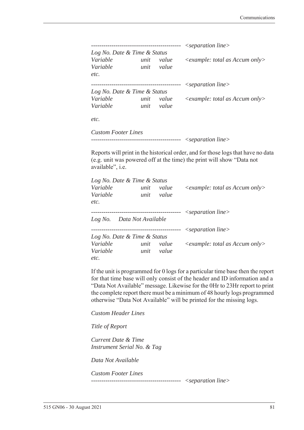|                              |      |       | $\leq$ separation line $>$              |
|------------------------------|------|-------|-----------------------------------------|
| Log No. Date & Time & Status |      |       |                                         |
| Variable                     | unit | value | $\leq$ example: total as Accum only $>$ |
| Variable                     | unit | value |                                         |
| etc.                         |      |       |                                         |
|                              |      |       | $\leq$ separation line $>$              |
| Log No. Date & Time & Status |      |       |                                         |
| Variable                     | unit | value | $\leq$ example: total as Accum only>    |
| Variable                     | unit | value |                                         |
| etc.                         |      |       |                                         |
| <b>Custom Footer Lines</b>   |      |       |                                         |

*-------------------------------------------- <separation line>*

Reports will print in the historical order, and for those logs that have no data (e.g. unit was powered off at the time) the print will show "Data not available", i.e.

| Log No. Date & Time & Status        |      |            |                                      |
|-------------------------------------|------|------------|--------------------------------------|
| Variable                            | unit | value      | $\leq$ example: total as Accum only> |
| Variable                            | unit | value      |                                      |
| etc.                                |      |            |                                      |
|                                     |      |            | $\leq$ separation line $>$           |
| Log No. Data Not Available          |      |            |                                      |
| ----------------------------------- |      | ---------- | $\leq$ separation line $>$           |
| Log No. Date & Time & Status        |      |            |                                      |
| Variable                            | unit | value      | $\leq$ example: total as Accum only> |
| Variable                            | unit | value      |                                      |
| etc.                                |      |            |                                      |

If the unit is programmed for 0 logs for a particular time base then the report for that time base will only consist of the header and ID information and a "Data Not Available" message. Likewise for the 0Hr to 23Hr report to print the complete report there must be a minimum of 48 hourly logs programmed otherwise "Data Not Available" will be printed for the missing logs.

*Custom Header Lines*

*Title of Report*

*Current Date & Time Instrument Serial No. & Tag*

*Data Not Available*

*Custom Footer Lines -------------------------------------------- <separation line>*

515 GN06 - 30 August 2021 81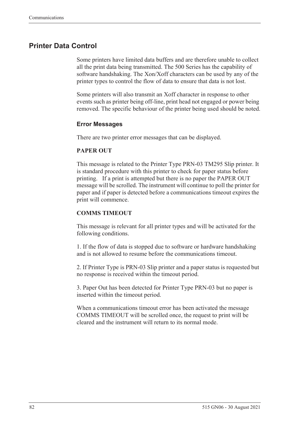# <span id="page-91-0"></span>**Printer Data Control**

Some printers have limited data buffers and are therefore unable to collect all the print data being transmitted. The 500 Series has the capability of software handshaking. The Xon/Xoff characters can be used by any of the printer types to control the flow of data to ensure that data is not lost.

Some printers will also transmit an Xoff character in response to other events such as printer being off-line, print head not engaged or power being removed. The specific behaviour of the printer being used should be noted.

#### <span id="page-91-1"></span>**Error Messages**

There are two printer error messages that can be displayed.

#### **PAPER OUT**

This message is related to the Printer Type PRN-03 TM295 Slip printer. It is standard procedure with this printer to check for paper status before printing. If a print is attempted but there is no paper the PAPER OUT message will be scrolled. The instrument will continue to poll the printer for paper and if paper is detected before a communications timeout expires the print will commence.

#### **COMMS TIMEOUT**

This message is relevant for all printer types and will be activated for the following conditions.

1. If the flow of data is stopped due to software or hardware handshaking and is not allowed to resume before the communications timeout.

2. If Printer Type is PRN-03 Slip printer and a paper status is requested but no response is received within the timeout period.

3. Paper Out has been detected for Printer Type PRN-03 but no paper is inserted within the timeout period.

When a communications timeout error has been activated the message COMMS TIMEOUT will be scrolled once, the request to print will be cleared and the instrument will return to its normal mode.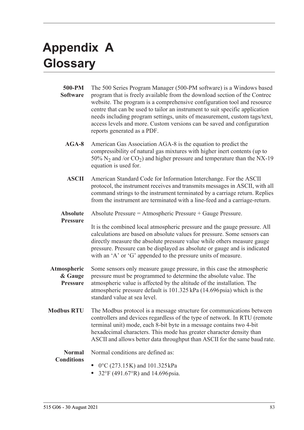# <span id="page-92-1"></span>**Appendix A Glossary**

<span id="page-92-0"></span>

| 500-PM<br><b>Software</b>                 | The 500 Series Program Manager (500-PM software) is a Windows based<br>program that is freely available from the download section of the Contrec<br>website. The program is a comprehensive configuration tool and resource<br>centre that can be used to tailor an instrument to suit specific application<br>needs including program settings, units of measurement, custom tags/text,<br>access levels and more. Custom versions can be saved and configuration<br>reports generated as a PDF. |  |  |  |  |  |  |  |
|-------------------------------------------|---------------------------------------------------------------------------------------------------------------------------------------------------------------------------------------------------------------------------------------------------------------------------------------------------------------------------------------------------------------------------------------------------------------------------------------------------------------------------------------------------|--|--|--|--|--|--|--|
| $AGA-8$                                   | American Gas Association AGA-8 is the equation to predict the<br>compressibility of natural gas mixtures with higher inert contents (up to<br>50% $N_2$ and /or CO <sub>2</sub> ) and higher pressure and temperature than the NX-19<br>equation is used for.                                                                                                                                                                                                                                     |  |  |  |  |  |  |  |
| <b>ASCII</b>                              | American Standard Code for Information Interchange. For the ASCII<br>protocol, the instrument receives and transmits messages in ASCII, with all<br>command strings to the instrument terminated by a carriage return. Replies<br>from the instrument are terminated with a line-feed and a carriage-return.                                                                                                                                                                                      |  |  |  |  |  |  |  |
| <b>Absolute</b>                           | Absolute Pressure = Atmospheric Pressure + Gauge Pressure.                                                                                                                                                                                                                                                                                                                                                                                                                                        |  |  |  |  |  |  |  |
| <b>Pressure</b>                           | It is the combined local atmospheric pressure and the gauge pressure. All<br>calculations are based on absolute values for pressure. Some sensors can<br>directly measure the absolute pressure value while others measure gauge<br>pressure. Pressure can be displayed as absolute or gauge and is indicated<br>with an 'A' or 'G' appended to the pressure units of measure.                                                                                                                    |  |  |  |  |  |  |  |
| Atmospheric<br>& Gauge<br><b>Pressure</b> | Some sensors only measure gauge pressure, in this case the atmospheric<br>pressure must be programmed to determine the absolute value. The<br>atmospheric value is affected by the altitude of the installation. The<br>atmospheric pressure default is 101.325 kPa (14.696 psia) which is the<br>standard value at sea level.                                                                                                                                                                    |  |  |  |  |  |  |  |
| <b>Modbus RTU</b>                         | The Modbus protocol is a message structure for communications between<br>controllers and devices regardless of the type of network. In RTU (remote<br>terminal unit) mode, each 8-bit byte in a message contains two 4-bit<br>hexadecimal characters. This mode has greater character density than<br>ASCII and allows better data throughput than ASCII for the same baud rate.                                                                                                                  |  |  |  |  |  |  |  |
| <b>Normal</b>                             | Normal conditions are defined as:                                                                                                                                                                                                                                                                                                                                                                                                                                                                 |  |  |  |  |  |  |  |
| <b>Conditions</b>                         | $0^{\circ}$ C (273.15K) and 101.325 kPa<br>32°F (491.67°R) and 14.696 psia.                                                                                                                                                                                                                                                                                                                                                                                                                       |  |  |  |  |  |  |  |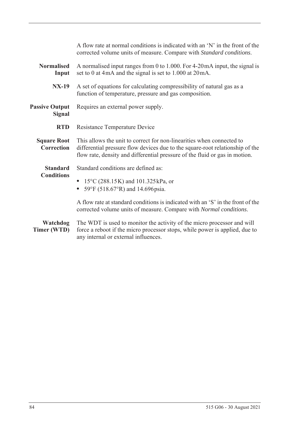|                                        | A flow rate at normal conditions is indicated with an 'N' in the front of the<br>corrected volume units of measure. Compare with Standard conditions.                                                                                 |
|----------------------------------------|---------------------------------------------------------------------------------------------------------------------------------------------------------------------------------------------------------------------------------------|
| <b>Normalised</b><br>Input             | A normalised input ranges from 0 to 1.000. For 4-20 mA input, the signal is<br>set to 0 at 4mA and the signal is set to 1.000 at 20mA.                                                                                                |
| <b>NX-19</b>                           | A set of equations for calculating compressibility of natural gas as a<br>function of temperature, pressure and gas composition.                                                                                                      |
| <b>Passive Output</b><br><b>Signal</b> | Requires an external power supply.                                                                                                                                                                                                    |
| <b>RTD</b>                             | <b>Resistance Temperature Device</b>                                                                                                                                                                                                  |
| <b>Square Root</b><br>Correction       | This allows the unit to correct for non-linearities when connected to<br>differential pressure flow devices due to the square-root relationship of the<br>flow rate, density and differential pressure of the fluid or gas in motion. |
| <b>Standard</b>                        | Standard conditions are defined as:                                                                                                                                                                                                   |
| <b>Conditions</b>                      | • 15°C (288.15K) and 101.325kPa, or<br>• 59°F (518.67°R) and 14.696 psia.                                                                                                                                                             |
|                                        | A flow rate at standard conditions is indicated with an 'S' in the front of the<br>corrected volume units of measure. Compare with Normal conditions.                                                                                 |
| Watchdog<br>Timer (WTD)                | The WDT is used to monitor the activity of the micro processor and will<br>force a reboot if the micro processor stops, while power is applied, due to<br>any internal or external influences.                                        |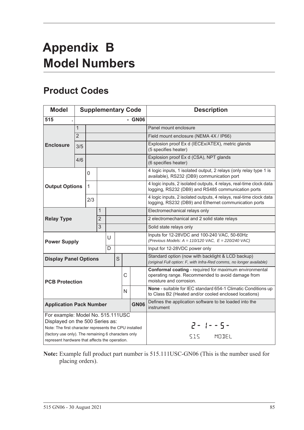# <span id="page-94-1"></span>**Appendix B Model Numbers**

# <span id="page-94-0"></span>**Product Codes**

| <b>Model</b>                                                                                                                                                                          | <b>Supplementary Code</b> |              |                                                                                                                        |   |                                                                                                                                        | <b>Description</b>                           |                         |                                                                                                                             |  |
|---------------------------------------------------------------------------------------------------------------------------------------------------------------------------------------|---------------------------|--------------|------------------------------------------------------------------------------------------------------------------------|---|----------------------------------------------------------------------------------------------------------------------------------------|----------------------------------------------|-------------------------|-----------------------------------------------------------------------------------------------------------------------------|--|
| 515                                                                                                                                                                                   |                           |              |                                                                                                                        |   |                                                                                                                                        |                                              | - GN06                  |                                                                                                                             |  |
|                                                                                                                                                                                       | $\mathbf 1$               |              |                                                                                                                        |   |                                                                                                                                        |                                              |                         | Panel mount enclosure                                                                                                       |  |
|                                                                                                                                                                                       | $\overline{2}$            |              |                                                                                                                        |   |                                                                                                                                        |                                              |                         | Field mount enclosure (NEMA 4X / IP66)                                                                                      |  |
| <b>Enclosure</b>                                                                                                                                                                      | 3/5                       |              |                                                                                                                        |   |                                                                                                                                        |                                              |                         | Explosion proof Ex d (IECEx/ATEX), metric glands<br>(5 specifies heater)                                                    |  |
|                                                                                                                                                                                       | 4/6                       |              |                                                                                                                        |   |                                                                                                                                        |                                              |                         | Explosion proof Ex d (CSA), NPT glands<br>(6 specifies heater)                                                              |  |
|                                                                                                                                                                                       |                           | 0            |                                                                                                                        |   |                                                                                                                                        |                                              |                         | 4 logic inputs, 1 isolated output, 2 relays (only relay type 1 is<br>available), RS232 (DB9) communication port             |  |
| <b>Output Options</b>                                                                                                                                                                 |                           | $\mathbf{1}$ |                                                                                                                        |   |                                                                                                                                        |                                              |                         | 4 logic inputs, 2 isolated outputs, 4 relays, real-time clock data<br>logging, RS232 (DB9) and RS485 communication ports    |  |
|                                                                                                                                                                                       |                           | 2/3          |                                                                                                                        |   |                                                                                                                                        |                                              |                         | 4 logic inputs, 2 isolated outputs, 4 relays, real-time clock data<br>logging, RS232 (DB9) and Ethernet communication ports |  |
|                                                                                                                                                                                       |                           |              | 1                                                                                                                      |   |                                                                                                                                        |                                              |                         | Electromechanical relays only                                                                                               |  |
| <b>Relay Type</b>                                                                                                                                                                     | $\overline{2}$<br>3       |              |                                                                                                                        |   |                                                                                                                                        | 2 electromechanical and 2 solid state relays |                         |                                                                                                                             |  |
|                                                                                                                                                                                       |                           |              |                                                                                                                        |   |                                                                                                                                        |                                              | Solid state relays only |                                                                                                                             |  |
| <b>Power Supply</b>                                                                                                                                                                   |                           |              |                                                                                                                        | U |                                                                                                                                        |                                              |                         | Inputs for 12-28VDC and 100-240 VAC, 50-60Hz<br>(Previous Models: A = 110/120 VAC, E = 220/240 VAC)                         |  |
|                                                                                                                                                                                       |                           |              |                                                                                                                        | D |                                                                                                                                        |                                              |                         | Input for 12-28VDC power only                                                                                               |  |
| <b>Display Panel Options</b>                                                                                                                                                          |                           |              |                                                                                                                        |   | S                                                                                                                                      |                                              |                         | Standard option (now with backlight & LCD backup)<br>(original Full option: F, with Infra-Red comms, no longer available)   |  |
| С<br><b>PCB Protection</b>                                                                                                                                                            |                           |              |                                                                                                                        |   | Conformal coating - required for maximum environmental<br>operating range. Recommended to avoid damage from<br>moisture and corrosion. |                                              |                         |                                                                                                                             |  |
| N                                                                                                                                                                                     |                           |              | None - suitable for IEC standard 654-1 Climatic Conditions up<br>to Class B2 (Heated and/or cooled enclosed locations) |   |                                                                                                                                        |                                              |                         |                                                                                                                             |  |
| <b>GN06</b><br><b>Application Pack Number</b>                                                                                                                                         |                           |              |                                                                                                                        |   |                                                                                                                                        |                                              |                         | Defines the application software to be loaded into the<br>instrument                                                        |  |
| For example: Model No. 515.111USC<br>Displayed on the 500 Series as:<br>Note: The first character represents the CPU installed<br>(factory use only). The remaining 6 characters only |                           |              |                                                                                                                        |   |                                                                                                                                        |                                              |                         | $2 - 1 - 5 -$<br>MODEL<br>515                                                                                               |  |
| represent hardware that affects the operation.                                                                                                                                        |                           |              |                                                                                                                        |   |                                                                                                                                        |                                              |                         |                                                                                                                             |  |

**Note:** Example full product part number is 515.111USC-GN06 (This is the number used for placing orders).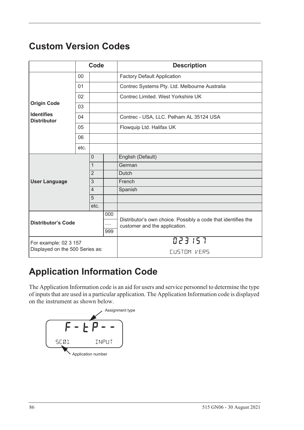# <span id="page-95-1"></span>**Custom Version Codes**

|                                              | Code                   |                |                                                                                                | <b>Description</b>                            |  |  |
|----------------------------------------------|------------------------|----------------|------------------------------------------------------------------------------------------------|-----------------------------------------------|--|--|
|                                              | 00                     |                |                                                                                                | <b>Factory Default Application</b>            |  |  |
|                                              | 01                     |                |                                                                                                | Contrec Systems Pty. Ltd. Melbourne Australia |  |  |
|                                              | 02                     |                |                                                                                                | Contrec Limited. West Yorkshire UK            |  |  |
| <b>Origin Code</b>                           | 03                     |                |                                                                                                |                                               |  |  |
| <b>Identifies</b><br><b>Distributor</b>      | 04                     |                |                                                                                                | Contrec - USA, LLC. Pelham AL 35124 USA       |  |  |
|                                              | 05                     |                |                                                                                                | Flowquip Ltd. Halifax UK                      |  |  |
|                                              | 06                     |                |                                                                                                |                                               |  |  |
|                                              | etc.                   |                |                                                                                                |                                               |  |  |
|                                              | English (Default)<br>0 |                |                                                                                                |                                               |  |  |
|                                              |                        | $\mathbf{1}$   |                                                                                                | German                                        |  |  |
|                                              |                        | $\overline{2}$ |                                                                                                | Dutch                                         |  |  |
| <b>User Language</b>                         | $\overline{3}$         |                |                                                                                                | French                                        |  |  |
|                                              |                        | $\overline{4}$ |                                                                                                | Spanish                                       |  |  |
|                                              |                        | $\overline{5}$ |                                                                                                |                                               |  |  |
|                                              |                        | etc.           |                                                                                                |                                               |  |  |
|                                              | 000                    |                |                                                                                                |                                               |  |  |
| <b>Distributor's Code</b><br>$\cdots$<br>999 |                        |                | Distributor's own choice. Possibly a code that identifies the<br>customer and the application. |                                               |  |  |
|                                              |                        |                |                                                                                                |                                               |  |  |
| For example: 02 3 157                        |                        |                |                                                                                                | 023157                                        |  |  |
| Displayed on the 500 Series as:              |                        |                | CUSTOM VERS                                                                                    |                                               |  |  |

# **Application Information Code**

The Application Information code is an aid for users and service personnel to determine the type of inputs that are used in a particular application. The Application Information code is displayed on the instrument as shown below.

<span id="page-95-0"></span>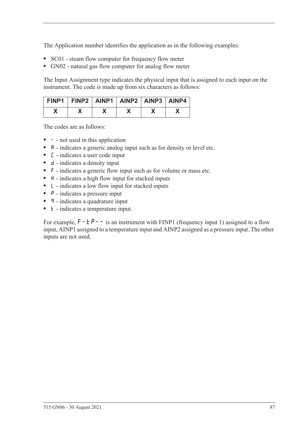The Application number identifies the application as in the following examples:

- **•** SC01 steam flow computer for frequency flow meter
- **•** GN02 natural gas flow computer for analog flow meter

The Input Assignment type indicates the physical input that is assigned to each input on the instrument. The code is made up from six characters as follows:

| FINP1   FINP2   AINP1   AINP2   AINP3   AINP4 |  |  |  |
|-----------------------------------------------|--|--|--|
|                                               |  |  |  |

The codes are as follows:

- - not used in this application
- **A** indicates a generic analog input such as for density or level etc.
- **•** C indicates a user code input
- d indicates a density input
- **•** F indicates a generic flow input such as for volume or mass etc.
- H indicates a high flow input for stacked inputs
- **•** L indicates a low flow input for stacked inputs
- **•** P indicates a pressure input
- **q** indicates a quadrature input
- *k* indicates a temperature input.

For example,  $F - F - i$  is an instrument with FINP1 (frequency input 1) assigned to a flow input, AINP1 assigned to a temperature input and AINP2 assigned as a pressure input. The other inputs are not used.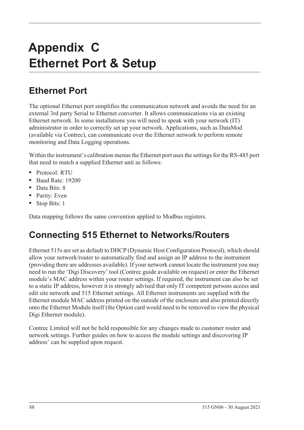# <span id="page-97-0"></span>**Appendix C Ethernet Port & Setup**

# **Ethernet Port**

The optional Ethernet port simplifies the communication network and avoids the need for an external 3rd party Serial to Ethernet converter. It allows communications via an existing Ethernet network. In some installations you will need to speak with your network (IT) administrator in order to correctly set up your network. Applications, such as DataMod (available via Contrec), can communicate over the Ethernet network to perform remote monitoring and Data Logging operations.

Within the instrument's calibration menus the Ethernet port uses the settings for the RS-485 port that need to match a supplied Ethernet unit as follows:

- **•** Protocol: RTU
- **•** Baud Rate: 19200
- **•** Data Bits: 8
- **•** Parity: Even
- **•** Stop Bits: 1

Data mapping follows the same convention applied to Modbus registers.

# **Connecting 515 Ethernet to Networks/Routers**

Ethernet 515s are set as default to DHCP (Dynamic Host Configuration Protocol), which should allow your network/router to automatically find and assign an IP address to the instrument (providing there are addresses available). If your network cannot locate the instrument you may need to run the 'Digi Discovery' tool (Contrec guide available on request) or enter the Ethernet module's MAC address within your router settings. If required, the instrument can also be set to a static IP address, however it is strongly advised that only IT competent persons access and edit site network and 515 Ethernet settings. All Ethernet instruments are supplied with the Ethernet module MAC address printed on the outside of the enclosure and also printed directly onto the Ethernet Module itself (the Option card would need to be removed to view the physical Digi Ethernet module).

Contrec Limited will not be held responsible for any changes made to customer router and network settings. Further guides on how to access the module settings and discovering IP address' can be supplied upon request.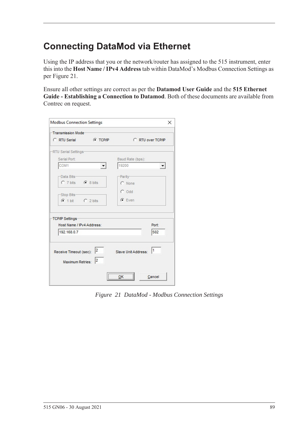# **Connecting DataMod via Ethernet**

Using the IP address that you or the network/router has assigned to the 515 instrument, enter this into the **Host Name / IPv4 Address** tab within DataMod's Modbus Connection Settings as per [Figure 21.](#page-98-0)

Ensure all other settings are correct as per the **Datamod User Guide** and the **515 Ethernet Guide - Establishing a Connection to Datamod**. Both of these documents are available from Contrec on request.

| Transmission Mode-                                   |                 |                     |                      |
|------------------------------------------------------|-----------------|---------------------|----------------------|
| C RTU Serial                                         | <b>C</b> TCP/IP | C RTU over TCP/IP   |                      |
| -RTU Serial Settings-                                |                 |                     |                      |
| Serial Port:                                         |                 | Baud Rate (bps):    |                      |
| COM1                                                 |                 | 19200               | $\blacktriangledown$ |
| -Data Bits-                                          |                 | -Parity-            |                      |
| C 7 bits C 8 bits                                    |                 | C None              |                      |
|                                                      |                 | $C$ Odd             |                      |
| -Stop Bits-                                          |                 | $G$ Even            |                      |
| $C$ 1 bit $C$ 2 bits                                 |                 |                     |                      |
| TCP/IP Settings                                      |                 |                     |                      |
| Host Name / IPv4 Address:                            |                 |                     | Port:                |
| 192.168.0.7                                          |                 |                     | 502                  |
| Receive Timeout (sec): $\vert^2$<br>Maximum Retries: | 2               | Slave Unit Address: | 11                   |
|                                                      |                 | ,                   | Cancel               |

<span id="page-98-0"></span>*Figure 21 DataMod - Modbus Connection Settings*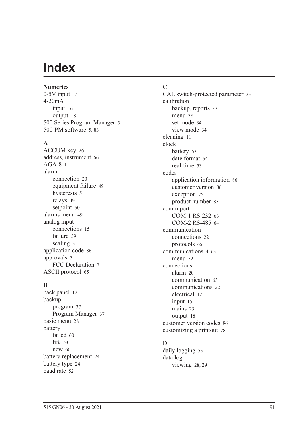# **Index**

**Numerics** 0-5V inpu[t 15](#page-24-0) 4-20mA input [16](#page-25-0) output [18](#page-27-0) 500 Series Program Manage[r 5](#page-14-0) 500-PM software [5,](#page-14-0) [83](#page-92-0)

#### **A**

ACCUM ke[y 26](#page-35-0) address, instrumen[t 66](#page-75-0) AGA-[8 1](#page-10-0) alarm connection [20](#page-29-0) equipment failur[e 49](#page-58-0) hysteresi[s 51](#page-60-0) relays [49](#page-58-1) setpoin[t 50](#page-59-0) alarms menu [49](#page-58-2) analog input connection[s 15](#page-24-1) failur[e 59](#page-68-0) scalin[g 3](#page-12-0) application cod[e 86](#page-95-0) approvals [7](#page-16-0) FCC Declaration [7](#page-16-1) ASCII protoco[l 65](#page-74-0)

### **B**

back panel [12](#page-21-0) backup program [37](#page-46-0) Program Manage[r 37](#page-46-1) basic men[u 28](#page-37-0) battery faile[d 60](#page-69-0) lif[e 53](#page-62-1) ne[w 60](#page-69-0) battery replacemen[t 24](#page-33-0) battery typ[e 24](#page-33-1) baud rat[e 52](#page-61-1)

# **C**

CAL switch-protected parameter [33](#page-42-0) calibration backup, reports [37](#page-46-0) menu [38](#page-47-0) set mode [34](#page-43-0) view mode [34](#page-43-1) cleaning [11](#page-20-0) clock batter[y 53](#page-62-1) date format [54](#page-63-0) real-tim[e 53](#page-62-2) codes application information [86](#page-95-0) customer versio[n 86](#page-95-1) exception [75](#page-84-1) product numbe[r 85](#page-94-0) comm port COM-1 RS-232 [63](#page-72-1) COM-2 RS-485 [64](#page-73-1) communication connection[s 22](#page-31-0) protocols [65](#page-74-1) communication[s 4,](#page-13-1) [63](#page-72-2) menu [52](#page-61-2) connections alar[m 20](#page-29-0) communication [63](#page-72-3) communication[s 22](#page-31-0) electrical [12](#page-21-1) input [15](#page-24-2) mains [23](#page-32-0) output [18](#page-27-1) customer version codes [86](#page-95-1) customizing a printout [78](#page-87-1)

# **D**

daily logging [55](#page-64-0) data log viewing [28,](#page-37-1) [29](#page-38-0)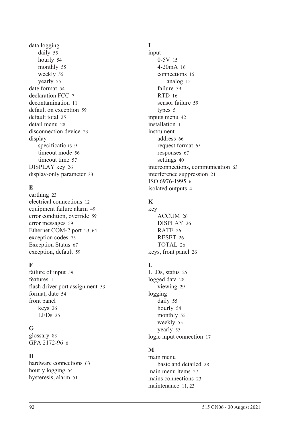data logging daily [55](#page-64-0) hourl[y 54](#page-63-1) monthly [55](#page-64-1) weekl[y 55](#page-64-2) yearly [55](#page-64-3) date format [54](#page-63-0) declaration FCC [7](#page-16-1) decontamination [11](#page-20-0) default on exception [59](#page-68-1) default tota[l 25](#page-34-0) detail men[u 28](#page-37-0) disconnection device [23](#page-32-1) display specifications [9](#page-18-0) timeout mod[e 56](#page-65-0) timeout time [57](#page-66-0) DISPLAY key [26](#page-35-1) display-only parameter [33](#page-42-1)

# **E**

earthin[g 23](#page-32-2) electrical connections [12](#page-21-1) equipment failure alarm [49](#page-58-0) error condition, overrid[e 59](#page-68-2) error message[s 59](#page-68-3) Ethernet COM-2 por[t 23,](#page-32-3) [64](#page-73-2) exception codes [75](#page-84-1) Exception Status [67](#page-76-0) exception, default [59](#page-68-1)

### **F**

failure of input [59](#page-68-0) features [1](#page-10-1) flash driver port assignmen[t 53](#page-62-3) format, date [54](#page-63-0) front panel keys [26](#page-35-2) LEDs [25](#page-34-1)

### **G**

glossary [83](#page-92-1) GPA 2172-96 [6](#page-15-0)

### **H**

hardware connections [63](#page-72-3) hourly logging [54](#page-63-1) hysteresis, alar[m 51](#page-60-0)

# **I**

input 0-5[V 15](#page-24-0) 4-20mA [16](#page-25-0) connections [15](#page-24-2) analog [15](#page-24-1) failure [59](#page-68-0) RTD [16](#page-25-1) sensor failure [59](#page-68-0) types [5](#page-14-1) inputs menu [42](#page-51-0) installation [11](#page-20-1) instrument address [66](#page-75-0) request forma[t 65](#page-74-2) response[s 67](#page-76-1) setting[s 40](#page-49-1) interconnections, communication [63](#page-72-3) interference suppression [21](#page-30-0) ISO 6976-1995 [6](#page-15-1) isolated output[s 4](#page-13-2)

# **K**

key ACCUM [26](#page-35-0) DISPLA[Y 26](#page-35-1) RATE [26](#page-35-3) RESE[T 26](#page-35-4) TOTAL [26](#page-35-5) keys, front panel [26](#page-35-2)

# **L**

LEDs, status [25](#page-34-1) logged dat[a 28](#page-37-1) viewin[g 29](#page-38-0) logging daily [55](#page-64-0) hourly [54](#page-63-1) monthly [55](#page-64-1) weekl[y 55](#page-64-2) yearly [55](#page-64-3) logic input connection [17](#page-26-0)

# **M**

main menu basic and detailed [28](#page-37-0) main menu item[s 27](#page-36-0) mains connections [23](#page-32-0) maintenanc[e 11,](#page-20-1) [23](#page-32-4)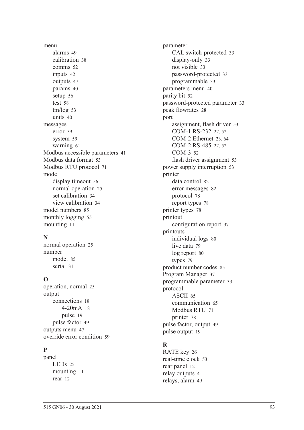menu alarm[s 49](#page-58-2) calibratio[n 38](#page-47-0) comms [52](#page-61-2) input[s 42](#page-51-0) output[s 47](#page-56-0) params [40](#page-49-2) setu[p 56](#page-65-1) test [58](#page-67-0) tm/lo[g 53](#page-62-4) unit[s 40](#page-49-3) messages erro[r 59](#page-68-3) syste[m 59](#page-68-4) warnin[g 61](#page-70-0) Modbus accessible parameters [41](#page-50-0) Modbus data forma[t 53](#page-62-5) Modbus RTU protoco[l 71](#page-80-0) mode display timeou[t 56](#page-65-0) normal operatio[n 25](#page-34-2) set calibration [34](#page-43-0) view calibration [34](#page-43-1) model number[s 85](#page-94-1) monthly logging [55](#page-64-1) mountin[g 11](#page-20-2)

### **N**

normal operatio[n 25](#page-34-2) number mode[l 85](#page-94-1) seria[l 31](#page-40-1)

# **O**

operation, norma[l 25](#page-34-2) output connection[s 18](#page-27-1) 4-20m[A 18](#page-27-0) puls[e 19](#page-28-0) pulse facto[r 49](#page-58-3) outputs men[u 47](#page-56-0) override error condition [59](#page-68-2)

# **P**

panel LED[s 25](#page-34-1) mountin[g 11](#page-20-2) rear [12](#page-21-0)

parameter CAL switch-protected [33](#page-42-0) display-only [33](#page-42-1) not visibl[e 33](#page-42-2) password-protected [33](#page-42-3) programmable [33](#page-42-4) parameters men[u 40](#page-49-2) parity bit [52](#page-61-3) password-protected parameter [33](#page-42-3) peak flowrate[s 28](#page-37-2) port assignment, flash driver [53](#page-62-3) COM-1 RS-232 [22,](#page-31-1) [52](#page-61-4) COM-2 Ethernet [23,](#page-32-3) [64](#page-73-2) COM-2 RS-485 [22,](#page-31-2) [52](#page-61-5) COM-[3 52](#page-61-6) flash driver assignment [53](#page-62-3) power supply interruption [53](#page-62-1) printer data control [82](#page-91-0) error messages [82](#page-91-1) protocol [78](#page-87-2) report types [78](#page-87-3) printer type[s 78](#page-87-4) printout configuration repor[t 37](#page-46-2) printouts individual logs [80](#page-89-0) live data [79](#page-88-0) log report [80](#page-89-1) type[s 79](#page-88-1) product number codes [85](#page-94-0) Program Manager [37](#page-46-1) programmable parameter [33](#page-42-4) protocol ASCI[I 65](#page-74-0) communication [65](#page-74-1) Modbus RT[U 71](#page-80-0) printer [78](#page-87-2) pulse factor, output [49](#page-58-3) pulse output [19](#page-28-0)

# **R**

RATE key [26](#page-35-3) real-time cloc[k 53](#page-62-2) rear panel [12](#page-21-0) relay output[s 4](#page-13-3) relays, alarm [49](#page-58-1)